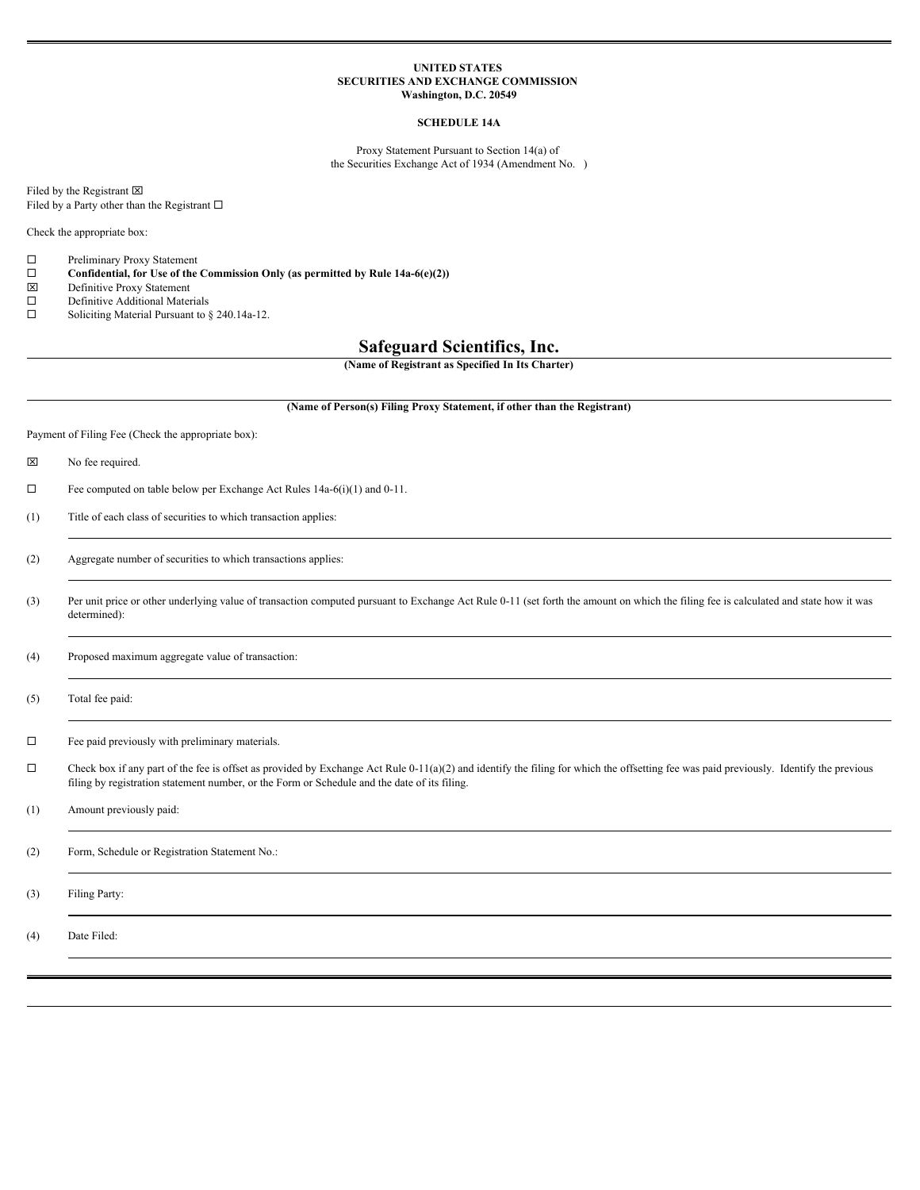#### **UNITED STATES SECURITIES AND EXCHANGE COMMISSION Washington, D.C. 20549**

# **SCHEDULE 14A**

Proxy Statement Pursuant to Section 14(a) of the Securities Exchange Act of 1934 (Amendment No. )

Filed by the Registrant  $\boxtimes$ Filed by a Party other than the Registrant  $\Box$ 

Check the appropriate box:

 $\square$  Preliminary Proxy Statement<br> $\square$  Confidential, for Use of the

□ **Confidential, for Use of the Commission Only (as permitted by Rule 14a-6(e)(2))**  $\boxtimes$  Definitive Proxy Statement

- Definitive Proxy Statement
- $\square$  Definitive Additional Materials
- $\square$  Soliciting Material Pursuant to § 240.14a-12.

# **Safeguard Scientifics, Inc.**

**(Name of Registrant as Specified In Its Charter)**

#### **(Name of Person(s) Filing Proxy Statement, if other than the Registrant)**

Payment of Filing Fee (Check the appropriate box):

- $\boxtimes$  No fee required.
- $\Box$  Fee computed on table below per Exchange Act Rules 14a-6(i)(1) and 0-11.
- (1) Title of each class of securities to which transaction applies:
- (2) Aggregate number of securities to which transactions applies:
- (3) Per unit price or other underlying value of transaction computed pursuant to Exchange Act Rule 0-11 (set forth the amount on which the filing fee is calculated and state how it was determined):

(4) Proposed maximum aggregate value of transaction:

(5) Total fee paid:

 $\square$  Fee paid previously with preliminary materials.

 $\Box$  Check box if any part of the fee is offset as provided by Exchange Act Rule 0-11(a)(2) and identify the filing for which the offsetting fee was paid previously. Identify the previous filing by registration statement number, or the Form or Schedule and the date of its filing.

(1) Amount previously paid:

(2) Form, Schedule or Registration Statement No.:

(3) Filing Party:

(4) Date Filed: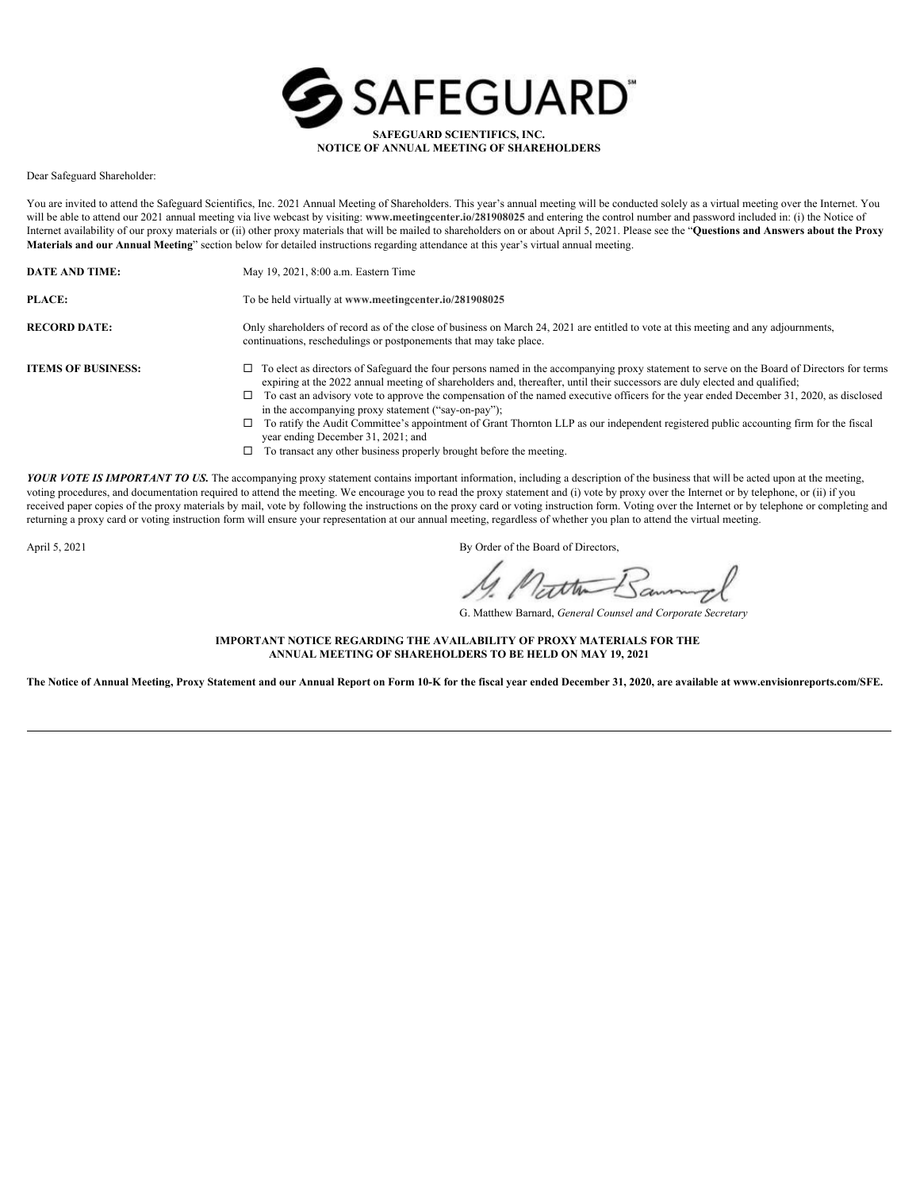

Dear Safeguard Shareholder:

You are invited to attend the Safeguard Scientifics, Inc. 2021 Annual Meeting of Shareholders. This year's annual meeting will be conducted solely as a virtual meeting over the Internet. You will be able to attend our 2021 annual meeting via live webcast by visiting: **www.meetingcenter.io/281908025** and entering the control number and password included in: (i) the Notice of Internet availability of our proxy materials or (ii) other proxy materials that will be mailed to shareholders on or about April 5, 2021. Please see the "**Questions and Answers about the Proxy Materials and our Annual Meeting**" section below for detailed instructions regarding attendance at this year's virtual annual meeting.

**DATE AND TIME:** May 19, 2021, 8:00 a.m. Eastern Time

**PLACE:** To be held virtually at **www.meetingcenter.io/281908025**

**RECORD DATE:** Only shareholders of record as of the close of business on March 24, 2021 are entitled to vote at this meeting and any adjournments, continuations, reschedulings or postponements that may take place.

- **ITEMS OF BUSINESS:** □ To elect as directors of Safeguard the four persons named in the accompanying proxy statement to serve on the Board of Directors for terms expiring at the 2022 annual meeting of shareholders and, thereafter, until their successors are duly elected and qualified;
	- $\square$  To cast an advisory vote to approve the compensation of the named executive officers for the year ended December 31, 2020, as disclosed in the accompanying proxy statement ("say-on-pay");
	- $\square$  To ratify the Audit Committee's appointment of Grant Thornton LLP as our independent registered public accounting firm for the fiscal year ending December 31, 2021; and
	- $\Box$  To transact any other business properly brought before the meeting.

YOUR VOTE IS IMPORTANT TO US. The accompanying proxy statement contains important information, including a description of the business that will be acted upon at the meeting, voting procedures, and documentation required to attend the meeting. We encourage you to read the proxy statement and (i) vote by proxy over the Internet or by telephone, or (ii) if you received paper copies of the proxy materials by mail, vote by following the instructions on the proxy card or voting instruction form. Voting over the Internet or by telephone or completing and returning a proxy card or voting instruction form will ensure your representation at our annual meeting, regardless of whether you plan to attend the virtual meeting.

April 5, 2021 By Order of the Board of Directors,

atten Banning

G. Matthew Barnard, *General Counsel and Corporate Secretary*

**IMPORTANT NOTICE REGARDING THE AVAILABILITY OF PROXY MATERIALS FOR THE ANNUAL MEETING OF SHAREHOLDERS TO BE HELD ON MAY 19, 2021**

**The Notice of Annual Meeting, Proxy Statement and our Annual Report on Form 10-K for the fiscal year ended December 31, 2020, are available at www.envisionreports.com/SFE.**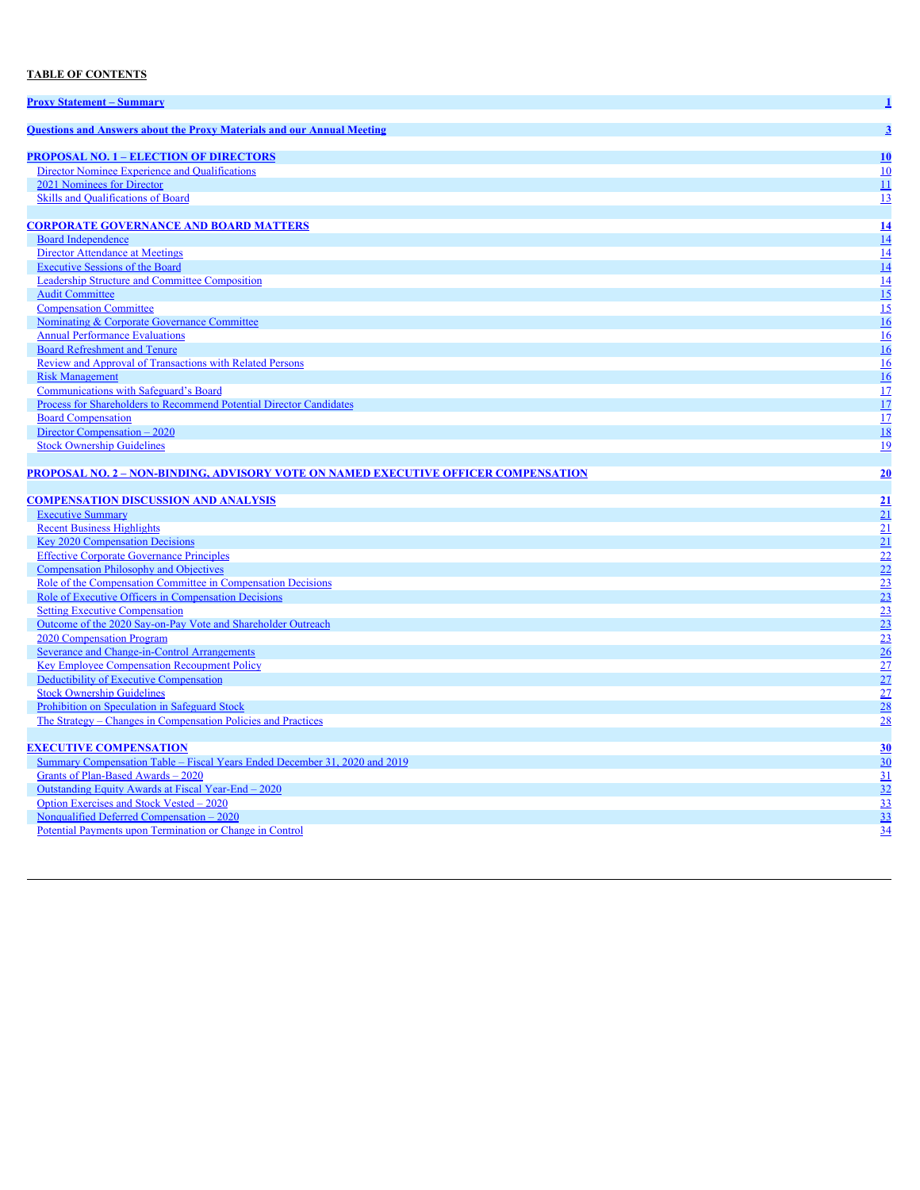# **TABLE OF CONTENTS**

| <b>Proxy Statement – Summary</b>                                                    |                 |
|-------------------------------------------------------------------------------------|-----------------|
| <b>Ouestions and Answers about the Proxy Materials and our Annual Meeting</b>       | 3               |
| <b>PROPOSAL NO. 1 – ELECTION OF DIRECTORS</b>                                       | 10              |
| Director Nominee Experience and Qualifications                                      | 10              |
| 2021 Nominees for Director                                                          | 11              |
| Skills and Qualifications of Board                                                  | 13              |
|                                                                                     |                 |
| <b>CORPORATE GOVERNANCE AND BOARD MATTERS</b>                                       | 14              |
| <b>Board Independence</b>                                                           | 14              |
| <b>Director Attendance at Meetings</b>                                              | 14              |
| <b>Executive Sessions of the Board</b>                                              | 14              |
| Leadership Structure and Committee Composition                                      | 14              |
| <b>Audit Committee</b>                                                              | 15              |
| <b>Compensation Committee</b>                                                       | 15              |
| Nominating & Corporate Governance Committee                                         | 16              |
| <b>Annual Performance Evaluations</b>                                               | 16              |
| <b>Board Refreshment and Tenure</b>                                                 | 16              |
| Review and Approval of Transactions with Related Persons                            | 16              |
| <b>Risk Management</b>                                                              | 16              |
| <b>Communications with Safeguard's Board</b>                                        | 17              |
| Process for Shareholders to Recommend Potential Director Candidates                 | 17              |
| <b>Board Compensation</b>                                                           | 17              |
| Director Compensation – 2020                                                        | 18              |
| <b>Stock Ownership Guidelines</b>                                                   | 19              |
|                                                                                     |                 |
| PROPOSAL NO. 2 - NON-BINDING, ADVISORY VOTE ON NAMED EXECUTIVE OFFICER COMPENSATION | 20              |
|                                                                                     |                 |
| <b>COMPENSATION DISCUSSION AND ANALYSIS</b>                                         | 21              |
| <b>Executive Summary</b>                                                            | 21              |
| <b>Recent Business Highlights</b>                                                   | 21              |
| <b>Key 2020 Compensation Decisions</b>                                              | 21              |
| <b>Effective Corporate Governance Principles</b>                                    | $\overline{22}$ |
| <b>Compensation Philosophy and Objectives</b>                                       | $\overline{22}$ |
| Role of the Compensation Committee in Compensation Decisions                        | $\overline{23}$ |
| Role of Executive Officers in Compensation Decisions                                | $\frac{23}{23}$ |
| <b>Setting Executive Compensation</b>                                               |                 |
| Outcome of the 2020 Say-on-Pay Vote and Shareholder Outreach                        | $\frac{23}{23}$ |
| 2020 Compensation Program                                                           |                 |
| Severance and Change-in-Control Arrangements                                        | 26              |
| <b>Key Employee Compensation Recoupment Policy</b>                                  | 27              |
| Deductibility of Executive Compensation                                             | 27              |
| <b>Stock Ownership Guidelines</b>                                                   | $\overline{27}$ |
| Prohibition on Speculation in Safeguard Stock                                       | 28              |
| The Strategy – Changes in Compensation Policies and Practices                       | 28              |
|                                                                                     |                 |
| <b>EXECUTIVE COMPENSATION</b>                                                       | 30              |
| Summary Compensation Table – Fiscal Years Ended December 31, 2020 and 2019          | 30              |
| Grants of Plan-Based Awards - 2020                                                  | 31              |
| Outstanding Equity Awards at Fiscal Year-End - 2020                                 | 32              |
| Option Exercises and Stock Vested - 2020                                            | 33              |
| Nonqualified Deferred Compensation - 2020                                           | 33              |
| Potential Payments upon Termination or Change in Control                            | $\overline{34}$ |
|                                                                                     |                 |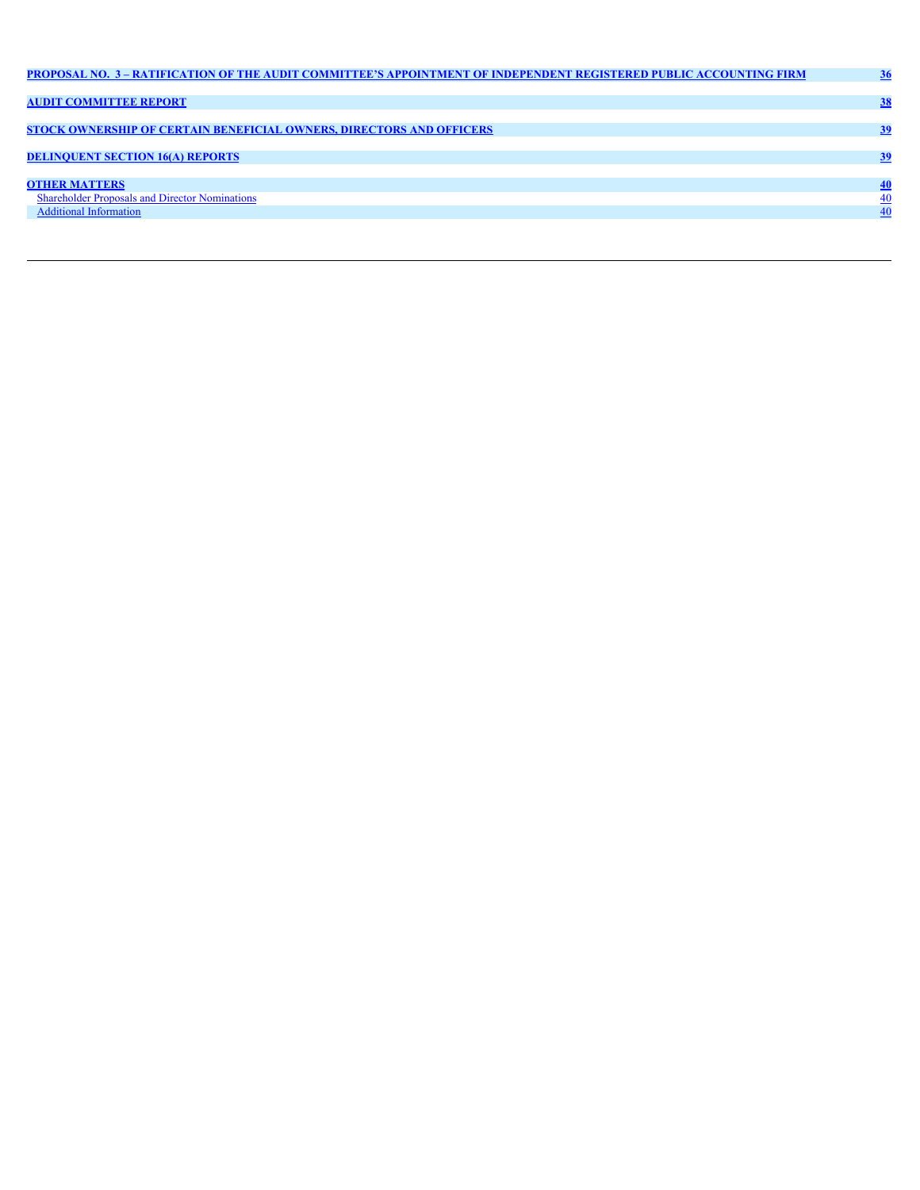| PROPOSAL NO. 3 - RATIFICATION OF THE AUDIT COMMITTEE'S APPOINTMENT OF INDEPENDENT REGISTERED PUBLIC ACCOUNTING FIRM |  |
|---------------------------------------------------------------------------------------------------------------------|--|
|                                                                                                                     |  |
| <b>AUDIT COMMITTEE REPORT</b>                                                                                       |  |
|                                                                                                                     |  |
| <b>STOCK OWNERSHIP OF CERTAIN BENEFICIAL OWNERS, DIRECTORS AND OFFICERS</b>                                         |  |
|                                                                                                                     |  |
| <b>DELINQUENT SECTION 16(A) REPORTS</b>                                                                             |  |
|                                                                                                                     |  |
| <b>OTHER MATTERS</b>                                                                                                |  |
| <b>Shareholder Proposals and Director Nominations</b>                                                               |  |
| <b>Additional Information</b>                                                                                       |  |
|                                                                                                                     |  |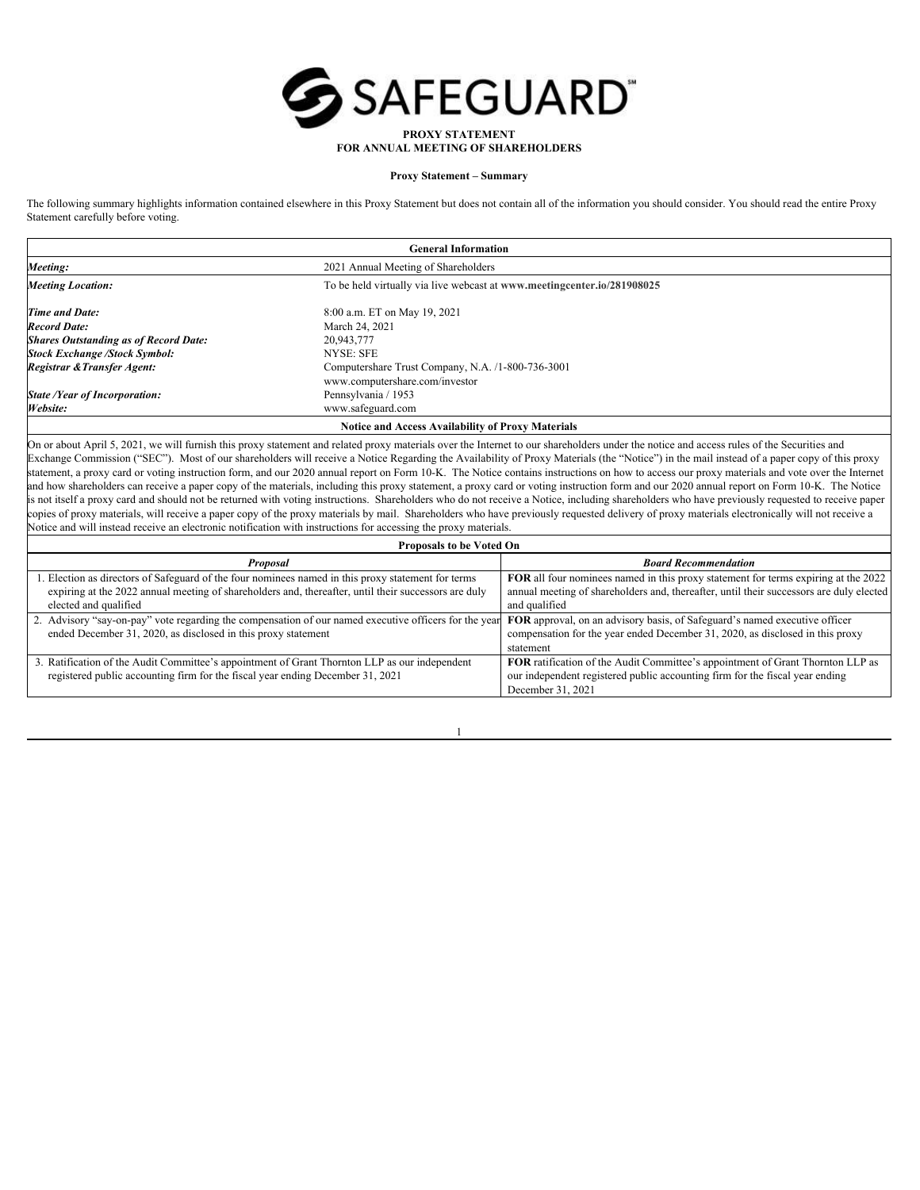

# **FOR ANNUAL MEETING OF SHAREHOLDERS**

# <span id="page-4-0"></span>**Proxy Statement – Summary**

The following summary highlights information contained elsewhere in this Proxy Statement but does not contain all of the information you should consider. You should read the entire Proxy Statement carefully before voting.

| <b>General Information</b>                               |                                                                         |  |  |
|----------------------------------------------------------|-------------------------------------------------------------------------|--|--|
| Meeting:                                                 | 2021 Annual Meeting of Shareholders                                     |  |  |
| <b>Meeting Location:</b>                                 | To be held virtually via live webcast at www.meetingcenter.io/281908025 |  |  |
| <b>Time and Date:</b>                                    | 8:00 a.m. ET on May 19, 2021                                            |  |  |
| <b>Record Date:</b>                                      | March 24, 2021                                                          |  |  |
| <b>Shares Outstanding as of Record Date:</b>             | 20,943,777                                                              |  |  |
| <b>Stock Exchange /Stock Symbol:</b>                     | NYSE: SFE                                                               |  |  |
| Registrar & Transfer Agent:                              | Computershare Trust Company, N.A. /1-800-736-3001                       |  |  |
|                                                          | www.computershare.com/investor                                          |  |  |
| <b>State /Year of Incorporation:</b>                     | Pennsylvania / 1953                                                     |  |  |
| Website:                                                 | www.safeguard.com                                                       |  |  |
| <b>Notice and Access Availability of Proxy Materials</b> |                                                                         |  |  |

On or about April 5, 2021, we will furnish this proxy statement and related proxy materials over the Internet to our shareholders under the notice and access rules of the Securities and Exchange Commission ("SEC"). Most of our shareholders will receive a Notice Regarding the Availability of Proxy Materials (the "Notice") in the mail instead of a paper copy of this proxy statement, a proxy card or voting instruction form, and our 2020 annual report on Form 10-K. The Notice contains instructions on how to access our proxy materials and vote over the Internet and how shareholders can receive a paper copy of the materials, including this proxy statement, a proxy card or voting instruction form and our 2020 annual report on Form 10-K. The Notice is not itself a proxy card and should not be returned with voting instructions. Shareholders who do not receive a Notice, including shareholders who have previously requested to receive paper copies of proxy materials, will receive a paper copy of the proxy materials by mail. Shareholders who have previously requested delivery of proxy materials electronically will not receive a Notice and will instead receive an electronic notification with instructions for accessing the proxy materials.

| Proposals to be Voted On                                                                                                                                                                |                                                                                         |  |  |  |
|-----------------------------------------------------------------------------------------------------------------------------------------------------------------------------------------|-----------------------------------------------------------------------------------------|--|--|--|
| Proposal                                                                                                                                                                                | <b>Board Recommendation</b>                                                             |  |  |  |
| . Election as directors of Safeguard of the four nominees named in this proxy statement for terms                                                                                       | FOR all four nominees named in this proxy statement for terms expiring at the 2022      |  |  |  |
| expiring at the 2022 annual meeting of shareholders and, thereafter, until their successors are duly                                                                                    | annual meeting of shareholders and, thereafter, until their successors are duly elected |  |  |  |
| elected and qualified                                                                                                                                                                   | and qualified                                                                           |  |  |  |
| 2. Advisory "say-on-pay" vote regarding the compensation of our named executive officers for the year <b>FOR</b> approval, on an advisory basis, of Safeguard's named executive officer |                                                                                         |  |  |  |
| ended December 31, 2020, as disclosed in this proxy statement                                                                                                                           | compensation for the year ended December 31, 2020, as disclosed in this proxy           |  |  |  |
|                                                                                                                                                                                         | statement                                                                               |  |  |  |
| . Ratification of the Audit Committee's appointment of Grant Thornton LLP as our independent                                                                                            | FOR ratification of the Audit Committee's appointment of Grant Thornton LLP as          |  |  |  |
| registered public accounting firm for the fiscal year ending December 31, 2021                                                                                                          | our independent registered public accounting firm for the fiscal year ending            |  |  |  |
|                                                                                                                                                                                         | December 31, 2021                                                                       |  |  |  |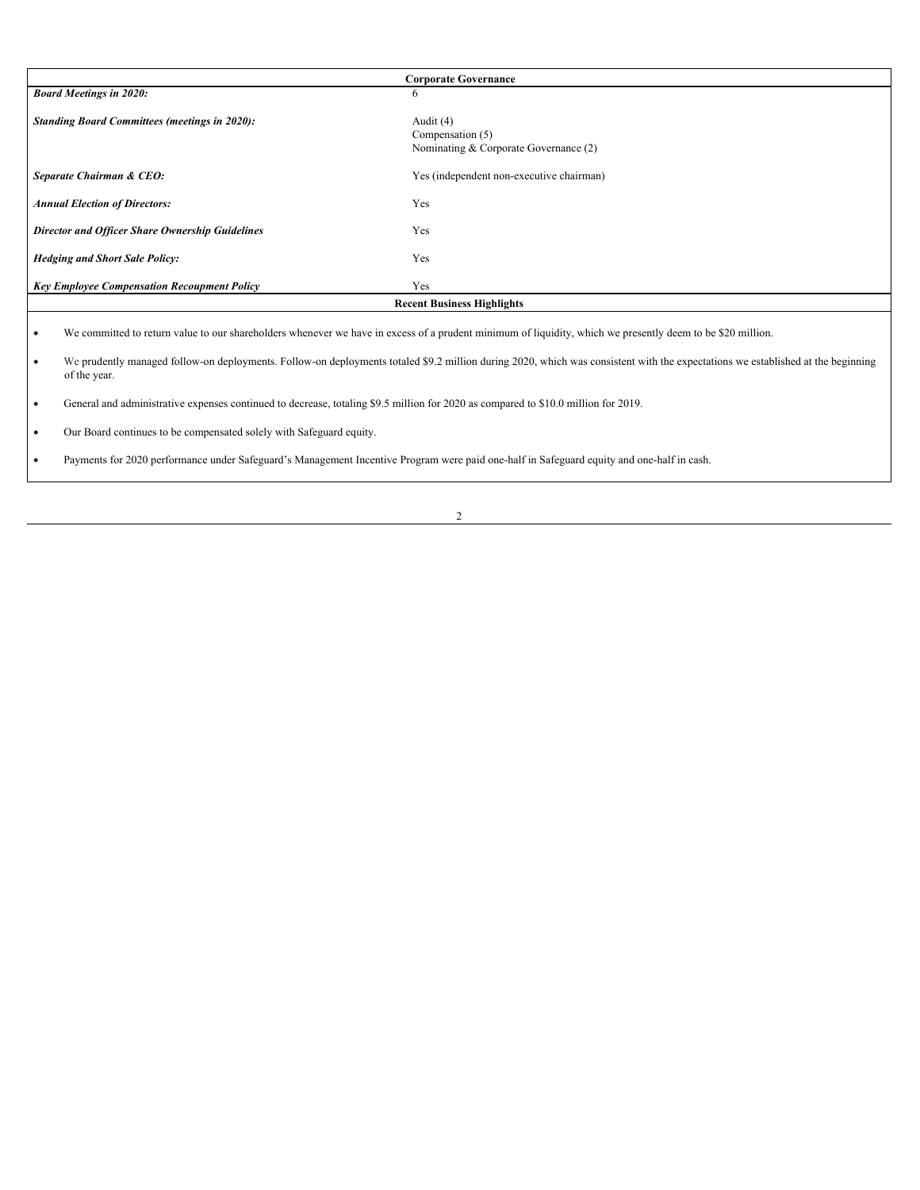|                                                        | <b>Corporate Governance</b>                                              |
|--------------------------------------------------------|--------------------------------------------------------------------------|
| <b>Board Meetings in 2020:</b>                         | 6                                                                        |
| <b>Standing Board Committees (meetings in 2020):</b>   | Audit $(4)$<br>Compensation (5)<br>Nominating & Corporate Governance (2) |
| Separate Chairman & CEO:                               | Yes (independent non-executive chairman)                                 |
| <b>Annual Election of Directors:</b>                   | Yes                                                                      |
| <b>Director and Officer Share Ownership Guidelines</b> | Yes                                                                      |
| <b>Hedging and Short Sale Policy:</b>                  | Yes                                                                      |
| <b>Key Employee Compensation Recoupment Policy</b>     | Yes                                                                      |
|                                                        | <b>Recent Business Highlights</b>                                        |
|                                                        |                                                                          |

· We committed to return value to our shareholders whenever we have in excess of a prudent minimum of liquidity, which we presently deem to be \$20 million.

· We prudently managed follow-on deployments. Follow-on deployments totaled \$9.2 million during 2020, which was consistent with the expectations we established at the beginning of the year.

· General and administrative expenses continued to decrease, totaling \$9.5 million for 2020 as compared to \$10.0 million for 2019.

· Our Board continues to be compensated solely with Safeguard equity.

· Payments for 2020 performance under Safeguard's Management Incentive Program were paid one-half in Safeguard equity and one-half in cash.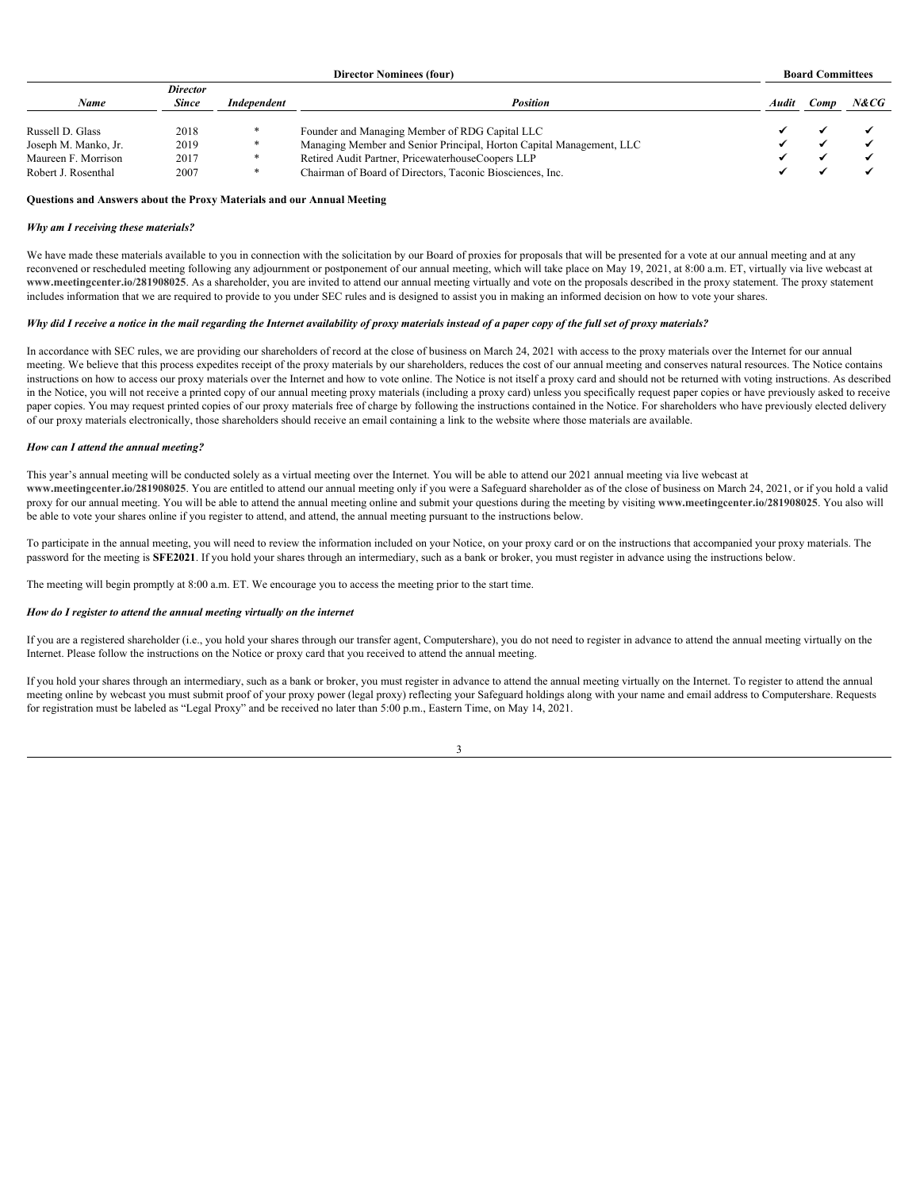| <b>Director Nominees (four)</b> |                 |             | <b>Board Committees</b>                                              |  |            |      |
|---------------------------------|-----------------|-------------|----------------------------------------------------------------------|--|------------|------|
|                                 | <b>Director</b> |             |                                                                      |  |            |      |
| Name                            | <b>Since</b>    | Independent | Position                                                             |  | Audit Comp | N&CG |
|                                 |                 |             |                                                                      |  |            |      |
| Russell D. Glass                | 2018            |             | Founder and Managing Member of RDG Capital LLC                       |  |            |      |
| Joseph M. Manko, Jr.            | 2019            |             | Managing Member and Senior Principal, Horton Capital Management, LLC |  |            |      |
| Maureen F. Morrison             | 2017            |             | Retired Audit Partner, PricewaterhouseCoopers LLP                    |  |            |      |
| Robert J. Rosenthal             | 2007            |             | Chairman of Board of Directors, Taconic Biosciences, Inc.            |  |            |      |
|                                 |                 |             |                                                                      |  |            |      |

# <span id="page-6-0"></span>**Questions and Answers about the Proxy Materials and our Annual Meeting**

#### *Why am I receiving these materials?*

We have made these materials available to you in connection with the solicitation by our Board of proxies for proposals that will be presented for a vote at our annual meeting and at any reconvened or rescheduled meeting following any adjournment or postponement of our annual meeting, which will take place on May 19, 2021, at 8:00 a.m. ET, virtually via live webcast at www.meetingcenter.io/281908025. As a shareholder, you are invited to attend our annual meeting virtually and vote on the proposals described in the proxy statement. The proxy statement includes information that we are required to provide to you under SEC rules and is designed to assist you in making an informed decision on how to vote your shares.

# *Why did I receive a notice in the mail regarding the Internet availability of proxy materials instead of a paper copy of the full set of proxy materials?*

In accordance with SEC rules, we are providing our shareholders of record at the close of business on March 24, 2021 with access to the proxy materials over the Internet for our annual meeting. We believe that this process expedites receipt of the proxy materials by our shareholders, reduces the cost of our annual meeting and conserves natural resources. The Notice contains instructions on how to access our proxy materials over the Internet and how to vote online. The Notice is not itself a proxy card and should not be returned with voting instructions. As described in the Notice, you will not receive a printed copy of our annual meeting proxy materials (including a proxy card) unless you specifically request paper copies or have previously asked to receive paper copies. You may request printed copies of our proxy materials free of charge by following the instructions contained in the Notice. For shareholders who have previously elected delivery of our proxy materials electronically, those shareholders should receive an email containing a link to the website where those materials are available.

#### *How can I attend the annual meeting?*

This year's annual meeting will be conducted solely as a virtual meeting over the Internet. You will be able to attend our 2021 annual meeting via live webcast at www.meetingcenter.io/281908025. You are entitled to attend our annual meeting only if you were a Safeguard shareholder as of the close of business on March 24, 2021, or if you hold a valid proxy for our annual meeting. You will be able to attend the annual meeting online and submit your questions during the meeting by visiting **www.meetingcenter.io/281908025**. You also will be able to vote your shares online if you register to attend, and attend, the annual meeting pursuant to the instructions below.

To participate in the annual meeting, you will need to review the information included on your Notice, on your proxy card or on the instructions that accompanied your proxy materials. The password for the meeting is **SFE2021**. If you hold your shares through an intermediary, such as a bank or broker, you must register in advance using the instructions below.

The meeting will begin promptly at 8:00 a.m. ET. We encourage you to access the meeting prior to the start time.

# *How do I register to attend the annual meeting virtually on the internet*

If you are a registered shareholder (i.e., you hold your shares through our transfer agent, Computershare), you do not need to register in advance to attend the annual meeting virtually on the Internet. Please follow the instructions on the Notice or proxy card that you received to attend the annual meeting.

If you hold your shares through an intermediary, such as a bank or broker, you must register in advance to attend the annual meeting virtually on the Internet. To register to attend the annual meeting online by webcast you must submit proof of your proxy power (legal proxy) reflecting your Safeguard holdings along with your name and email address to Computershare. Requests for registration must be labeled as "Legal Proxy" and be received no later than 5:00 p.m., Eastern Time, on May 14, 2021.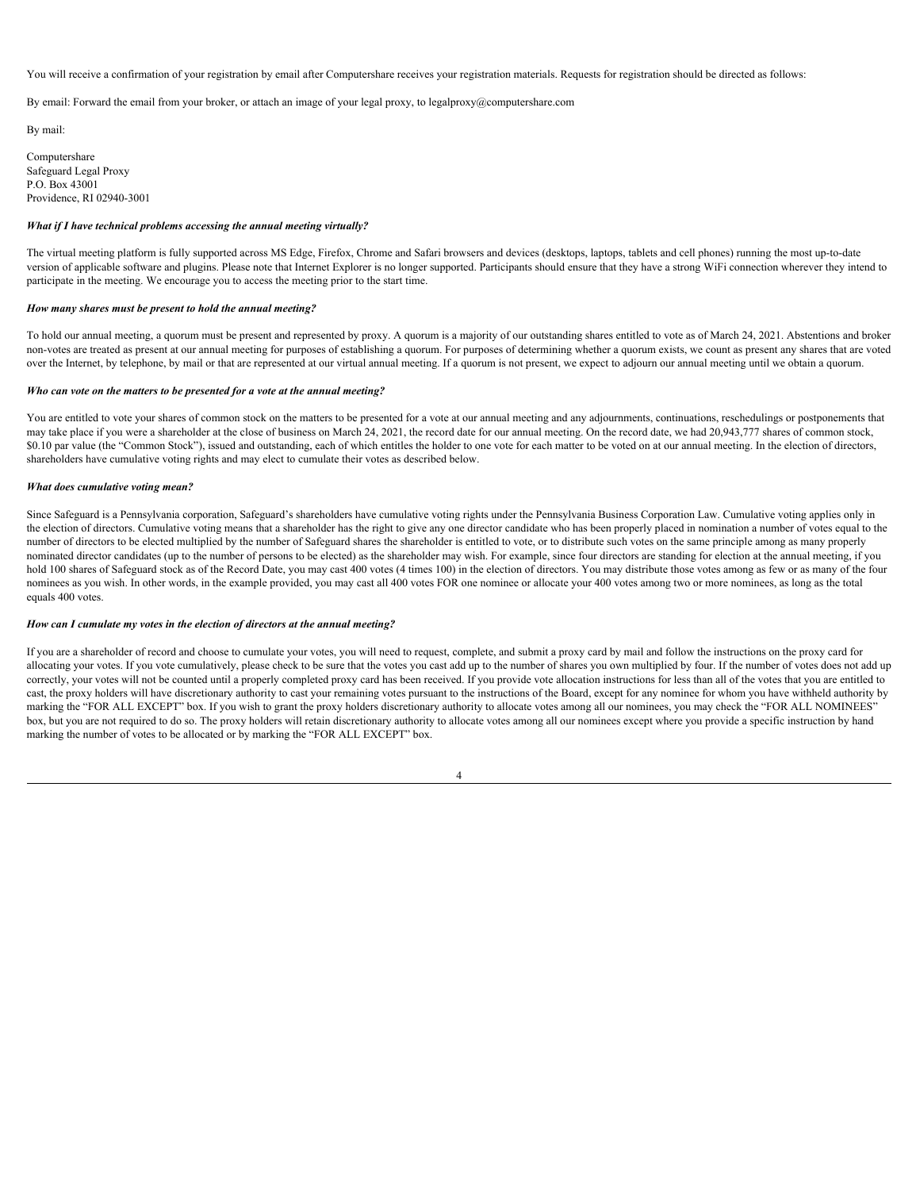You will receive a confirmation of your registration by email after Computershare receives your registration materials. Requests for registration should be directed as follows:

By email: Forward the email from your broker, or attach an image of your legal proxy, to legalproxy $@$ computershare.com

By mail:

Computershare Safeguard Legal Proxy P.O. Box 43001 Providence, RI 02940-3001

#### *What if I have technical problems accessing the annual meeting virtually?*

The virtual meeting platform is fully supported across MS Edge, Firefox, Chrome and Safari browsers and devices (desktops, laptops, tablets and cell phones) running the most up-to-date version of applicable software and plugins. Please note that Internet Explorer is no longer supported. Participants should ensure that they have a strong WiFi connection wherever they intend to participate in the meeting. We encourage you to access the meeting prior to the start time.

#### *How many shares must be present to hold the annual meeting?*

To hold our annual meeting, a quorum must be present and represented by proxy. A quorum is a majority of our outstanding shares entitled to vote as of March 24, 2021. Abstentions and broker non-votes are treated as present at our annual meeting for purposes of establishing a quorum. For purposes of determining whether a quorum exists, we count as present any shares that are voted over the Internet, by telephone, by mail or that are represented at our virtual annual meeting. If a quorum is not present, we expect to adjourn our annual meeting until we obtain a quorum.

#### *Who can vote on the matters to be presented for a vote at the annual meeting?*

You are entitled to vote your shares of common stock on the matters to be presented for a vote at our annual meeting and any adjournments, continuations, reschedulings or postponements that may take place if you were a shareholder at the close of business on March 24, 2021, the record date for our annual meeting. On the record date, we had 20,943,777 shares of common stock, \$0.10 par value (the "Common Stock"), issued and outstanding, each of which entitles the holder to one vote for each matter to be voted on at our annual meeting. In the election of directors, shareholders have cumulative voting rights and may elect to cumulate their votes as described below.

#### *What does cumulative voting mean?*

Since Safeguard is a Pennsylvania corporation, Safeguard's shareholders have cumulative voting rights under the Pennsylvania Business Corporation Law. Cumulative voting applies only in the election of directors. Cumulative voting means that a shareholder has the right to give any one director candidate who has been properly placed in nomination a number of votes equal to the number of directors to be elected multiplied by the number of Safeguard shares the shareholder is entitled to vote, or to distribute such votes on the same principle among as many properly nominated director candidates (up to the number of persons to be elected) as the shareholder may wish. For example, since four directors are standing for election at the annual meeting, if you hold 100 shares of Safeguard stock as of the Record Date, you may cast 400 votes (4 times 100) in the election of directors. You may distribute those votes among as few or as many of the four nominees as you wish. In other words, in the example provided, you may cast all 400 votes FOR one nominee or allocate your 400 votes among two or more nominees, as long as the total equals 400 votes.

#### *How can I cumulate my votes in the election of directors at the annual meeting?*

If you are a shareholder of record and choose to cumulate your votes, you will need to request, complete, and submit a proxy card by mail and follow the instructions on the proxy card for allocating your votes. If you vote cumulatively, please check to be sure that the votes you cast add up to the number of shares you own multiplied by four. If the number of votes does not add up correctly, your votes will not be counted until a properly completed proxy card has been received. If you provide vote allocation instructions for less than all of the votes that you are entitled to cast, the proxy holders will have discretionary authority to cast your remaining votes pursuant to the instructions of the Board, except for any nominee for whom you have withheld authority by marking the "FOR ALL EXCEPT" box. If you wish to grant the proxy holders discretionary authority to allocate votes among all our nominees, you may check the "FOR ALL NOMINEES" box, but you are not required to do so. The proxy holders will retain discretionary authority to allocate votes among all our nominees except where you provide a specific instruction by hand marking the number of votes to be allocated or by marking the "FOR ALL EXCEPT" box.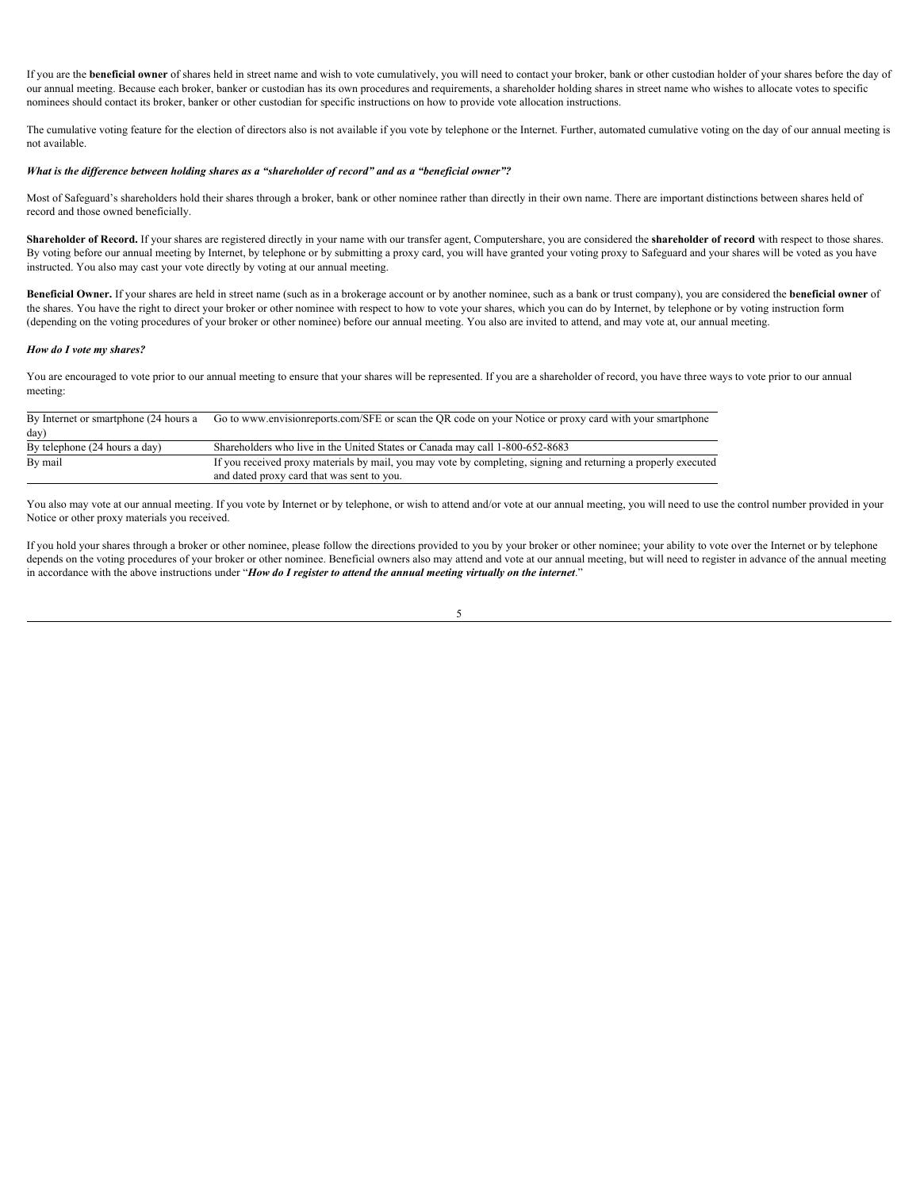If you are the **beneficial owner** of shares held in street name and wish to vote cumulatively, you will need to contact your broker, bank or other custodian holder of your shares before the day of our annual meeting. Because each broker, banker or custodian has its own procedures and requirements, a shareholder holding shares in street name who wishes to allocate votes to specific nominees should contact its broker, banker or other custodian for specific instructions on how to provide vote allocation instructions.

The cumulative voting feature for the election of directors also is not available if you vote by telephone or the Internet. Further, automated cumulative voting on the day of our annual meeting is not available.

# *What is the difference between holding shares as a "shareholder of record" and as a "beneficial owner"?*

Most of Safeguard's shareholders hold their shares through a broker, bank or other nominee rather than directly in their own name. There are important distinctions between shares held of record and those owned beneficially.

Shareholder of Record. If your shares are registered directly in your name with our transfer agent, Computershare, you are considered the shareholder of record with respect to those shares. By voting before our annual meeting by Internet, by telephone or by submitting a proxy card, you will have granted your voting proxy to Safeguard and your shares will be voted as you have instructed. You also may cast your vote directly by voting at our annual meeting.

**Beneficial Owner.** If your shares are held in street name (such as in a brokerage account or by another nominee, such as a bank or trust company), you are considered the **beneficial owner** of the shares. You have the right to direct your broker or other nominee with respect to how to vote your shares, which you can do by Internet, by telephone or by voting instruction form (depending on the voting procedures of your broker or other nominee) before our annual meeting. You also are invited to attend, and may vote at, our annual meeting.

#### *How do I vote my shares?*

You are encouraged to vote prior to our annual meeting to ensure that your shares will be represented. If you are a shareholder of record, you have three ways to vote prior to our annual meeting:

| By Internet or smartphone (24 hours a | Go to www.envisionreports.com/SFE or scan the OR code on your Notice or proxy card with your smartphone        |
|---------------------------------------|----------------------------------------------------------------------------------------------------------------|
| day)                                  |                                                                                                                |
| By telephone (24 hours a day)         | Shareholders who live in the United States or Canada may call 1-800-652-8683                                   |
| By mail                               | If you received proxy materials by mail, you may vote by completing, signing and returning a properly executed |
|                                       | and dated proxy card that was sent to you.                                                                     |

You also may vote at our annual meeting. If you vote by Internet or by telephone, or wish to attend and/or vote at our annual meeting, you will need to use the control number provided in your Notice or other proxy materials you received.

If you hold your shares through a broker or other nominee, please follow the directions provided to you by your broker or other nominee; your ability to vote over the Internet or by telephone depends on the voting procedures of your broker or other nominee. Beneficial owners also may attend and vote at our annual meeting, but will need to register in advance of the annual meeting in accordance with the above instructions under "*How do I register to attend the annual meeting virtually on the internet*."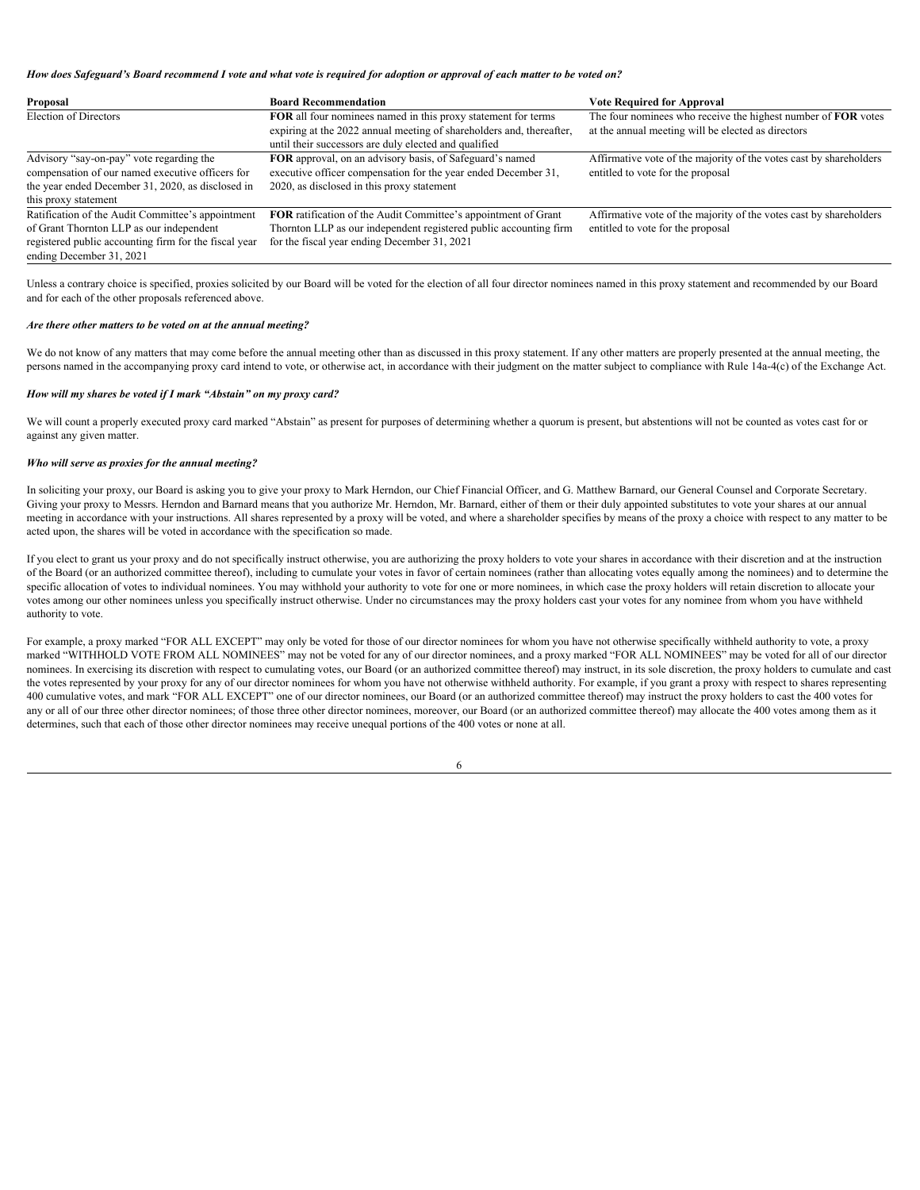#### *How does Safeguard's Board recommend I vote and what vote is required for adoption or approval of each matter to be voted on?*

| Proposal                                              | <b>Board Recommendation</b>                                           | <b>Vote Required for Approval</b>                                  |
|-------------------------------------------------------|-----------------------------------------------------------------------|--------------------------------------------------------------------|
| Election of Directors                                 | <b>FOR</b> all four nominees named in this proxy statement for terms  | The four nominees who receive the highest number of FOR votes      |
|                                                       | expiring at the 2022 annual meeting of shareholders and, thereafter,  | at the annual meeting will be elected as directors                 |
|                                                       | until their successors are duly elected and qualified                 |                                                                    |
| Advisory "say-on-pay" vote regarding the              | <b>FOR</b> approval, on an advisory basis, of Safeguard's named       | Affirmative vote of the majority of the votes cast by shareholders |
| compensation of our named executive officers for      | executive officer compensation for the year ended December 31,        | entitled to vote for the proposal                                  |
| the year ended December 31, 2020, as disclosed in     | 2020, as disclosed in this proxy statement                            |                                                                    |
| this proxy statement                                  |                                                                       |                                                                    |
| Ratification of the Audit Committee's appointment     | <b>FOR</b> ratification of the Audit Committee's appointment of Grant | Affirmative vote of the majority of the votes cast by shareholders |
| of Grant Thornton LLP as our independent              | Thornton LLP as our independent registered public accounting firm     | entitled to vote for the proposal                                  |
| registered public accounting firm for the fiscal year | for the fiscal year ending December 31, 2021                          |                                                                    |
| ending December 31, 2021                              |                                                                       |                                                                    |

Unless a contrary choice is specified, proxies solicited by our Board will be voted for the election of all four director nominees named in this proxy statement and recommended by our Board and for each of the other proposals referenced above.

#### *Are there other matters to be voted on at the annual meeting?*

We do not know of any matters that may come before the annual meeting other than as discussed in this proxy statement. If any other matters are properly presented at the annual meeting, the persons named in the accompanying proxy card intend to vote, or otherwise act, in accordance with their judgment on the matter subject to compliance with Rule 14a-4(c) of the Exchange Act.

# *How will my shares be voted if I mark "Abstain" on my proxy card?*

We will count a properly executed proxy card marked "Abstain" as present for purposes of determining whether a quorum is present, but abstentions will not be counted as votes cast for or against any given matter.

#### *Who will serve as proxies for the annual meeting?*

In soliciting your proxy, our Board is asking you to give your proxy to Mark Herndon, our Chief Financial Officer, and G. Matthew Barnard, our General Counsel and Corporate Secretary. Giving your proxy to Messrs. Herndon and Barnard means that you authorize Mr. Herndon, Mr. Barnard, either of them or their duly appointed substitutes to vote your shares at our annual meeting in accordance with your instructions. All shares represented by a proxy will be voted, and where a shareholder specifies by means of the proxy a choice with respect to any matter to be acted upon, the shares will be voted in accordance with the specification so made.

If you elect to grant us your proxy and do not specifically instruct otherwise, you are authorizing the proxy holders to vote your shares in accordance with their discretion and at the instruction of the Board (or an authorized committee thereof), including to cumulate your votes in favor of certain nominees (rather than allocating votes equally among the nominees) and to determine the specific allocation of votes to individual nominees. You may withhold your authority to vote for one or more nominees, in which case the proxy holders will retain discretion to allocate your votes among our other nominees unless you specifically instruct otherwise. Under no circumstances may the proxy holders cast your votes for any nominee from whom you have withheld authority to vote.

 For example, a proxy marked "FOR ALL EXCEPT" may only be voted for those of our director nominees for whom you have not otherwise specifically withheld authority to vote, a proxy marked "WITHHOLD VOTE FROM ALL NOMINEES" may not be voted for any of our director nominees, and a proxy marked "FOR ALL NOMINEES" may be voted for all of our director nominees. In exercising its discretion with respect to cumulating votes, our Board (or an authorized committee thereof) may instruct, in its sole discretion, the proxy holders to cumulate and cast the votes represented by your proxy for any of our director nominees for whom you have not otherwise withheld authority. For example, if you grant a proxy with respect to shares representing 400 cumulative votes, and mark "FOR ALL EXCEPT" one of our director nominees, our Board (or an authorized committee thereof) may instruct the proxy holders to cast the 400 votes for any or all of our three other director nominees; of those three other director nominees, moreover, our Board (or an authorized committee thereof) may allocate the 400 votes among them as it determines, such that each of those other director nominees may receive unequal portions of the 400 votes or none at all.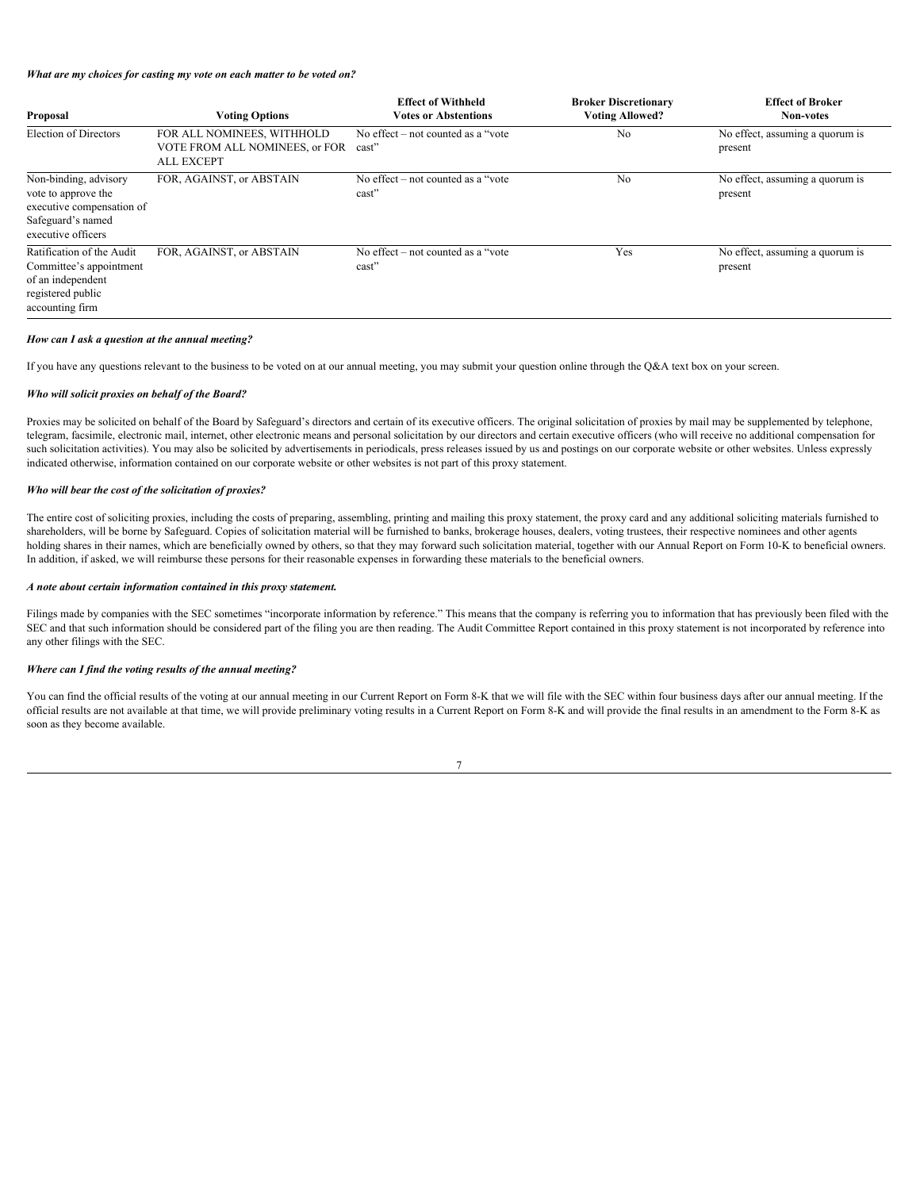# *What are my choices for casting my vote on each matter to be voted on?*

| Proposal                                                                                                             | <b>Voting Options</b>                                                             | <b>Effect of Withheld</b><br><b>Votes or Abstentions</b> | <b>Broker Discretionary</b><br><b>Voting Allowed?</b> | <b>Effect of Broker</b><br>Non-votes       |
|----------------------------------------------------------------------------------------------------------------------|-----------------------------------------------------------------------------------|----------------------------------------------------------|-------------------------------------------------------|--------------------------------------------|
| <b>Election of Directors</b>                                                                                         | FOR ALL NOMINEES, WITHHOLD<br>VOTE FROM ALL NOMINEES, or FOR<br><b>ALL EXCEPT</b> | No effect $-$ not counted as a "vote"<br>cast"           | N <sub>o</sub>                                        | No effect, assuming a quorum is<br>present |
| Non-binding, advisory<br>vote to approve the<br>executive compensation of<br>Safeguard's named<br>executive officers | FOR, AGAINST, or ABSTAIN                                                          | No effect $-$ not counted as a "vote"<br>cast            | N <sub>0</sub>                                        | No effect, assuming a quorum is<br>present |
| Ratification of the Audit<br>Committee's appointment<br>of an independent<br>registered public<br>accounting firm    | FOR, AGAINST, or ABSTAIN                                                          | No effect – not counted as a "vote"<br>cast              | Yes                                                   | No effect, assuming a quorum is<br>present |

#### *How can I ask a question at the annual meeting?*

If you have any questions relevant to the business to be voted on at our annual meeting, you may submit your question online through the Q&A text box on your screen.

# *Who will solicit proxies on behalf of the Board?*

Proxies may be solicited on behalf of the Board by Safeguard's directors and certain of its executive officers. The original solicitation of proxies by mail may be supplemented by telephone, telegram, facsimile, electronic mail, internet, other electronic means and personal solicitation by our directors and certain executive officers (who will receive no additional compensation for such solicitation activities). You may also be solicited by advertisements in periodicals, press releases issued by us and postings on our corporate website or other websites. Unless expressly indicated otherwise, information contained on our corporate website or other websites is not part of this proxy statement.

#### *Who will bear the cost of the solicitation of proxies?*

The entire cost of soliciting proxies, including the costs of preparing, assembling, printing and mailing this proxy statement, the proxy card and any additional soliciting materials furnished to shareholders, will be borne by Safeguard. Copies of solicitation material will be furnished to banks, brokerage houses, dealers, voting trustees, their respective nominees and other agents holding shares in their names, which are beneficially owned by others, so that they may forward such solicitation material, together with our Annual Report on Form 10-K to beneficial owners. In addition, if asked, we will reimburse these persons for their reasonable expenses in forwarding these materials to the beneficial owners.

# *A note about certain information contained in this proxy statement.*

Filings made by companies with the SEC sometimes "incorporate information by reference." This means that the company is referring you to information that has previously been filed with the SEC and that such information should be considered part of the filing you are then reading. The Audit Committee Report contained in this proxy statement is not incorporated by reference into any other filings with the SEC.

# *Where can I find the voting results of the annual meeting?*

You can find the official results of the voting at our annual meeting in our Current Report on Form 8-K that we will file with the SEC within four business days after our annual meeting. If the official results are not available at that time, we will provide preliminary voting results in a Current Report on Form 8-K and will provide the final results in an amendment to the Form 8-K as soon as they become available.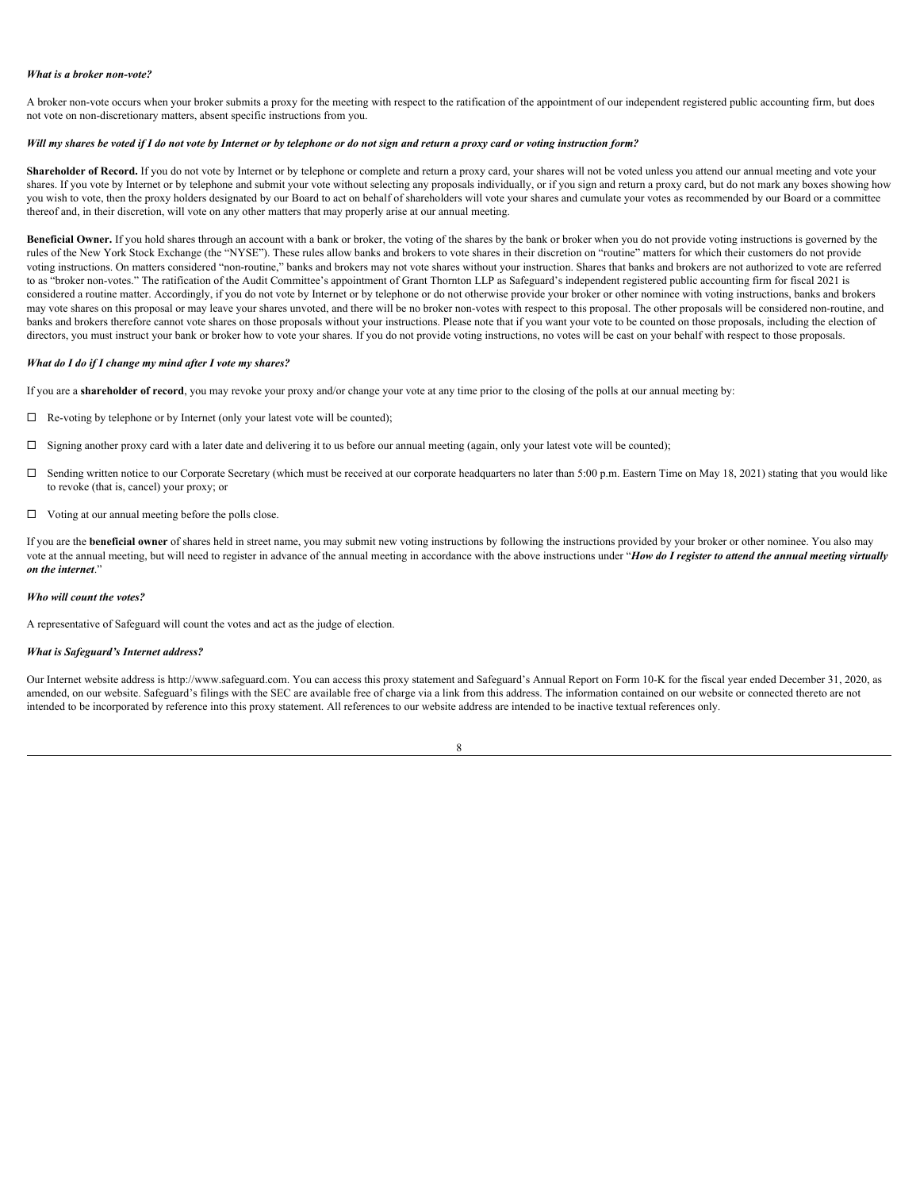#### *What is a broker non-vote?*

A broker non-vote occurs when your broker submits a proxy for the meeting with respect to the ratification of the appointment of our independent registered public accounting firm, but does not vote on non-discretionary matters, absent specific instructions from you.

# *Will my shares be voted if I do not vote by Internet or by telephone or do not sign and return a proxy card or voting instruction form?*

Shareholder of Record. If you do not vote by Internet or by telephone or complete and return a proxy card, your shares will not be voted unless you attend our annual meeting and vote your shares. If you vote by Internet or by telephone and submit your vote without selecting any proposals individually, or if you sign and return a proxy card, but do not mark any boxes showing how you wish to vote, then the proxy holders designated by our Board to act on behalf of shareholders will vote your shares and cumulate your votes as recommended by our Board or a committee thereof and, in their discretion, will vote on any other matters that may properly arise at our annual meeting.

Beneficial Owner. If you hold shares through an account with a bank or broker, the voting of the shares by the bank or broker when you do not provide voting instructions is governed by the rules of the New York Stock Exchange (the "NYSE"). These rules allow banks and brokers to vote shares in their discretion on "routine" matters for which their customers do not provide voting instructions. On matters considered "non-routine," banks and brokers may not vote shares without your instruction. Shares that banks and brokers are not authorized to vote are referred to as "broker non-votes." The ratification of the Audit Committee's appointment of Grant Thornton LLP as Safeguard's independent registered public accounting firm for fiscal 2021 is considered a routine matter. Accordingly, if you do not vote by Internet or by telephone or do not otherwise provide your broker or other nominee with voting instructions, banks and brokers may vote shares on this proposal or may leave your shares unvoted, and there will be no broker non-votes with respect to this proposal. The other proposals will be considered non-routine, and banks and brokers therefore cannot vote shares on those proposals without your instructions. Please note that if you want your vote to be counted on those proposals, including the election of directors, you must instruct your bank or broker how to vote your shares. If you do not provide voting instructions, no votes will be cast on your behalf with respect to those proposals.

#### *What do I do if I change my mind after I vote my shares?*

If you are a **shareholder of record**, you may revoke your proxy and/or change your vote at any time prior to the closing of the polls at our annual meeting by:

- $\Box$  Re-voting by telephone or by Internet (only your latest vote will be counted);
- $\Box$  Signing another proxy card with a later date and delivering it to us before our annual meeting (again, only your latest vote will be counted);
- □ Sending written notice to our Corporate Secretary (which must be received at our corporate headquarters no later than 5:00 p.m. Eastern Time on May 18, 2021) stating that you would like to revoke (that is, cancel) your proxy; or
- $\Box$  Voting at our annual meeting before the polls close.

If you are the **beneficial owner** of shares held in street name, you may submit new voting instructions by following the instructions provided by your broker or other nominee. You also may vote at the annual meeting, but will need to register in advance of the annual meeting in accordance with the above instructions under "*How do I register to attend the annual meeting virtually on the internet*."

# *Who will count the votes?*

A representative of Safeguard will count the votes and act as the judge of election.

# *What is Safeguard's Internet address?*

Our Internet website address is http://www.safeguard.com. You can access this proxy statement and Safeguard's Annual Report on Form 10-K for the fiscal year ended December 31, 2020, as amended, on our website. Safeguard's filings with the SEC are available free of charge via a link from this address. The information contained on our website or connected thereto are not intended to be incorporated by reference into this proxy statement. All references to our website address are intended to be inactive textual references only.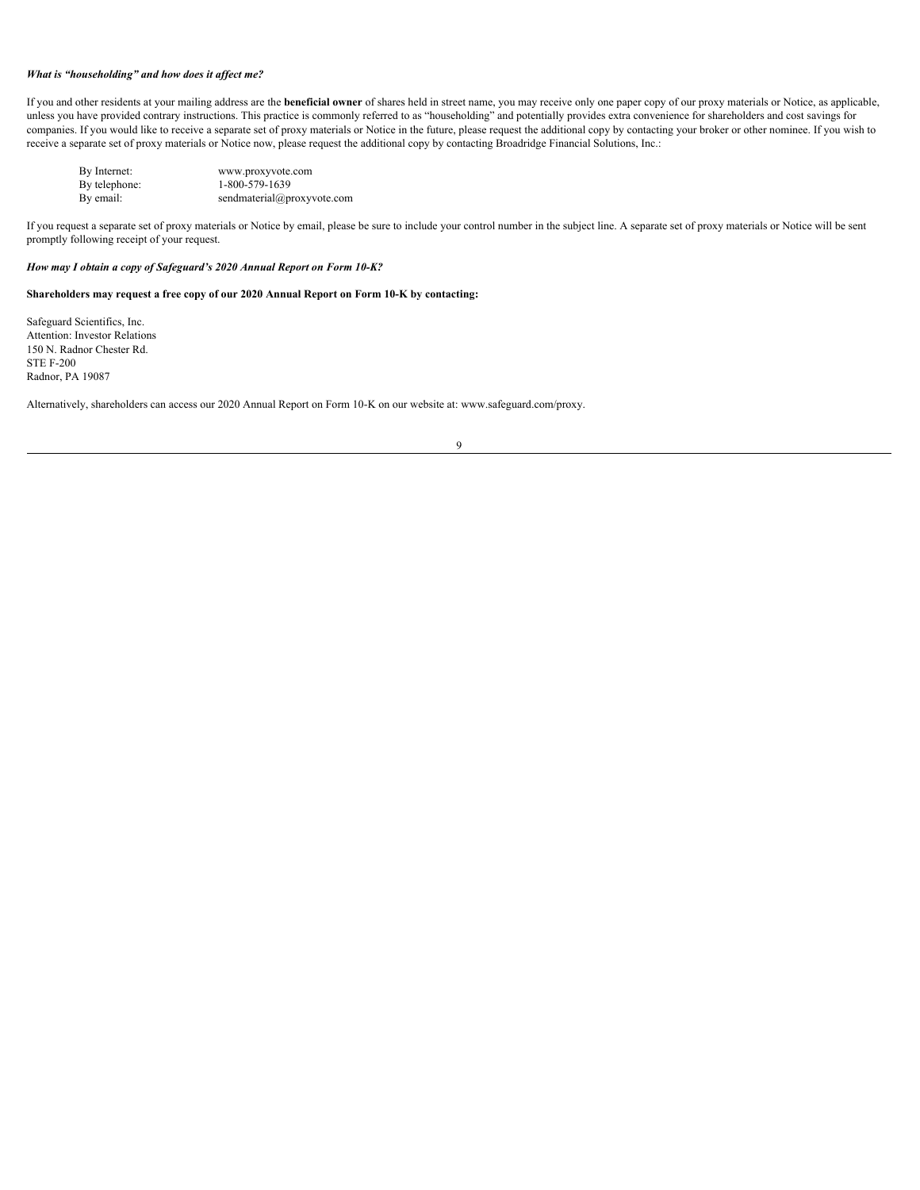# *What is "householding" and how does it affect me?*

If you and other residents at your mailing address are the **beneficial owner** of shares held in street name, you may receive only one paper copy of our proxy materials or Notice, as applicable, unless you have provided contrary instructions. This practice is commonly referred to as "householding" and potentially provides extra convenience for shareholders and cost savings for companies. If you would like to receive a separate set of proxy materials or Notice in the future, please request the additional copy by contacting your broker or other nominee. If you wish to receive a separate set of proxy materials or Notice now, please request the additional copy by contacting Broadridge Financial Solutions, Inc.:

| By Internet:  | www.proxyvote.com          |
|---------------|----------------------------|
| By telephone: | 1-800-579-1639             |
| By email:     | sendmaterial@proxyvote.com |

If you request a separate set of proxy materials or Notice by email, please be sure to include your control number in the subject line. A separate set of proxy materials or Notice will be sent promptly following receipt of your request.

# *How may I obtain a copy of Safeguard's 2020 Annual Report on Form 10-K?*

# **Shareholders may request a free copy of our 2020 Annual Report on Form 10-K by contacting:**

Safeguard Scientifics, Inc. Attention: Investor Relations 150 N. Radnor Chester Rd. STE F-200 Radnor, PA 19087

Alternatively, shareholders can access our 2020 Annual Report on Form 10-K on our website at: www.safeguard.com/proxy.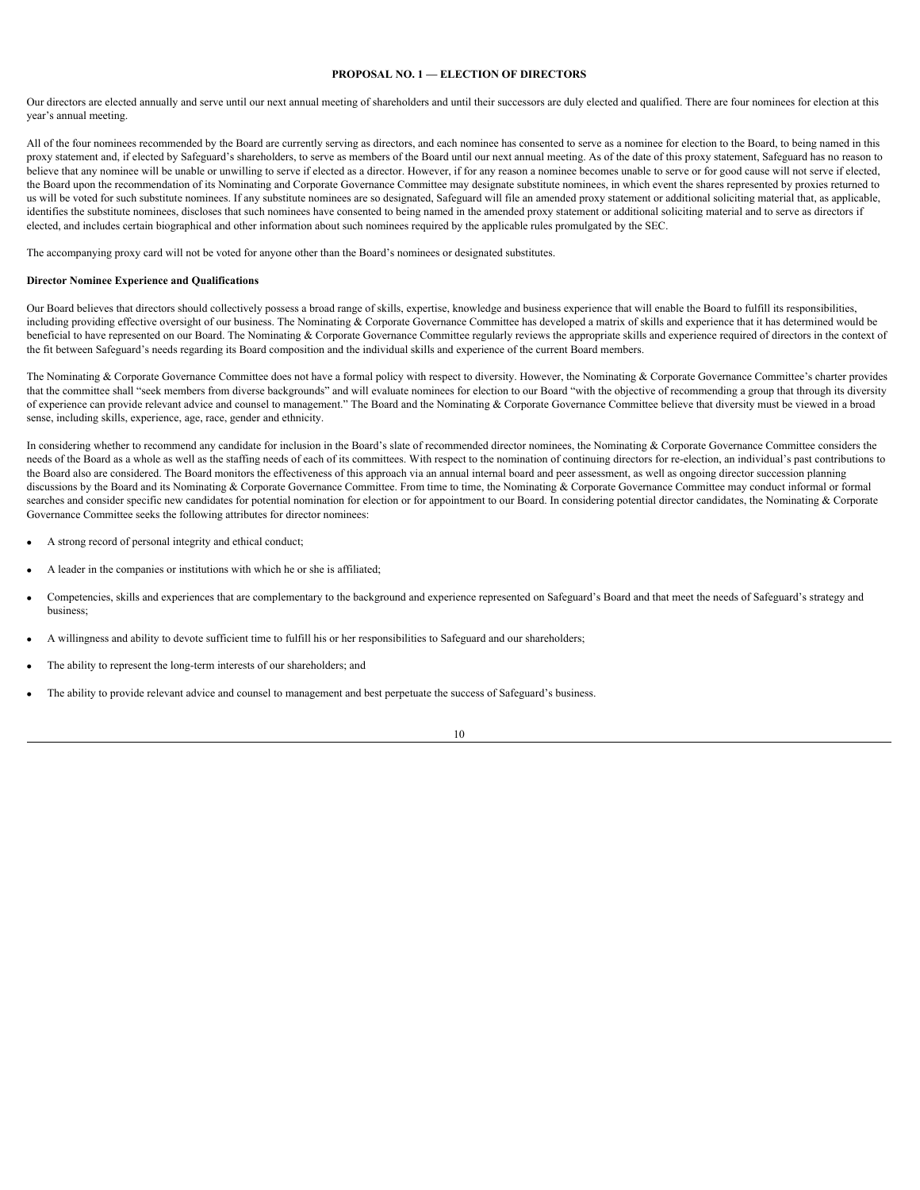# <span id="page-13-0"></span>**PROPOSAL NO. 1 — ELECTION OF DIRECTORS**

Our directors are elected annually and serve until our next annual meeting of shareholders and until their successors are duly elected and qualified. There are four nominees for election at this year's annual meeting.

All of the four nominees recommended by the Board are currently serving as directors, and each nominee has consented to serve as a nominee for election to the Board, to being named in this proxy statement and, if elected by Safeguard's shareholders, to serve as members of the Board until our next annual meeting. As of the date of this proxy statement, Safeguard has no reason to believe that any nominee will be unable or unwilling to serve if elected as a director. However, if for any reason a nominee becomes unable to serve or for good cause will not serve if elected, the Board upon the recommendation of its Nominating and Corporate Governance Committee may designate substitute nominees, in which event the shares represented by proxies returned to us will be voted for such substitute nominees. If any substitute nominees are so designated, Safeguard will file an amended proxy statement or additional soliciting material that, as applicable, identifies the substitute nominees, discloses that such nominees have consented to being named in the amended proxy statement or additional soliciting material and to serve as directors if elected, and includes certain biographical and other information about such nominees required by the applicable rules promulgated by the SEC.

The accompanying proxy card will not be voted for anyone other than the Board's nominees or designated substitutes.

#### <span id="page-13-1"></span>**Director Nominee Experience and Qualifications**

Our Board believes that directors should collectively possess a broad range of skills, expertise, knowledge and business experience that will enable the Board to fulfill its responsibilities, including providing effective oversight of our business. The Nominating & Corporate Governance Committee has developed a matrix of skills and experience that it has determined would be beneficial to have represented on our Board. The Nominating & Corporate Governance Committee regularly reviews the appropriate skills and experience required of directors in the context of the fit between Safeguard's needs regarding its Board composition and the individual skills and experience of the current Board members.

The Nominating & Corporate Governance Committee does not have a formal policy with respect to diversity. However, the Nominating & Corporate Governance Committee's charter provides that the committee shall "seek members from diverse backgrounds" and will evaluate nominees for election to our Board "with the objective of recommending a group that through its diversity of experience can provide relevant advice and counsel to management." The Board and the Nominating & Corporate Governance Committee believe that diversity must be viewed in a broad sense, including skills, experience, age, race, gender and ethnicity.

In considering whether to recommend any candidate for inclusion in the Board's slate of recommended director nominees, the Nominating  $&$  Corporate Governance Committee considers the needs of the Board as a whole as well as the staffing needs of each of its committees. With respect to the nomination of continuing directors for re-election, an individual's past contributions to the Board also are considered. The Board monitors the effectiveness of this approach via an annual internal board and peer assessment, as well as ongoing director succession planning discussions by the Board and its Nominating & Corporate Governance Committee. From time to time, the Nominating & Corporate Governance Committee may conduct informal or formal searches and consider specific new candidates for potential nomination for election or for appointment to our Board. In considering potential director candidates, the Nominating & Corporate Governance Committee seeks the following attributes for director nominees:

- · A strong record of personal integrity and ethical conduct;
- A leader in the companies or institutions with which he or she is affiliated;
- · Competencies, skills and experiences that are complementary to the background and experience represented on Safeguard's Board and that meet the needs of Safeguard's strategy and business;
- · A willingness and ability to devote sufficient time to fulfill his or her responsibilities to Safeguard and our shareholders;
- The ability to represent the long-term interests of our shareholders; and
- The ability to provide relevant advice and counsel to management and best perpetuate the success of Safeguard's business.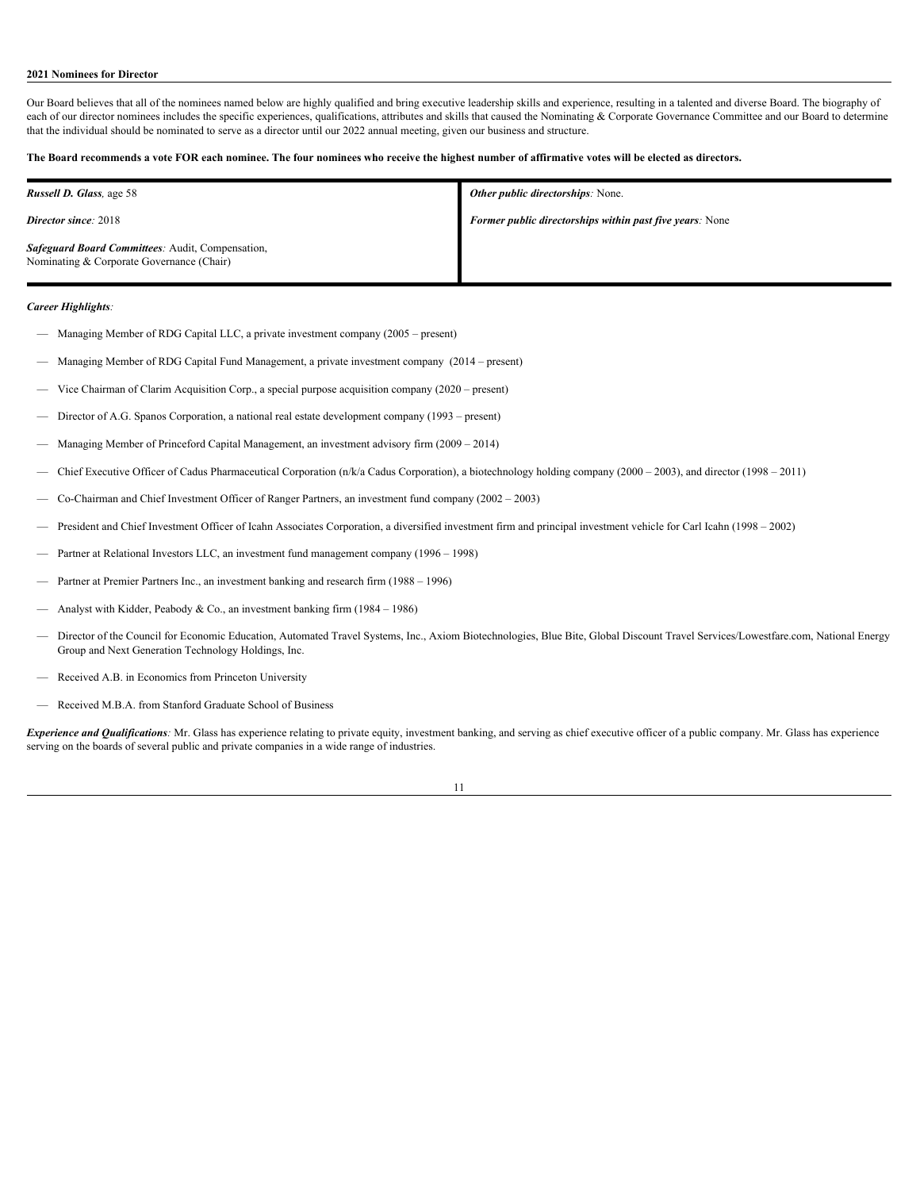# <span id="page-14-0"></span>**2021 Nominees for Director**

Our Board believes that all of the nominees named below are highly qualified and bring executive leadership skills and experience, resulting in a talented and diverse Board. The biography of each of our director nominees includes the specific experiences, qualifications, attributes and skills that caused the Nominating & Corporate Governance Committee and our Board to determine that the individual should be nominated to serve as a director until our 2022 annual meeting, given our business and structure.

# **The Board recommends a vote FOR each nominee. The four nominees who receive the highest number of affirmative votes will be elected as directors.**

| <b>Russell D. Glass, age 58</b>                                                               | <b>Other public directorships:</b> None.                        |
|-----------------------------------------------------------------------------------------------|-----------------------------------------------------------------|
| <b>Director since: 2018</b>                                                                   | <b>Former public directorships within past five years:</b> None |
| Safeguard Board Committees: Audit, Compensation,<br>Nominating & Corporate Governance (Chair) |                                                                 |

# *Career Highlights:*

- Managing Member of RDG Capital LLC, a private investment company (2005 present)
- Managing Member of RDG Capital Fund Management, a private investment company (2014 present)
- Vice Chairman of Clarim Acquisition Corp., a special purpose acquisition company (2020 present)
- Director of A.G. Spanos Corporation, a national real estate development company (1993 present)
- Managing Member of Princeford Capital Management, an investment advisory firm (2009 2014)
- Chief Executive Officer of Cadus Pharmaceutical Corporation (n/k/a Cadus Corporation), a biotechnology holding company (2000 2003), and director (1998 2011)
- Co-Chairman and Chief Investment Officer of Ranger Partners, an investment fund company (2002 2003)
- President and Chief Investment Officer of Icahn Associates Corporation, a diversified investment firm and principal investment vehicle for Carl Icahn (1998 2002)
- Partner at Relational Investors LLC, an investment fund management company (1996 1998)
- Partner at Premier Partners Inc., an investment banking and research firm (1988 1996)
- Analyst with Kidder, Peabody & Co., an investment banking firm (1984 1986)
- Director of the Council for Economic Education, Automated Travel Systems, Inc., Axiom Biotechnologies, Blue Bite, Global Discount Travel Services/Lowestfare.com, National Energy Group and Next Generation Technology Holdings, Inc.
- Received A.B. in Economics from Princeton University
- Received M.B.A. from Stanford Graduate School of Business

*Experience and Qualifications:* Mr. Glass has experience relating to private equity, investment banking, and serving as chief executive officer of a public company. Mr. Glass has experience serving on the boards of several public and private companies in a wide range of industries.

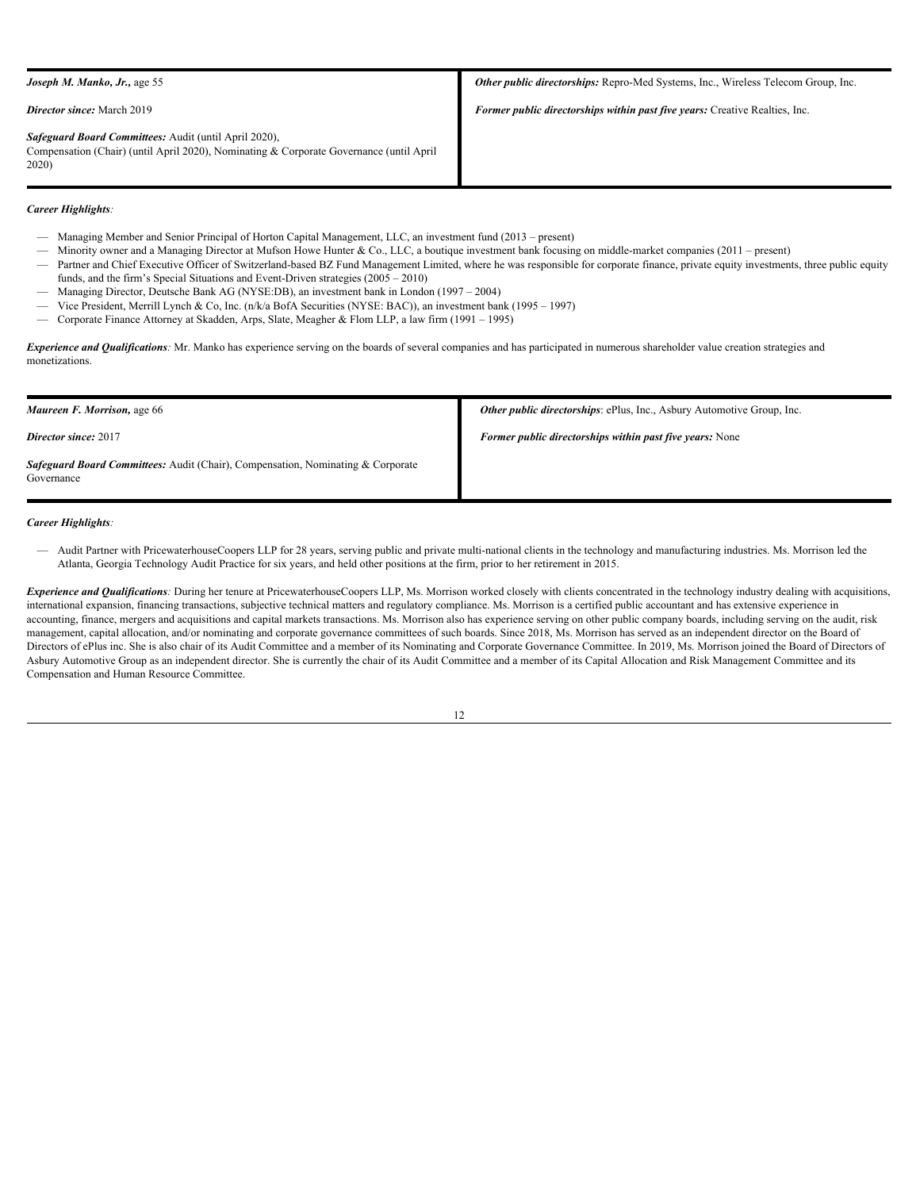| <b>Joseph M. Manko, Jr., age 55</b>                                                                                                                       | Other public directorships: Repro-Med Systems, Inc., Wireless Telecom Group, Inc. |
|-----------------------------------------------------------------------------------------------------------------------------------------------------------|-----------------------------------------------------------------------------------|
| <b>Director since:</b> March 2019                                                                                                                         | Former public directorships within past five years: Creative Realties, Inc.       |
| Safeguard Board Committees: Audit (until April 2020),<br>Compensation (Chair) (until April 2020), Nominating & Corporate Governance (until April<br>2020) |                                                                                   |

# *Career Highlights:*

- Managing Member and Senior Principal of Horton Capital Management, LLC, an investment fund (2013 present)
- Minority owner and a Managing Director at Mufson Howe Hunter & Co., LLC, a boutique investment bank focusing on middle-market companies (2011 present)
- Partner and Chief Executive Officer of Switzerland-based BZ Fund Management Limited, where he was responsible for corporate finance, private equity investments, three public equity funds, and the firm's Special Situations and Event-Driven strategies (2005 – 2010)
- Managing Director, Deutsche Bank AG (NYSE:DB), an investment bank in London (1997 2004)
- Vice President, Merrill Lynch & Co, Inc. (n/k/a BofA Securities (NYSE: BAC)), an investment bank (1995 1997)
- Corporate Finance Attorney at Skadden, Arps, Slate, Meagher & Flom LLP, a law firm (1991 1995)

*Experience and Qualifications:* Mr. Manko has experience serving on the boards of several companies and has participated in numerous shareholder value creation strategies and monetizations.

| <b>Maureen F. Morrison, age 66</b>                                                                   | Other public directorships: ePlus, Inc., Asbury Automotive Group, Inc. |
|------------------------------------------------------------------------------------------------------|------------------------------------------------------------------------|
| <b>Director since: 2017</b>                                                                          | <b>Former public directorships within past five years:</b> None        |
| <b>Safeguard Board Committees:</b> Audit (Chair), Compensation, Nominating & Corporate<br>Governance |                                                                        |

*Career Highlights:*

— Audit Partner with PricewaterhouseCoopers LLP for 28 years, serving public and private multi-national clients in the technology and manufacturing industries. Ms. Morrison led the Atlanta, Georgia Technology Audit Practice for six years, and held other positions at the firm, prior to her retirement in 2015.

*Experience and Qualifications:* During her tenure at PricewaterhouseCoopers LLP, Ms. Morrison worked closely with clients concentrated in the technology industry dealing with acquisitions, international expansion, financing transactions, subjective technical matters and regulatory compliance. Ms. Morrison is a certified public accountant and has extensive experience in accounting, finance, mergers and acquisitions and capital markets transactions. Ms. Morrison also has experience serving on other public company boards, including serving on the audit, risk management, capital allocation, and/or nominating and corporate governance committees of such boards. Since 2018, Ms. Morrison has served as an independent director on the Board of Directors of ePlus inc. She is also chair of its Audit Committee and a member of its Nominating and Corporate Governance Committee. In 2019, Ms. Morrison joined the Board of Directors of Asbury Automotive Group as an independent director. She is currently the chair of its Audit Committee and a member of its Capital Allocation and Risk Management Committee and its Compensation and Human Resource Committee.

| I |
|---|
|   |
|   |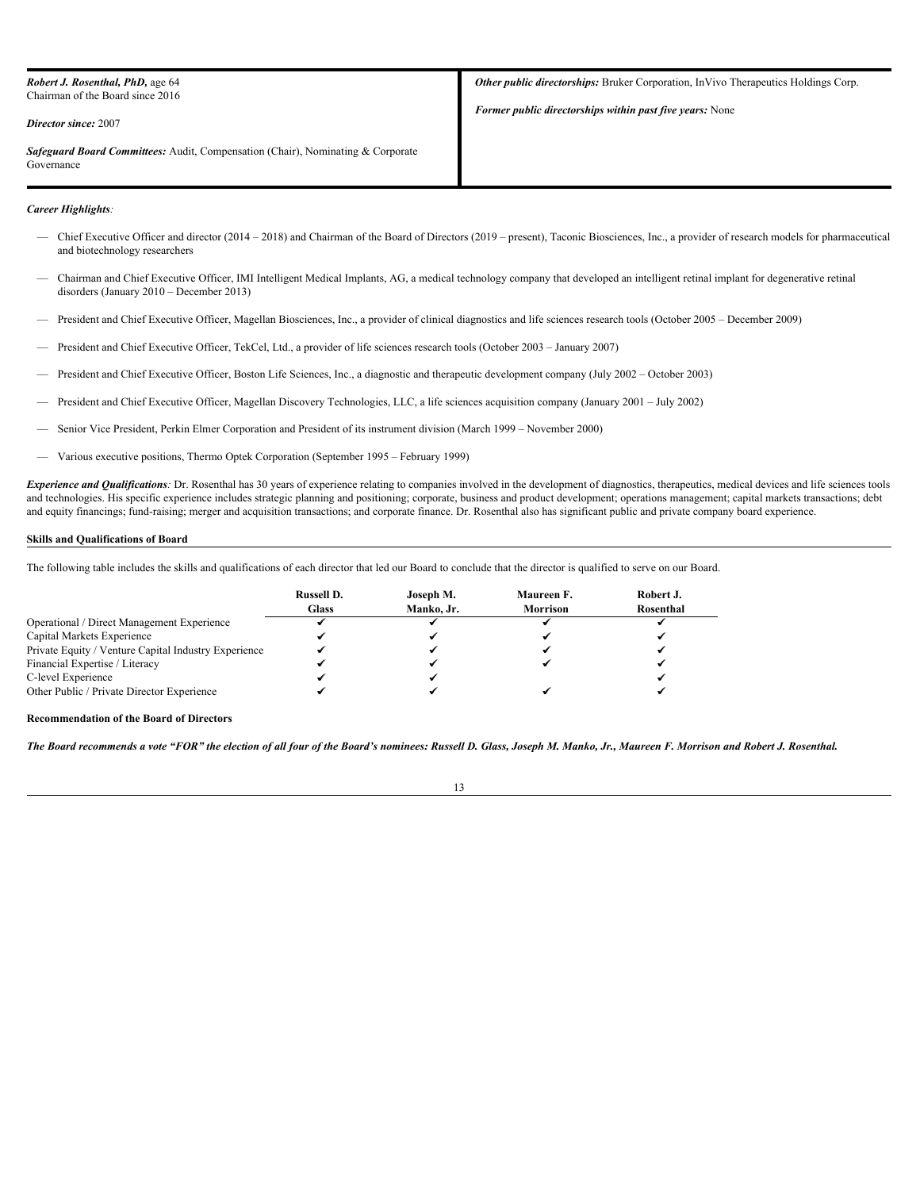| <b>Robert J. Rosenthal, PhD, age 64</b><br>Chairman of the Board since 2016<br><b>Director since: 2007</b> | <b>Other public directorships:</b> Bruker Corporation, InVivo Therapeutics Holdings Corp.<br><b>Former public directorships within past five years:</b> None |
|------------------------------------------------------------------------------------------------------------|--------------------------------------------------------------------------------------------------------------------------------------------------------------|
| <b>Safeguard Board Committees:</b> Audit, Compensation (Chair), Nominating & Corporate<br>Governance       |                                                                                                                                                              |

# *Career Highlights:*

- Chief Executive Officer and director (2014 2018) and Chairman of the Board of Directors (2019 present), Taconic Biosciences, Inc., a provider of research models for pharmaceutical and biotechnology researchers
- Chairman and Chief Executive Officer, IMI Intelligent Medical Implants, AG, a medical technology company that developed an intelligent retinal implant for degenerative retinal disorders (January 2010 – December 2013)
- President and Chief Executive Officer, Magellan Biosciences, Inc., a provider of clinical diagnostics and life sciences research tools (October 2005 December 2009)
- President and Chief Executive Officer, TekCel, Ltd., a provider of life sciences research tools (October 2003 January 2007)
- President and Chief Executive Officer, Boston Life Sciences, Inc., a diagnostic and therapeutic development company (July 2002 October 2003)
- President and Chief Executive Officer, Magellan Discovery Technologies, LLC, a life sciences acquisition company (January 2001 July 2002)
- Senior Vice President, Perkin Elmer Corporation and President of its instrument division (March 1999 November 2000)
- Various executive positions, Thermo Optek Corporation (September 1995 February 1999)

*Experience and Qualifications*: Dr. Rosenthal has 30 years of experience relating to companies involved in the development of diagnostics, therapeutics, medical devices and life sciences tools and technologies. His specific experience includes strategic planning and positioning; corporate, business and product development; operations management; capital markets transactions; debt and equity financings; fund-raising; merger and acquisition transactions; and corporate finance. Dr. Rosenthal also has significant public and private company board experience.

# <span id="page-16-0"></span> **Skills and Qualifications of Board**

The following table includes the skills and qualifications of each director that led our Board to conclude that the director is qualified to serve on our Board.

|                                                      | <b>Russell D.</b> | Joseph M.  | Maureen F. | Robert J. |
|------------------------------------------------------|-------------------|------------|------------|-----------|
|                                                      | <b>Glass</b>      | Manko, Jr. | Morrison   | Rosenthal |
| Operational / Direct Management Experience           |                   |            |            |           |
| Capital Markets Experience                           |                   |            |            |           |
| Private Equity / Venture Capital Industry Experience |                   |            |            |           |
| Financial Expertise / Literacy                       |                   |            |            |           |
| C-level Experience                                   |                   |            |            |           |
| Other Public / Private Director Experience           |                   |            |            |           |
|                                                      |                   |            |            |           |

**Recommendation of the Board of Directors**

*The Board recommends a vote "FOR" the election of all four of the Board's nominees: Russell D. Glass, Joseph M. Manko, Jr., Maureen F. Morrison and Robert J. Rosenthal.*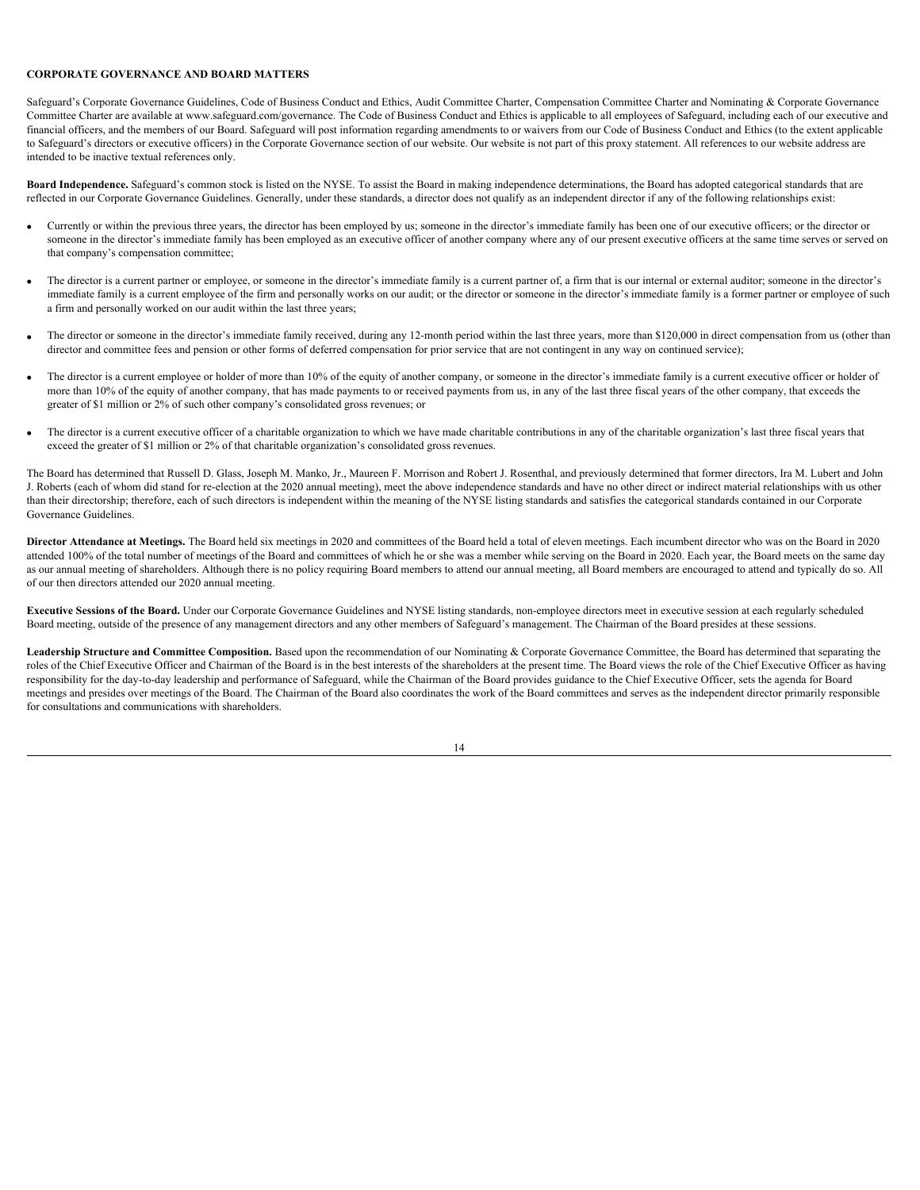# <span id="page-17-0"></span>**CORPORATE GOVERNANCE AND BOARD MATTERS**

Safeguard's Corporate Governance Guidelines, Code of Business Conduct and Ethics, Audit Committee Charter, Compensation Committee Charter and Nominating & Corporate Governance Committee Charter are available at www.safeguard.com/governance. The Code of Business Conduct and Ethics is applicable to all employees of Safeguard, including each of our executive and financial officers, and the members of our Board. Safeguard will post information regarding amendments to or waivers from our Code of Business Conduct and Ethics (to the extent applicable to Safeguard's directors or executive officers) in the Corporate Governance section of our website. Our website is not part of this proxy statement. All references to our website address are intended to be inactive textual references only.

<span id="page-17-1"></span>**Board Independence.** Safeguard's common stock is listed on the NYSE. To assist the Board in making independence determinations, the Board has adopted categorical standards that are reflected in our Corporate Governance Guidelines. Generally, under these standards, a director does not qualify as an independent director if any of the following relationships exist:

- · Currently or within the previous three years, the director has been employed by us; someone in the director's immediate family has been one of our executive officers; or the director or someone in the director's immediate family has been employed as an executive officer of another company where any of our present executive officers at the same time serves or served on that company's compensation committee;
- The director is a current partner or employee, or someone in the director's immediate family is a current partner of, a firm that is our internal or external auditor; someone in the director's immediate family is a current employee of the firm and personally works on our audit; or the director or someone in the director's immediate family is a former partner or employee of such a firm and personally worked on our audit within the last three years;
- The director or someone in the director's immediate family received, during any 12-month period within the last three years, more than \$120,000 in direct compensation from us (other than director and committee fees and pension or other forms of deferred compensation for prior service that are not contingent in any way on continued service);
- The director is a current employee or holder of more than 10% of the equity of another company, or someone in the director's immediate family is a current executive officer or holder of more than 10% of the equity of another company, that has made payments to or received payments from us, in any of the last three fiscal years of the other company, that exceeds the greater of \$1 million or 2% of such other company's consolidated gross revenues; or
- The director is a current executive officer of a charitable organization to which we have made charitable contributions in any of the charitable organization's last three fiscal years that exceed the greater of \$1 million or 2% of that charitable organization's consolidated gross revenues.

The Board has determined that Russell D. Glass, Joseph M. Manko, Jr., Maureen F. Morrison and Robert J. Rosenthal, and previously determined that former directors, Ira M. Lubert and John J. Roberts (each of whom did stand for re-election at the 2020 annual meeting), meet the above independence standards and have no other direct or indirect material relationships with us other than their directorship; therefore, each of such directors is independent within the meaning of the NYSE listing standards and satisfies the categorical standards contained in our Corporate Governance Guidelines.

<span id="page-17-2"></span>**Director Attendance at Meetings.** The Board held six meetings in 2020 and committees of the Board held a total of eleven meetings. Each incumbent director who was on the Board in 2020 attended 100% of the total number of meetings of the Board and committees of which he or she was a member while serving on the Board in 2020. Each year, the Board meets on the same day as our annual meeting of shareholders. Although there is no policy requiring Board members to attend our annual meeting, all Board members are encouraged to attend and typically do so. All of our then directors attended our 2020 annual meeting.

<span id="page-17-3"></span>**Executive Sessions of the Board.** Under our Corporate Governance Guidelines and NYSE listing standards, non-employee directors meet in executive session at each regularly scheduled Board meeting, outside of the presence of any management directors and any other members of Safeguard's management. The Chairman of the Board presides at these sessions.

<span id="page-17-4"></span>Leadership Structure and Committee Composition. Based upon the recommendation of our Nominating & Corporate Governance Committee, the Board has determined that separating the roles of the Chief Executive Officer and Chairman of the Board is in the best interests of the shareholders at the present time. The Board views the role of the Chief Executive Officer as having responsibility for the day-to-day leadership and performance of Safeguard, while the Chairman of the Board provides guidance to the Chief Executive Officer, sets the agenda for Board meetings and presides over meetings of the Board. The Chairman of the Board also coordinates the work of the Board committees and serves as the independent director primarily responsible for consultations and communications with shareholders.

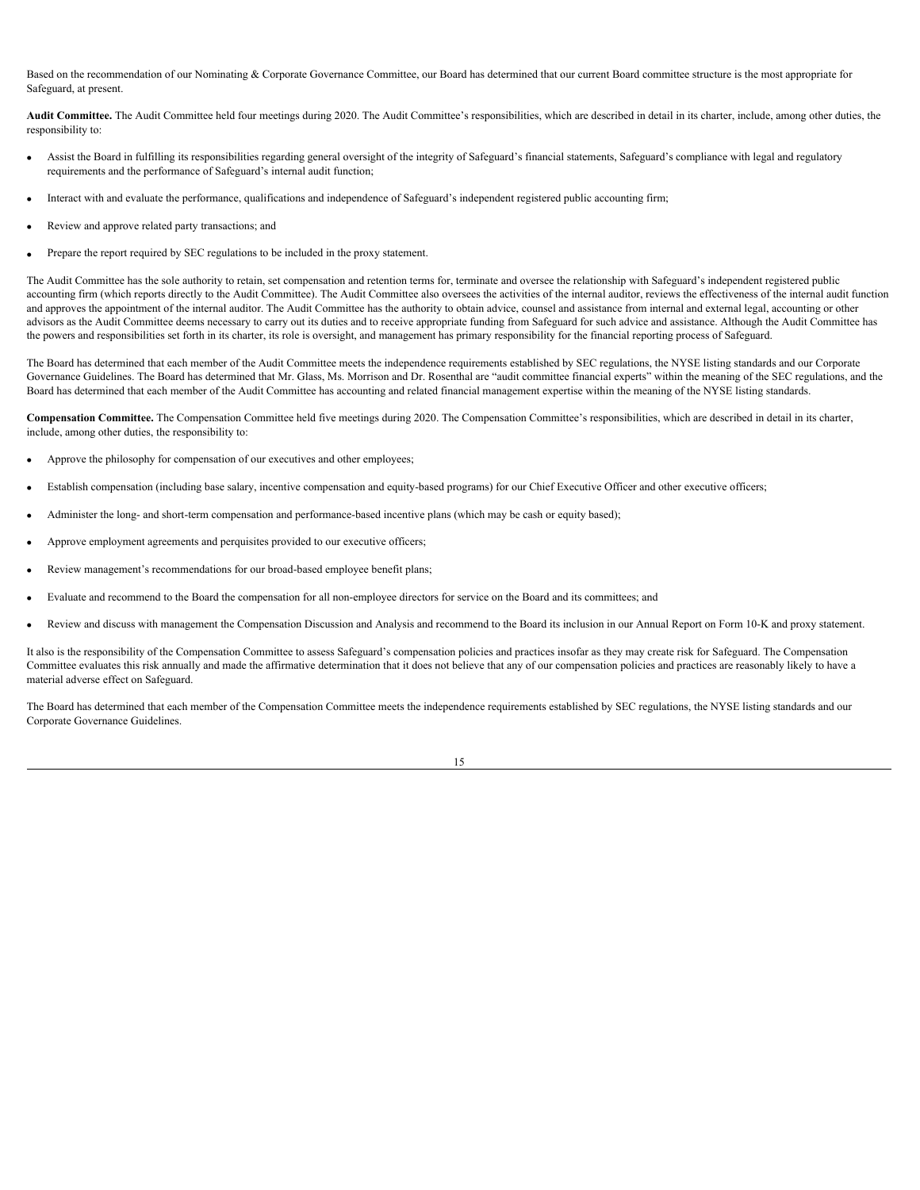Based on the recommendation of our Nominating & Corporate Governance Committee, our Board has determined that our current Board committee structure is the most appropriate for Safeguard, at present.

<span id="page-18-0"></span>Audit Committee. The Audit Committee held four meetings during 2020. The Audit Committee's responsibilities, which are described in detail in its charter, include, among other duties, the responsibility to:

- · Assist the Board in fulfilling its responsibilities regarding general oversight of the integrity of Safeguard's financial statements, Safeguard's compliance with legal and regulatory requirements and the performance of Safeguard's internal audit function;
- · Interact with and evaluate the performance, qualifications and independence of Safeguard's independent registered public accounting firm;
- Review and approve related party transactions; and
- Prepare the report required by SEC regulations to be included in the proxy statement.

The Audit Committee has the sole authority to retain, set compensation and retention terms for, terminate and oversee the relationship with Safeguard's independent registered public accounting firm (which reports directly to the Audit Committee). The Audit Committee also oversees the activities of the internal auditor, reviews the effectiveness of the internal audit function and approves the appointment of the internal auditor. The Audit Committee has the authority to obtain advice, counsel and assistance from internal and external legal, accounting or other advisors as the Audit Committee deems necessary to carry out its duties and to receive appropriate funding from Safeguard for such advice and assistance. Although the Audit Committee has the powers and responsibilities set forth in its charter, its role is oversight, and management has primary responsibility for the financial reporting process of Safeguard.

The Board has determined that each member of the Audit Committee meets the independence requirements established by SEC regulations, the NYSE listing standards and our Corporate Governance Guidelines. The Board has determined that Mr. Glass, Ms. Morrison and Dr. Rosenthal are "audit committee financial experts" within the meaning of the SEC regulations, and the Board has determined that each member of the Audit Committee has accounting and related financial management expertise within the meaning of the NYSE listing standards.

<span id="page-18-1"></span> **Compensation Committee.** The Compensation Committee held five meetings during 2020. The Compensation Committee's responsibilities, which are described in detail in its charter, include, among other duties, the responsibility to:

- Approve the philosophy for compensation of our executives and other employees;
- Establish compensation (including base salary, incentive compensation and equity-based programs) for our Chief Executive Officer and other executive officers;
- Administer the long- and short-term compensation and performance-based incentive plans (which may be cash or equity based);
- Approve employment agreements and perquisites provided to our executive officers;
- Review management's recommendations for our broad-based employee benefit plans;
- · Evaluate and recommend to the Board the compensation for all non-employee directors for service on the Board and its committees; and
- · Review and discuss with management the Compensation Discussion and Analysis and recommend to the Board its inclusion in our Annual Report on Form 10-K and proxy statement.

It also is the responsibility of the Compensation Committee to assess Safeguard's compensation policies and practices insofar as they may create risk for Safeguard. The Compensation Committee evaluates this risk annually and made the affirmative determination that it does not believe that any of our compensation policies and practices are reasonably likely to have a material adverse effect on Safeguard.

The Board has determined that each member of the Compensation Committee meets the independence requirements established by SEC regulations, the NYSE listing standards and our Corporate Governance Guidelines.

<sup>15</sup>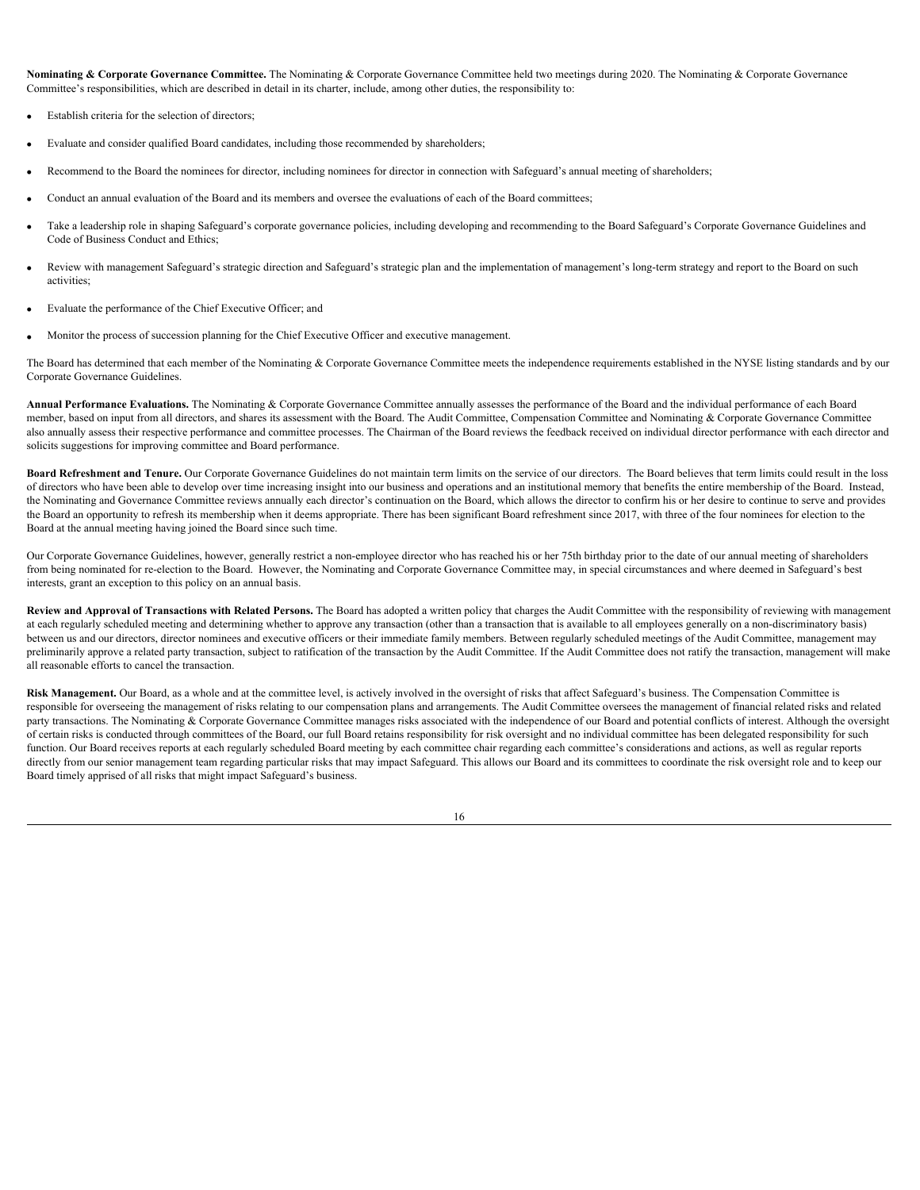<span id="page-19-0"></span>**Nominating & Corporate Governance Committee.** The Nominating & Corporate Governance Committee held two meetings during 2020. The Nominating & Corporate Governance Committee's responsibilities, which are described in detail in its charter, include, among other duties, the responsibility to:

- Establish criteria for the selection of directors;
- Evaluate and consider qualified Board candidates, including those recommended by shareholders;
- Recommend to the Board the nominees for director, including nominees for director in connection with Safeguard's annual meeting of shareholders;
- Conduct an annual evaluation of the Board and its members and oversee the evaluations of each of the Board committees;
- Take a leadership role in shaping Safeguard's corporate governance policies, including developing and recommending to the Board Safeguard's Corporate Governance Guidelines and Code of Business Conduct and Ethics;
- Review with management Safeguard's strategic direction and Safeguard's strategic plan and the implementation of management's long-term strategy and report to the Board on such activities;
- Evaluate the performance of the Chief Executive Officer; and
- · Monitor the process of succession planning for the Chief Executive Officer and executive management.

The Board has determined that each member of the Nominating & Corporate Governance Committee meets the independence requirements established in the NYSE listing standards and by our Corporate Governance Guidelines.

<span id="page-19-1"></span>**Annual Performance Evaluations.** The Nominating & Corporate Governance Committee annually assesses the performance of the Board and the individual performance of each Board member, based on input from all directors, and shares its assessment with the Board. The Audit Committee, Compensation Committee and Nominating & Corporate Governance Committee also annually assess their respective performance and committee processes. The Chairman of the Board reviews the feedback received on individual director performance with each director and solicits suggestions for improving committee and Board performance.

<span id="page-19-2"></span>**Board Refreshment and Tenure.** Our Corporate Governance Guidelines do not maintain term limits on the service of our directors. The Board believes that term limits could result in the loss of directors who have been able to develop over time increasing insight into our business and operations and an institutional memory that benefits the entire membership of the Board. Instead, the Nominating and Governance Committee reviews annually each director's continuation on the Board, which allows the director to confirm his or her desire to continue to serve and provides the Board an opportunity to refresh its membership when it deems appropriate. There has been significant Board refreshment since 2017, with three of the four nominees for election to the Board at the annual meeting having joined the Board since such time.

Our Corporate Governance Guidelines, however, generally restrict a non-employee director who has reached his or her 75th birthday prior to the date of our annual meeting of shareholders from being nominated for re-election to the Board. However, the Nominating and Corporate Governance Committee may, in special circumstances and where deemed in Safeguard's best interests, grant an exception to this policy on an annual basis.

<span id="page-19-3"></span>Review and Approval of Transactions with Related Persons. The Board has adopted a written policy that charges the Audit Committee with the responsibility of reviewing with management at each regularly scheduled meeting and determining whether to approve any transaction (other than a transaction that is available to all employees generally on a non-discriminatory basis) between us and our directors, director nominees and executive officers or their immediate family members. Between regularly scheduled meetings of the Audit Committee, management may preliminarily approve a related party transaction, subject to ratification of the transaction by the Audit Committee. If the Audit Committee does not ratify the transaction, management will make all reasonable efforts to cancel the transaction.

<span id="page-19-4"></span>**Risk Management.** Our Board, as a whole and at the committee level, is actively involved in the oversight of risks that affect Safeguard's business. The Compensation Committee is responsible for overseeing the management of risks relating to our compensation plans and arrangements. The Audit Committee oversees the management of financial related risks and related party transactions. The Nominating & Corporate Governance Committee manages risks associated with the independence of our Board and potential conflicts of interest. Although the oversight of certain risks is conducted through committees of the Board, our full Board retains responsibility for risk oversight and no individual committee has been delegated responsibility for such function. Our Board receives reports at each regularly scheduled Board meeting by each committee chair regarding each committee's considerations and actions, as well as regular reports directly from our senior management team regarding particular risks that may impact Safeguard. This allows our Board and its committees to coordinate the risk oversight role and to keep our Board timely apprised of all risks that might impact Safeguard's business.

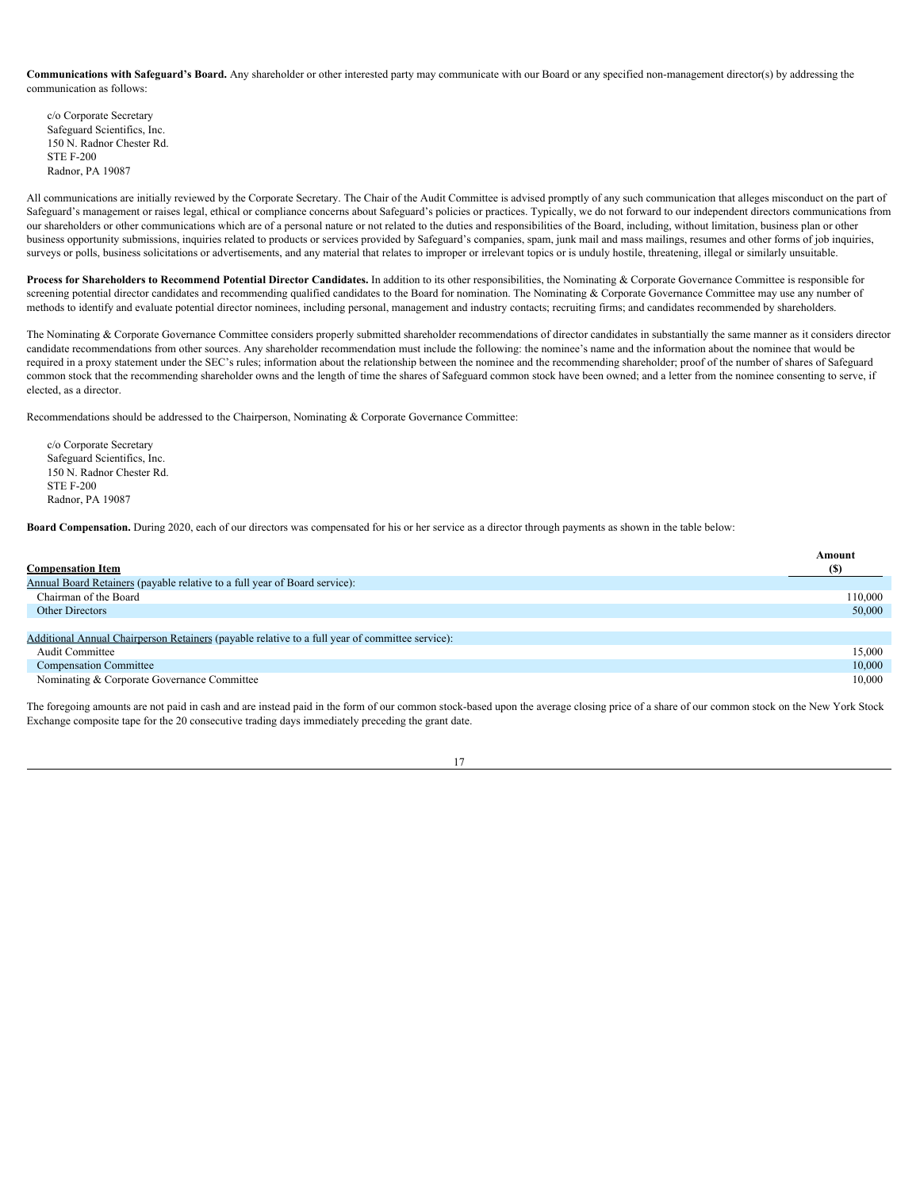<span id="page-20-0"></span>**Communications with Safeguard's Board.** Any shareholder or other interested party may communicate with our Board or any specified non-management director(s) by addressing the communication as follows:

c/o Corporate Secretary Safeguard Scientifics, Inc. 150 N. Radnor Chester Rd. STE F-200 Radnor, PA 19087

All communications are initially reviewed by the Corporate Secretary. The Chair of the Audit Committee is advised promptly of any such communication that alleges misconduct on the part of Safeguard's management or raises legal, ethical or compliance concerns about Safeguard's policies or practices. Typically, we do not forward to our independent directors communications from our shareholders or other communications which are of a personal nature or not related to the duties and responsibilities of the Board, including, without limitation, business plan or other business opportunity submissions, inquiries related to products or services provided by Safeguard's companies, spam, junk mail and mass mailings, resumes and other forms of job inquiries, surveys or polls, business solicitations or advertisements, and any material that relates to improper or irrelevant topics or is unduly hostile, threatening, illegal or similarly unsuitable.

<span id="page-20-1"></span>**Process for Shareholders to Recommend Potential Director Candidates.** In addition to its other responsibilities, the Nominating & Corporate Governance Committee is responsible for screening potential director candidates and recommending qualified candidates to the Board for nomination. The Nominating & Corporate Governance Committee may use any number of methods to identify and evaluate potential director nominees, including personal, management and industry contacts; recruiting firms; and candidates recommended by shareholders.

The Nominating & Corporate Governance Committee considers properly submitted shareholder recommendations of director candidates in substantially the same manner as it considers director candidate recommendations from other sources. Any shareholder recommendation must include the following: the nominee's name and the information about the nominee that would be required in a proxy statement under the SEC's rules; information about the relationship between the nominee and the recommending shareholder; proof of the number of shares of Safeguard common stock that the recommending shareholder owns and the length of time the shares of Safeguard common stock have been owned; and a letter from the nominee consenting to serve, if elected, as a director.

Recommendations should be addressed to the Chairperson, Nominating & Corporate Governance Committee:

c/o Corporate Secretary Safeguard Scientifics, Inc. 150 N. Radnor Chester Rd. STE F-200 Radnor, PA 19087

<span id="page-20-2"></span>**Board Compensation.** During 2020, each of our directors was compensated for his or her service as a director through payments as shown in the table below:

|                                                                                                 | Amount  |
|-------------------------------------------------------------------------------------------------|---------|
| <b>Compensation Item</b>                                                                        | (S)     |
| Annual Board Retainers (payable relative to a full year of Board service):                      |         |
| Chairman of the Board                                                                           | 110,000 |
| Other Directors                                                                                 | 50,000  |
|                                                                                                 |         |
| Additional Annual Chairperson Retainers (payable relative to a full year of committee service): |         |
| <b>Audit Committee</b>                                                                          | 15,000  |
| <b>Compensation Committee</b>                                                                   | 10,000  |
| Nominating & Corporate Governance Committee                                                     | 10,000  |
|                                                                                                 |         |

The foregoing amounts are not paid in cash and are instead paid in the form of our common stock-based upon the average closing price of a share of our common stock on the New York Stock Exchange composite tape for the 20 consecutive trading days immediately preceding the grant date.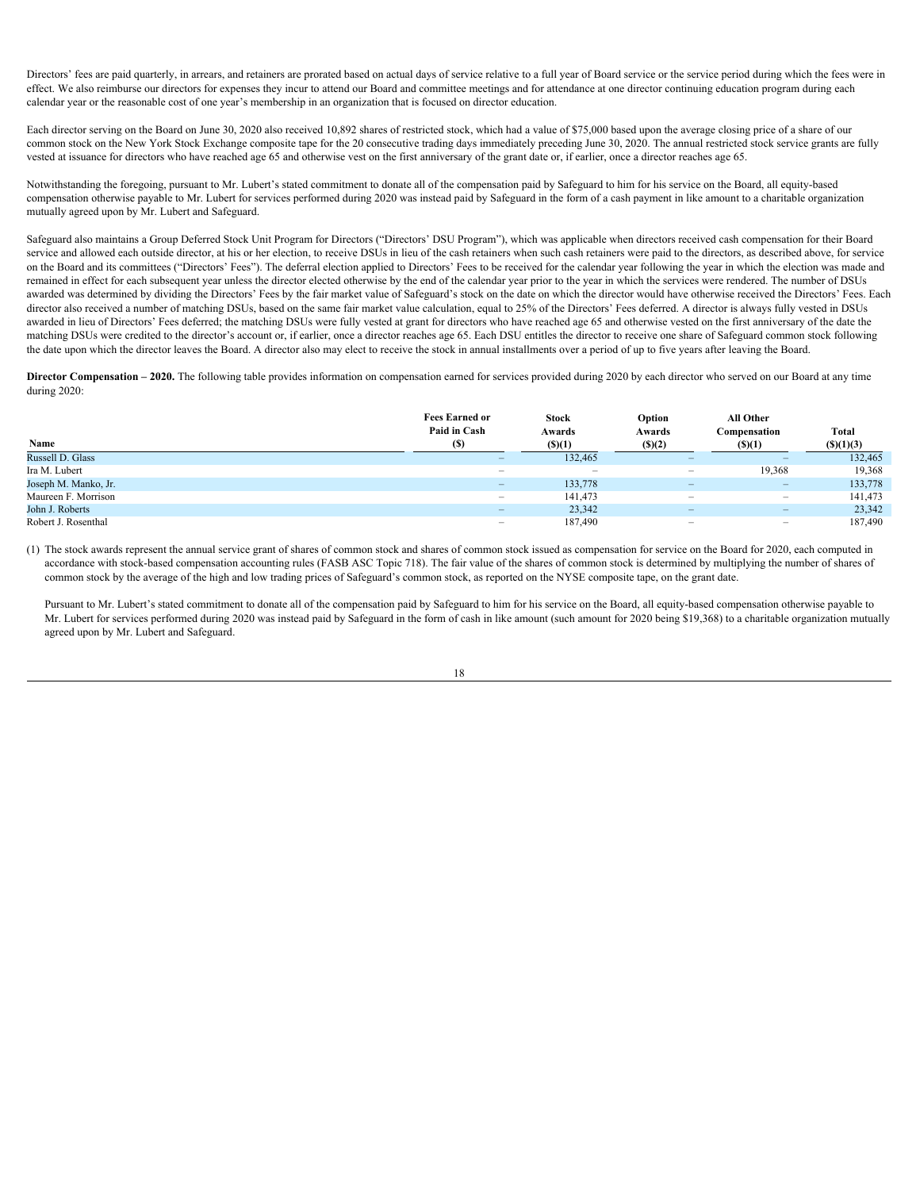Directors' fees are paid quarterly, in arrears, and retainers are prorated based on actual days of service relative to a full year of Board service or the service period during which the fees were in effect. We also reimburse our directors for expenses they incur to attend our Board and committee meetings and for attendance at one director continuing education program during each calendar year or the reasonable cost of one year's membership in an organization that is focused on director education.

Each director serving on the Board on June 30, 2020 also received 10,892 shares of restricted stock, which had a value of \$75,000 based upon the average closing price of a share of our common stock on the New York Stock Exchange composite tape for the 20 consecutive trading days immediately preceding June 30, 2020. The annual restricted stock service grants are fully vested at issuance for directors who have reached age 65 and otherwise vest on the first anniversary of the grant date or, if earlier, once a director reaches age 65.

Notwithstanding the foregoing, pursuant to Mr. Lubert's stated commitment to donate all of the compensation paid by Safeguard to him for his service on the Board, all equity-based compensation otherwise payable to Mr. Lubert for services performed during 2020 was instead paid by Safeguard in the form of a cash payment in like amount to a charitable organization mutually agreed upon by Mr. Lubert and Safeguard.

 Safeguard also maintains a Group Deferred Stock Unit Program for Directors ("Directors' DSU Program"), which was applicable when directors received cash compensation for their Board service and allowed each outside director, at his or her election, to receive DSUs in lieu of the cash retainers when such cash retainers were paid to the directors, as described above, for service on the Board and its committees ("Directors' Fees"). The deferral election applied to Directors' Fees to be received for the calendar year following the year in which the election was made and remained in effect for each subsequent year unless the director elected otherwise by the end of the calendar year prior to the year in which the services were rendered. The number of DSUs awarded was determined by dividing the Directors' Fees by the fair market value of Safeguard's stock on the date on which the director would have otherwise received the Directors' Fees. Each director also received a number of matching DSUs, based on the same fair market value calculation, equal to 25% of the Directors' Fees deferred. A director is always fully vested in DSUs awarded in lieu of Directors' Fees deferred; the matching DSUs were fully vested at grant for directors who have reached age 65 and otherwise vested on the first anniversary of the date the matching DSUs were credited to the director's account or, if earlier, once a director reaches age 65. Each DSU entitles the director to receive one share of Safeguard common stock following the date upon which the director leaves the Board. A director also may elect to receive the stock in annual installments over a period of up to five years after leaving the Board.

<span id="page-21-0"></span>**Director Compensation – 2020.** The following table provides information on compensation earned for services provided during 2020 by each director who served on our Board at any time during 2020:

|                      | <b>Fees Earned or</b><br>Paid in Cash | <b>Stock</b><br>Awards   | Option<br>Awards         | All Other<br>Compensation | <b>Total</b>   |
|----------------------|---------------------------------------|--------------------------|--------------------------|---------------------------|----------------|
| Name                 | (S)                                   | (S)(1)                   | (S)(2)                   | (S)(1)                    | $($ (\$)(1)(3) |
| Russell D. Glass     | $\sim$                                | 132,465                  | <u>_</u>                 | $\equiv$                  | 132,465        |
| Ira M. Lubert        | $\overline{\phantom{0}}$              | $\overline{\phantom{0}}$ | $\overline{\phantom{0}}$ | 19,368                    | 19,368         |
| Joseph M. Manko, Jr. | $\hspace{0.1mm}-\hspace{0.1mm}$       | 133,778                  | $\overline{\phantom{0}}$ | $\overline{\phantom{a}}$  | 133,778        |
| Maureen F. Morrison  | $\overline{\phantom{a}}$              | 141,473                  | $\overline{\phantom{0}}$ | $\overline{\phantom{a}}$  | 141,473        |
| John J. Roberts      | $\sim$                                | 23,342                   | $\overline{\phantom{a}}$ | $\sim$                    | 23,342         |
| Robert J. Rosenthal  | $\overline{\phantom{0}}$              | 187,490                  | $\overline{\phantom{0}}$ | $\overline{\phantom{0}}$  | 187,490        |

(1) The stock awards represent the annual service grant of shares of common stock and shares of common stock issued as compensation for service on the Board for 2020, each computed in accordance with stock-based compensation accounting rules (FASB ASC Topic 718). The fair value of the shares of common stock is determined by multiplying the number of shares of common stock by the average of the high and low trading prices of Safeguard's common stock, as reported on the NYSE composite tape, on the grant date.

Pursuant to Mr. Lubert's stated commitment to donate all of the compensation paid by Safeguard to him for his service on the Board, all equity-based compensation otherwise payable to Mr. Lubert for services performed during 2020 was instead paid by Safeguard in the form of cash in like amount (such amount for 2020 being \$19,368) to a charitable organization mutually agreed upon by Mr. Lubert and Safeguard.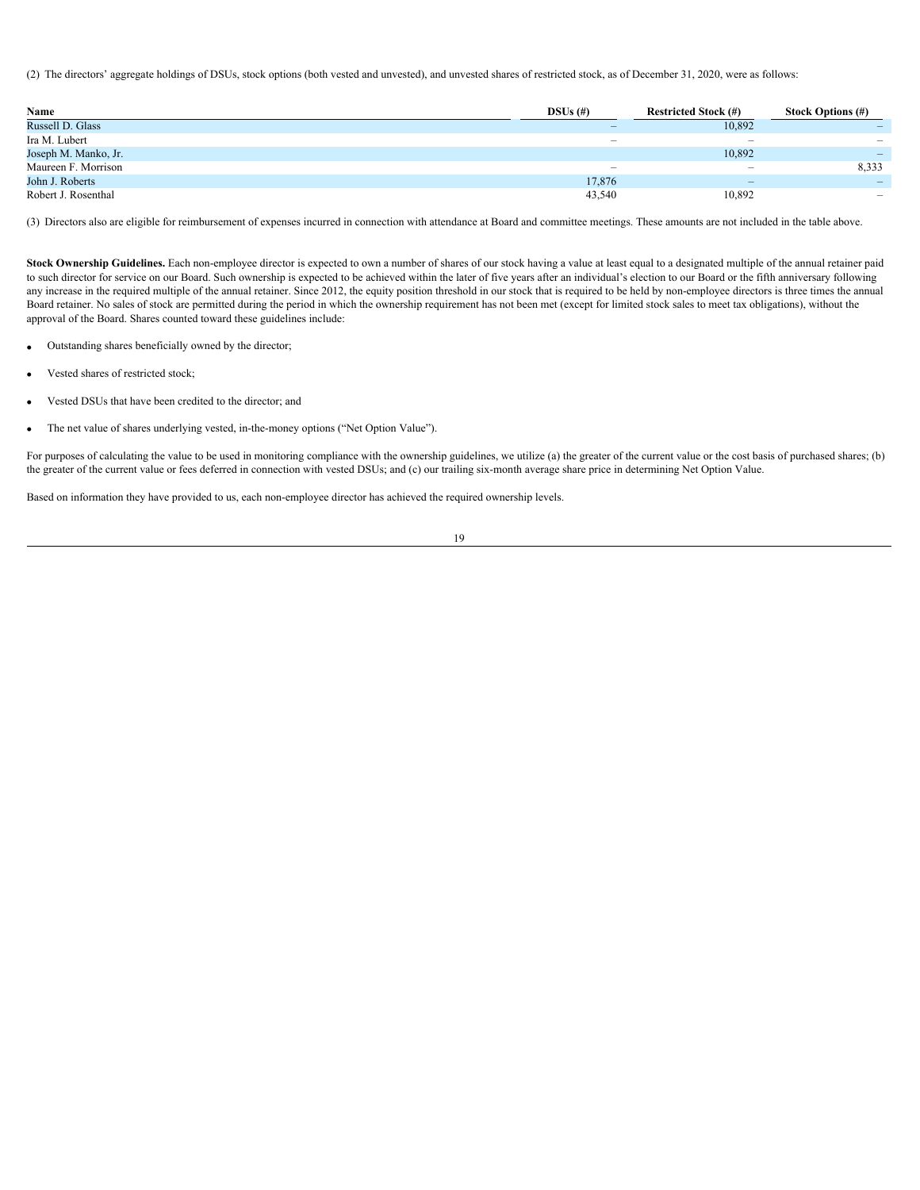(2) The directors' aggregate holdings of DSUs, stock options (both vested and unvested), and unvested shares of restricted stock, as of December 31, 2020, were as follows:

| Name                 | $DSUs$ (#)               | <b>Restricted Stock (#)</b>     | <b>Stock Options (#)</b> |
|----------------------|--------------------------|---------------------------------|--------------------------|
| Russell D. Glass     |                          | 10,892                          |                          |
| Ira M. Lubert        | $\overline{\phantom{a}}$ | $\hspace{0.1mm}-\hspace{0.1mm}$ |                          |
| Joseph M. Manko, Jr. |                          | 10,892                          |                          |
| Maureen F. Morrison  | $\overline{\phantom{0}}$ | $\hspace{0.1mm}-\hspace{0.1mm}$ | 8,333                    |
| John J. Roberts      | 17,876                   | $\overline{\phantom{a}}$        |                          |
| Robert J. Rosenthal  | 43,540                   | 10,892                          |                          |

(3) Directors also are eligible for reimbursement of expenses incurred in connection with attendance at Board and committee meetings. These amounts are not included in the table above.

<span id="page-22-0"></span>Stock Ownership Guidelines. Each non-employee director is expected to own a number of shares of our stock having a value at least equal to a designated multiple of the annual retainer paid to such director for service on our Board. Such ownership is expected to be achieved within the later of five years after an individual's election to our Board or the fifth anniversary following any increase in the required multiple of the annual retainer. Since 2012, the equity position threshold in our stock that is required to be held by non-employee directors is three times the annual Board retainer. No sales of stock are permitted during the period in which the ownership requirement has not been met (except for limited stock sales to meet tax obligations), without the approval of the Board. Shares counted toward these guidelines include:

- Outstanding shares beneficially owned by the director;
- Vested shares of restricted stock;
- Vested DSUs that have been credited to the director; and
- The net value of shares underlying vested, in-the-money options ("Net Option Value").

For purposes of calculating the value to be used in monitoring compliance with the ownership guidelines, we utilize (a) the greater of the current value or the cost basis of purchased shares; (b) the greater of the current value or fees deferred in connection with vested DSUs; and (c) our trailing six-month average share price in determining Net Option Value.

Based on information they have provided to us, each non-employee director has achieved the required ownership levels.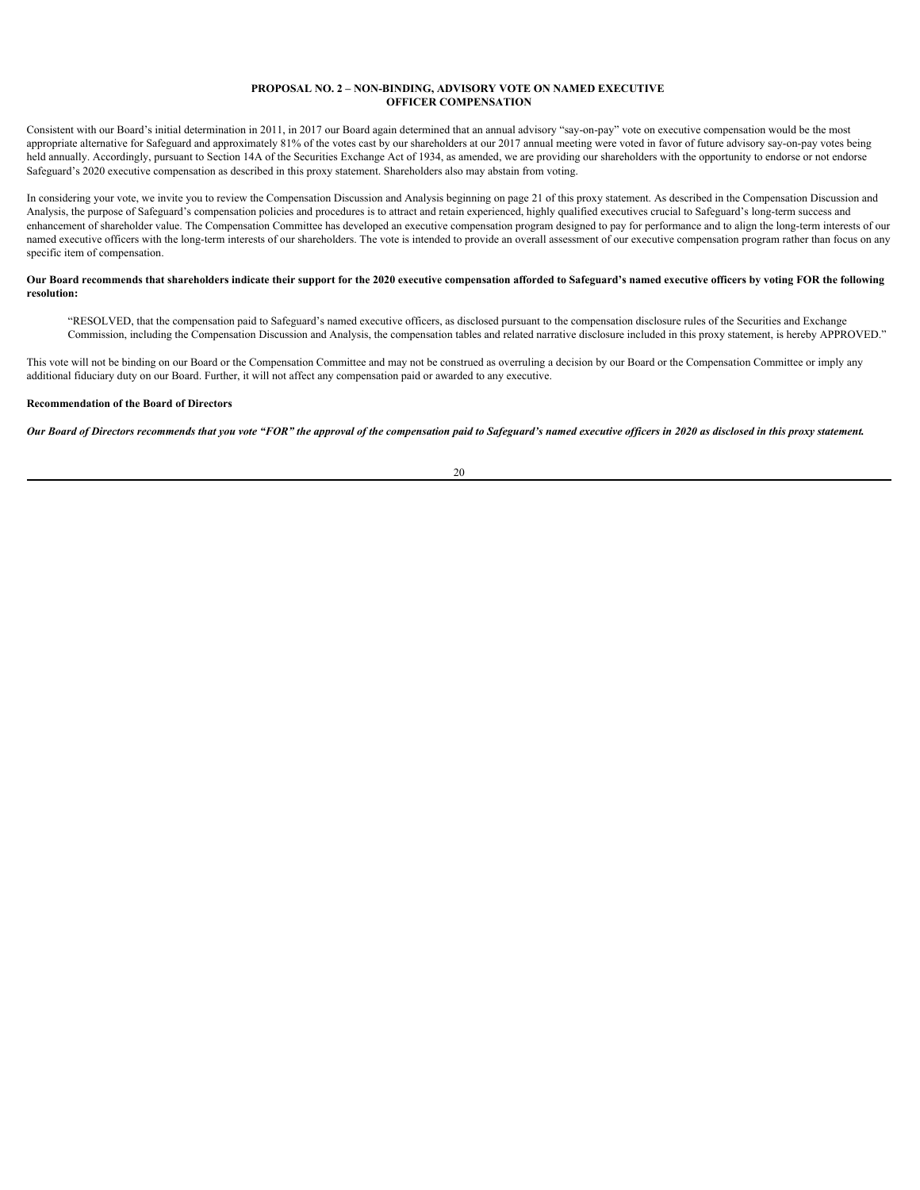#### <span id="page-23-0"></span>**PROPOSAL NO. 2 – NON-BINDING, ADVISORY VOTE ON NAMED EXECUTIVE OFFICER COMPENSATION**

Consistent with our Board's initial determination in 2011, in 2017 our Board again determined that an annual advisory "say-on-pay" vote on executive compensation would be the most appropriate alternative for Safeguard and approximately 81% of the votes cast by our shareholders at our 2017 annual meeting were voted in favor of future advisory say-on-pay votes being held annually. Accordingly, pursuant to Section 14A of the Securities Exchange Act of 1934, as amended, we are providing our shareholders with the opportunity to endorse or not endorse Safeguard's 2020 executive compensation as described in this proxy statement. Shareholders also may abstain from voting.

In considering your vote, we invite you to review the Compensation Discussion and Analysis beginning on page 21 of this proxy statement. As described in the Compensation Discussion and Analysis, the purpose of Safeguard's compensation policies and procedures is to attract and retain experienced, highly qualified executives crucial to Safeguard's long-term success and enhancement of shareholder value. The Compensation Committee has developed an executive compensation program designed to pay for performance and to align the long-term interests of our named executive officers with the long-term interests of our shareholders. The vote is intended to provide an overall assessment of our executive compensation program rather than focus on any specific item of compensation.

# **Our Board recommends that shareholders indicate their support for the 2020 executive compensation afforded to Safeguard's named executive officers by voting FOR the following resolution:**

"RESOLVED, that the compensation paid to Safeguard's named executive officers, as disclosed pursuant to the compensation disclosure rules of the Securities and Exchange Commission, including the Compensation Discussion and Analysis, the compensation tables and related narrative disclosure included in this proxy statement, is hereby APPROVED."

This vote will not be binding on our Board or the Compensation Committee and may not be construed as overruling a decision by our Board or the Compensation Committee or imply any additional fiduciary duty on our Board. Further, it will not affect any compensation paid or awarded to any executive.

# **Recommendation of the Board of Directors**

*Our Board of Directors recommends that you vote "FOR" the approval of the compensation paid to Safeguard's named executive officers in 2020 as disclosed in this proxy statement.*

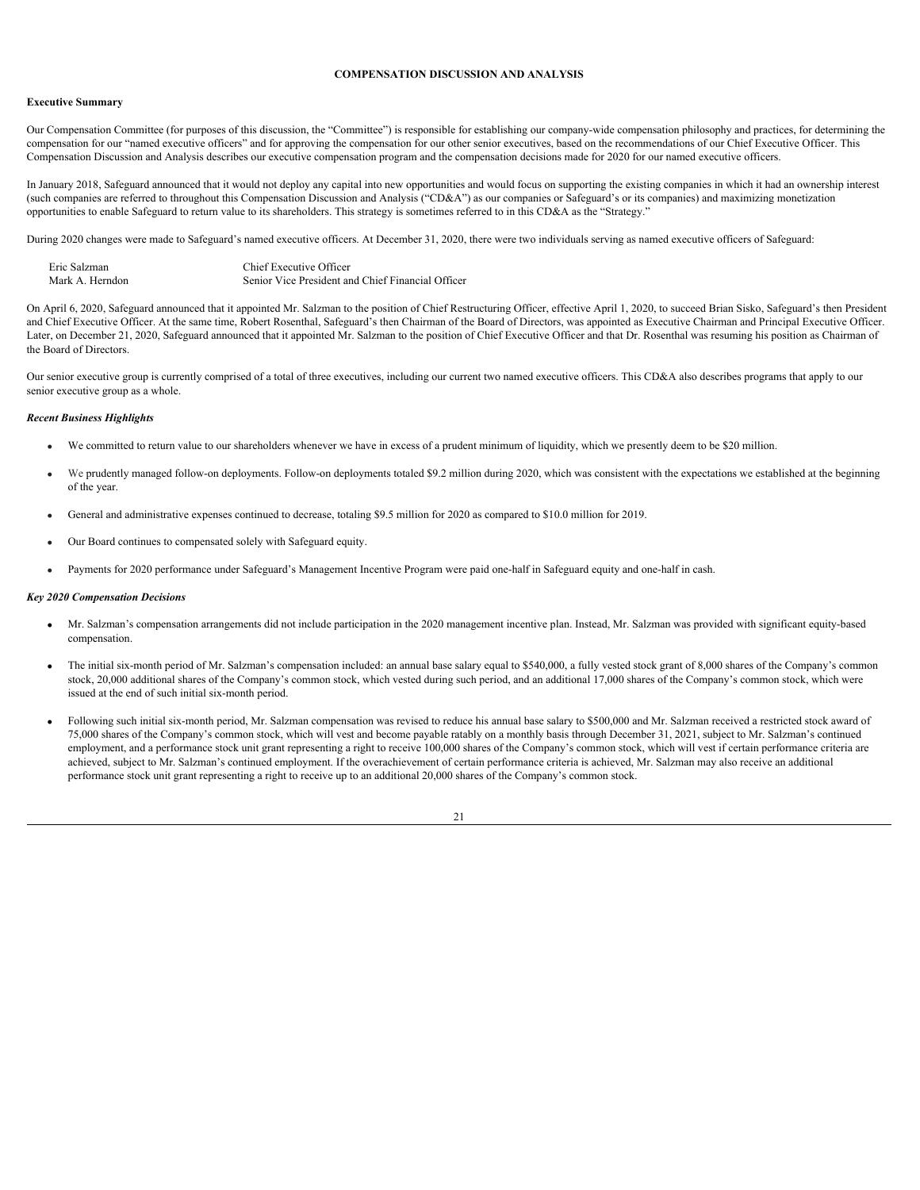# <span id="page-24-0"></span>**COMPENSATION DISCUSSION AND ANALYSIS**

#### <span id="page-24-1"></span>**Executive Summary**

Our Compensation Committee (for purposes of this discussion, the "Committee") is responsible for establishing our company-wide compensation philosophy and practices, for determining the compensation for our "named executive officers" and for approving the compensation for our other senior executives, based on the recommendations of our Chief Executive Officer. This Compensation Discussion and Analysis describes our executive compensation program and the compensation decisions made for 2020 for our named executive officers.

In January 2018, Safeguard announced that it would not deploy any capital into new opportunities and would focus on supporting the existing companies in which it had an ownership interest (such companies are referred to throughout this Compensation Discussion and Analysis ("CD&A") as our companies or Safeguard's or its companies) and maximizing monetization opportunities to enable Safeguard to return value to its shareholders. This strategy is sometimes referred to in this CD&A as the "Strategy."

During 2020 changes were made to Safeguard's named executive officers. At December 31, 2020, there were two individuals serving as named executive officers of Safeguard:

| Eric Salzman    | Chief Executive Officer                           |
|-----------------|---------------------------------------------------|
| Mark A. Herndon | Senior Vice President and Chief Financial Officer |

On April 6, 2020, Safeguard announced that it appointed Mr. Salzman to the position of Chief Restructuring Officer, effective April 1, 2020, to succeed Brian Sisko, Safeguard's then President and Chief Executive Officer. At the same time, Robert Rosenthal, Safeguard's then Chairman of the Board of Directors, was appointed as Executive Chairman and Principal Executive Officer. Later, on December 21, 2020, Safeguard announced that it appointed Mr. Salzman to the position of Chief Executive Officer and that Dr. Rosenthal was resuming his position as Chairman of the Board of Directors.

Our senior executive group is currently comprised of a total of three executives, including our current two named executive officers. This CD&A also describes programs that apply to our senior executive group as a whole.

#### <span id="page-24-2"></span>*Recent Business Highlights*

- We committed to return value to our shareholders whenever we have in excess of a prudent minimum of liquidity, which we presently deem to be \$20 million.
- We prudently managed follow-on deployments. Follow-on deployments totaled \$9.2 million during 2020, which was consistent with the expectations we established at the beginning of the year.
- · General and administrative expenses continued to decrease, totaling \$9.5 million for 2020 as compared to \$10.0 million for 2019.
- · Our Board continues to compensated solely with Safeguard equity.
- · Payments for 2020 performance under Safeguard's Management Incentive Program were paid one-half in Safeguard equity and one-half in cash.

#### <span id="page-24-3"></span>*Key 2020 Compensation Decisions*

- · Mr. Salzman's compensation arrangements did not include participation in the 2020 management incentive plan. Instead, Mr. Salzman was provided with significant equity-based compensation.
- · The initial six-month period of Mr. Salzman's compensation included: an annual base salary equal to \$540,000, a fully vested stock grant of 8,000 shares of the Company's common stock, 20,000 additional shares of the Company's common stock, which vested during such period, and an additional 17,000 shares of the Company's common stock, which were issued at the end of such initial six-month period.
- · Following such initial six-month period, Mr. Salzman compensation was revised to reduce his annual base salary to \$500,000 and Mr. Salzman received a restricted stock award of 75,000 shares of the Company's common stock, which will vest and become payable ratably on a monthly basis through December 31, 2021, subject to Mr. Salzman's continued employment, and a performance stock unit grant representing a right to receive 100,000 shares of the Company's common stock, which will vest if certain performance criteria are achieved, subject to Mr. Salzman's continued employment. If the overachievement of certain performance criteria is achieved, Mr. Salzman may also receive an additional performance stock unit grant representing a right to receive up to an additional 20,000 shares of the Company's common stock.

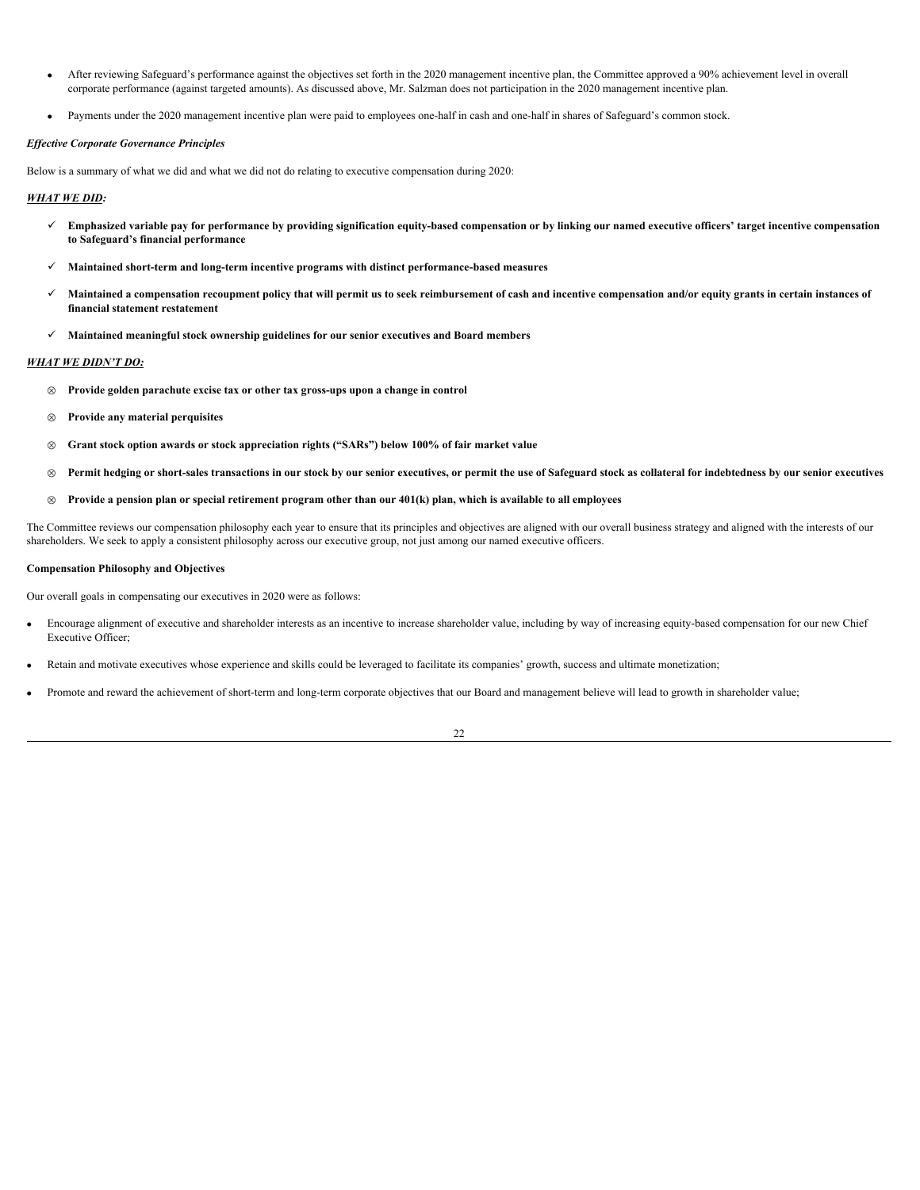- · After reviewing Safeguard's performance against the objectives set forth in the 2020 management incentive plan, the Committee approved a 90% achievement level in overall corporate performance (against targeted amounts). As discussed above, Mr. Salzman does not participation in the 2020 management incentive plan.
- · Payments under the 2020 management incentive plan were paid to employees one-half in cash and one-half in shares of Safeguard's common stock.

# <span id="page-25-0"></span>*Effective Corporate Governance Principles*

Below is a summary of what we did and what we did not do relating to executive compensation during 2020:

# *WHAT WE DID:*

- ü **Emphasized variable pay for performance by providing signification equity-based compensation or by linking our named executive officers' target incentive compensation to Safeguard's financial performance**
- ü **Maintained short-term and long-term incentive programs with distinct performance-based measures**
- ü **Maintained a compensation recoupment policy that will permit us to seek reimbursement of cash and incentive compensation and/or equity grants in certain instances of financial statement restatement**
- ü **Maintained meaningful stock ownership guidelines for our senior executives and Board members**

# *WHAT WE DIDN'T DO:*

- Ä **Provide golden parachute excise tax or other tax gross-ups upon a change in control**
- Ä **Provide any material perquisites**
- Ä **Grant stock option awards or stock appreciation rights ("SARs") below 100% of fair market value**
- Ä **Permit hedging or short-sales transactions in our stock by our senior executives, or permit the use of Safeguard stock as collateral for indebtedness by our senior executives**
- Ä **Provide a pension plan or special retirement program other than our 401(k) plan, which is available to all employees**

The Committee reviews our compensation philosophy each year to ensure that its principles and objectives are aligned with our overall business strategy and aligned with the interests of our shareholders. We seek to apply a consistent philosophy across our executive group, not just among our named executive officers.

#### <span id="page-25-1"></span>**Compensation Philosophy and Objectives**

Our overall goals in compensating our executives in 2020 were as follows:

- Encourage alignment of executive and shareholder interests as an incentive to increase shareholder value, including by way of increasing equity-based compensation for our new Chief Executive Officer;
- · Retain and motivate executives whose experience and skills could be leveraged to facilitate its companies' growth, success and ultimate monetization;
- · Promote and reward the achievement of short-term and long-term corporate objectives that our Board and management believe will lead to growth in shareholder value;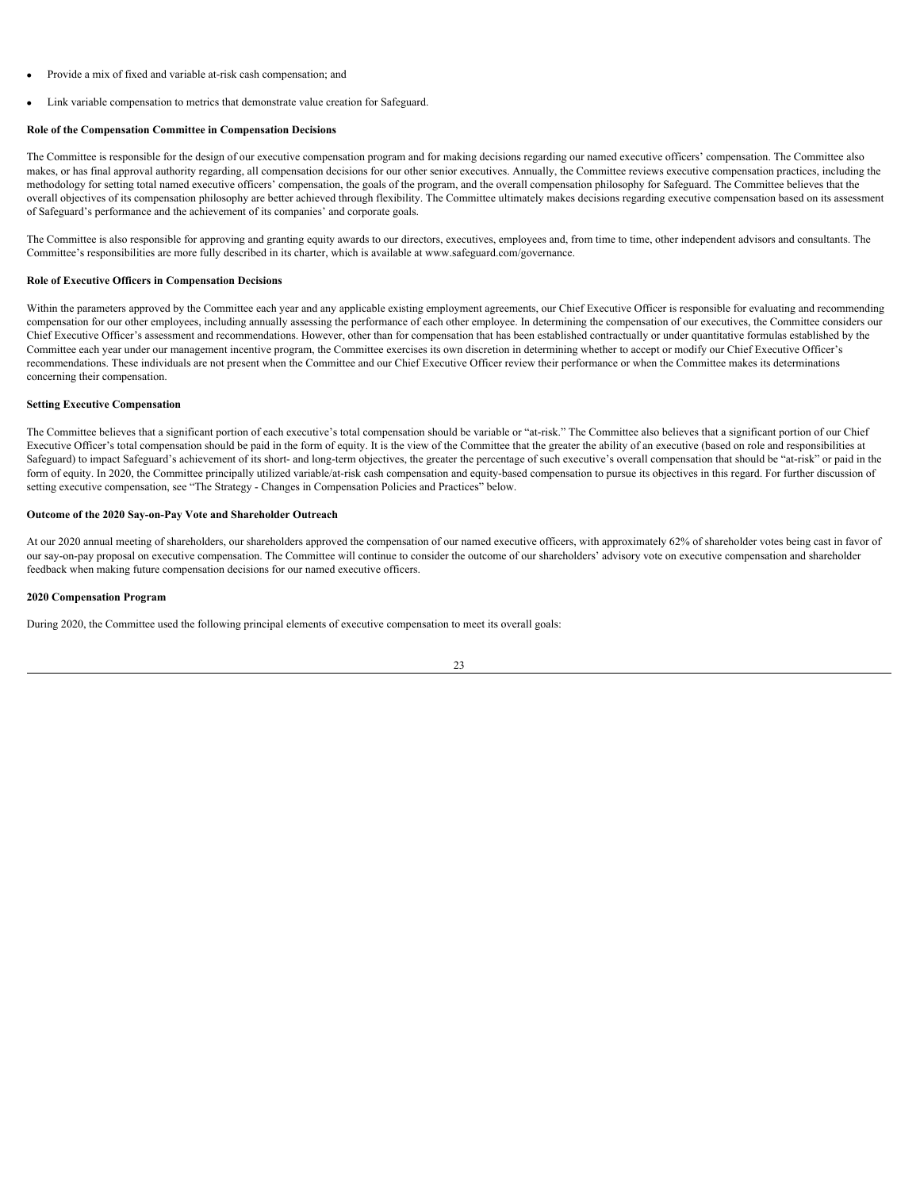- Provide a mix of fixed and variable at-risk cash compensation; and
- Link variable compensation to metrics that demonstrate value creation for Safeguard.

# <span id="page-26-0"></span>**Role of the Compensation Committee in Compensation Decisions**

The Committee is responsible for the design of our executive compensation program and for making decisions regarding our named executive officers' compensation. The Committee also makes, or has final approval authority regarding, all compensation decisions for our other senior executives. Annually, the Committee reviews executive compensation practices, including the methodology for setting total named executive officers' compensation, the goals of the program, and the overall compensation philosophy for Safeguard. The Committee believes that the overall objectives of its compensation philosophy are better achieved through flexibility. The Committee ultimately makes decisions regarding executive compensation based on its assessment of Safeguard's performance and the achievement of its companies' and corporate goals.

The Committee is also responsible for approving and granting equity awards to our directors, executives, employees and, from time to time, other independent advisors and consultants. The Committee's responsibilities are more fully described in its charter, which is available at www.safeguard.com/governance.

# <span id="page-26-1"></span>**Role of Executive Officers in Compensation Decisions**

Within the parameters approved by the Committee each year and any applicable existing employment agreements, our Chief Executive Officer is responsible for evaluating and recommending compensation for our other employees, including annually assessing the performance of each other employee. In determining the compensation of our executives, the Committee considers our Chief Executive Officer's assessment and recommendations. However, other than for compensation that has been established contractually or under quantitative formulas established by the Committee each year under our management incentive program, the Committee exercises its own discretion in determining whether to accept or modify our Chief Executive Officer's recommendations. These individuals are not present when the Committee and our Chief Executive Officer review their performance or when the Committee makes its determinations concerning their compensation.

# <span id="page-26-2"></span>**Setting Executive Compensation**

The Committee believes that a significant portion of each executive's total compensation should be variable or "at-risk." The Committee also believes that a significant portion of our Chief Executive Officer's total compensation should be paid in the form of equity. It is the view of the Committee that the greater the ability of an executive (based on role and responsibilities at Safeguard) to impact Safeguard's achievement of its short- and long-term objectives, the greater the percentage of such executive's overall compensation that should be "at-risk" or paid in the form of equity. In 2020, the Committee principally utilized variable/at-risk cash compensation and equity-based compensation to pursue its objectives in this regard. For further discussion of setting executive compensation, see "The Strategy - Changes in Compensation Policies and Practices" below.

#### <span id="page-26-3"></span>**Outcome of the 2020 Say-on-Pay Vote and Shareholder Outreach**

At our 2020 annual meeting of shareholders, our shareholders approved the compensation of our named executive officers, with approximately 62% of shareholder votes being cast in favor of our say-on-pay proposal on executive compensation. The Committee will continue to consider the outcome of our shareholders' advisory vote on executive compensation and shareholder feedback when making future compensation decisions for our named executive officers.

# <span id="page-26-4"></span>**2020 Compensation Program**

During 2020, the Committee used the following principal elements of executive compensation to meet its overall goals: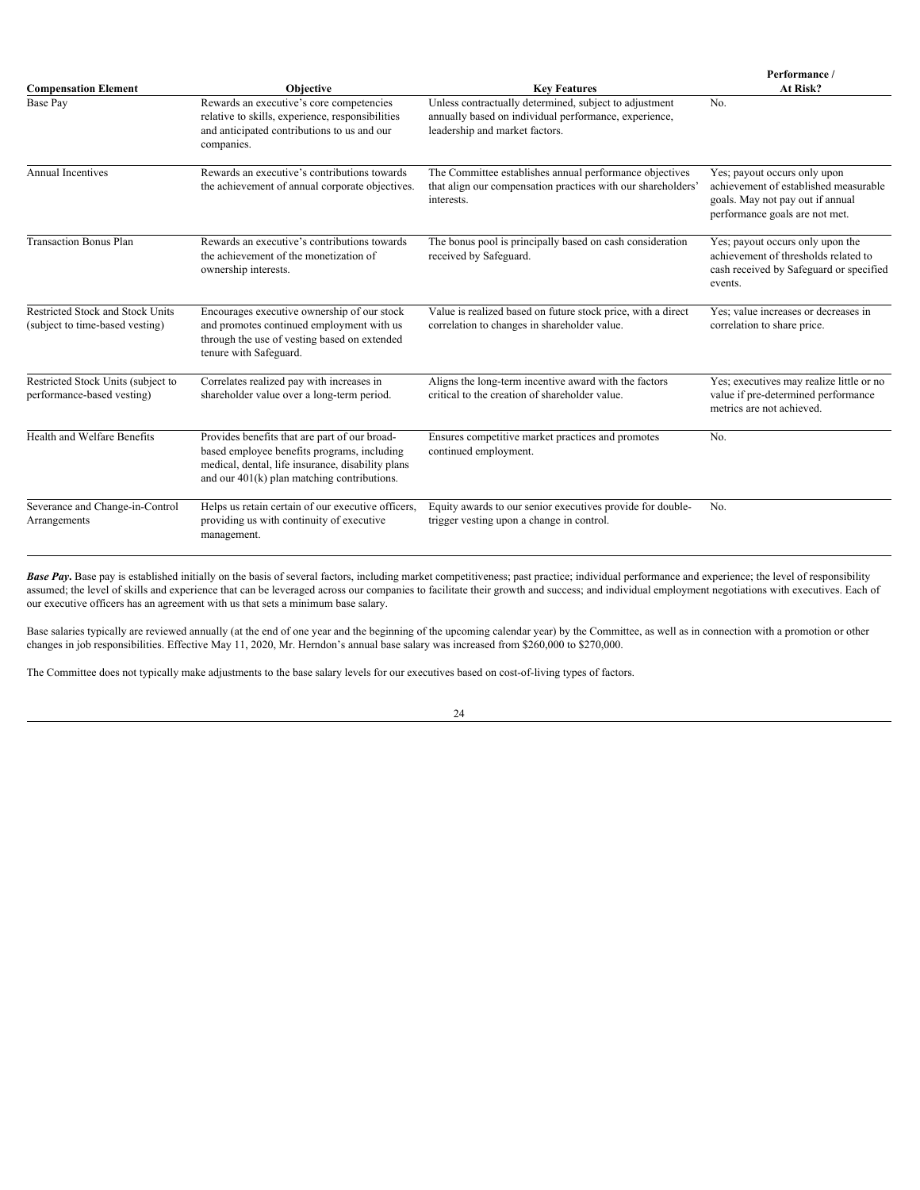| <b>Compensation Element</b><br><b>Objective</b><br><b>Key Features</b> |                                                                                                                                                                                                    | Performance /<br>At Risk?                                                                                                                         |                                                                                                                                             |
|------------------------------------------------------------------------|----------------------------------------------------------------------------------------------------------------------------------------------------------------------------------------------------|---------------------------------------------------------------------------------------------------------------------------------------------------|---------------------------------------------------------------------------------------------------------------------------------------------|
| Base Pay                                                               | Rewards an executive's core competencies<br>relative to skills, experience, responsibilities<br>and anticipated contributions to us and our<br>companies.                                          | Unless contractually determined, subject to adjustment<br>annually based on individual performance, experience,<br>leadership and market factors. | No.                                                                                                                                         |
| <b>Annual Incentives</b>                                               | Rewards an executive's contributions towards<br>the achievement of annual corporate objectives.                                                                                                    | The Committee establishes annual performance objectives<br>that align our compensation practices with our shareholders'<br>interests.             | Yes; payout occurs only upon<br>achievement of established measurable<br>goals. May not pay out if annual<br>performance goals are not met. |
| <b>Transaction Bonus Plan</b>                                          | Rewards an executive's contributions towards<br>the achievement of the monetization of<br>ownership interests.                                                                                     | The bonus pool is principally based on cash consideration<br>received by Safeguard.                                                               | Yes; payout occurs only upon the<br>achievement of thresholds related to<br>cash received by Safeguard or specified<br>events.              |
| Restricted Stock and Stock Units<br>(subject to time-based vesting)    | Encourages executive ownership of our stock<br>and promotes continued employment with us<br>through the use of vesting based on extended<br>tenure with Safeguard.                                 | Value is realized based on future stock price, with a direct<br>correlation to changes in shareholder value.                                      | Yes; value increases or decreases in<br>correlation to share price.                                                                         |
| Restricted Stock Units (subject to<br>performance-based vesting)       | Correlates realized pay with increases in<br>shareholder value over a long-term period.                                                                                                            | Aligns the long-term incentive award with the factors<br>critical to the creation of shareholder value.                                           | Yes; executives may realize little or no<br>value if pre-determined performance<br>metrics are not achieved.                                |
| Health and Welfare Benefits                                            | Provides benefits that are part of our broad-<br>based employee benefits programs, including<br>medical, dental, life insurance, disability plans<br>and our $401(k)$ plan matching contributions. | Ensures competitive market practices and promotes<br>continued employment.                                                                        | No.                                                                                                                                         |
| Severance and Change-in-Control<br>Arrangements                        | Helps us retain certain of our executive officers,<br>providing us with continuity of executive<br>management.                                                                                     | Equity awards to our senior executives provide for double-<br>trigger vesting upon a change in control.                                           | No.                                                                                                                                         |

*Base Pay***.** Base pay is established initially on the basis of several factors, including market competitiveness; past practice; individual performance and experience; the level of responsibility assumed; the level of skills and experience that can be leveraged across our companies to facilitate their growth and success; and individual employment negotiations with executives. Each of our executive officers has an agreement with us that sets a minimum base salary.

Base salaries typically are reviewed annually (at the end of one year and the beginning of the upcoming calendar year) by the Committee, as well as in connection with a promotion or other changes in job responsibilities. Effective May 11, 2020, Mr. Herndon's annual base salary was increased from \$260,000 to \$270,000.

The Committee does not typically make adjustments to the base salary levels for our executives based on cost-of-living types of factors.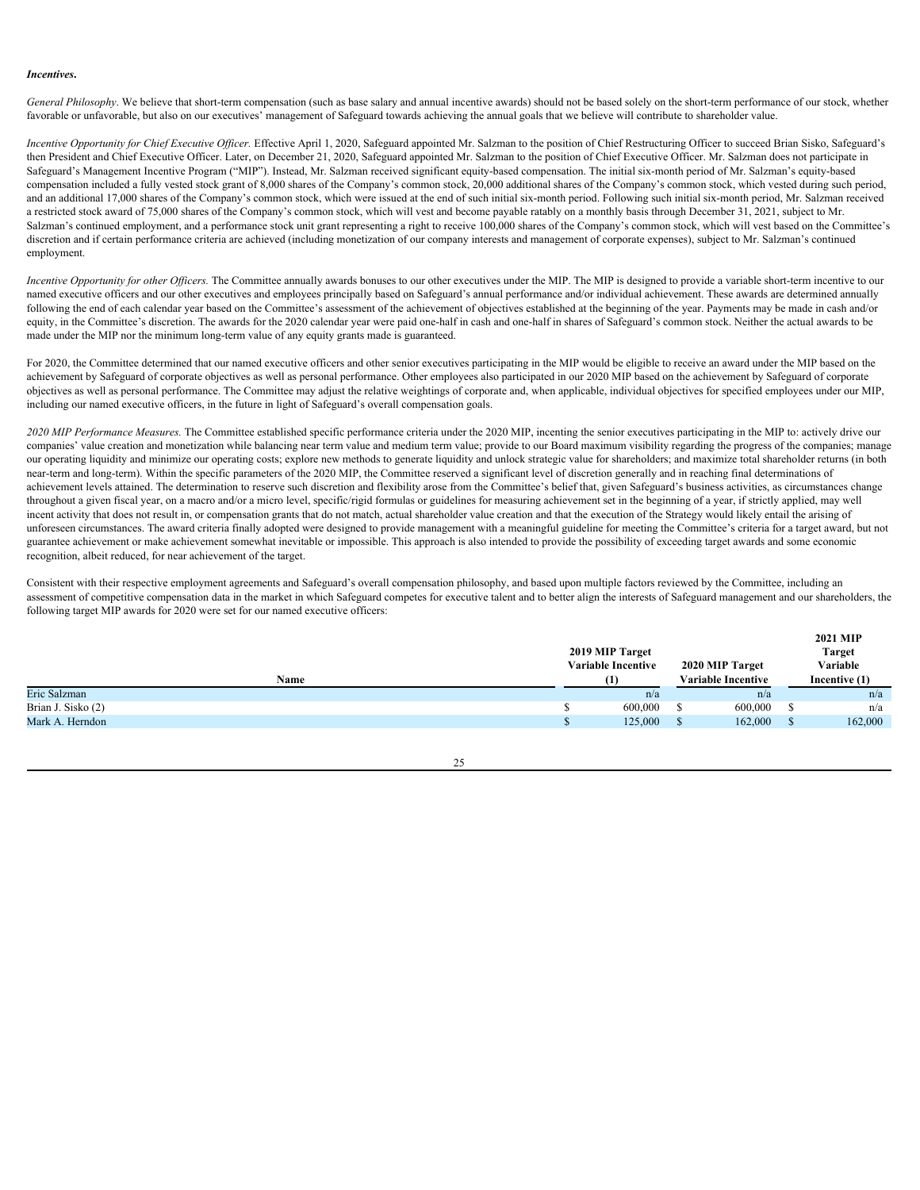# *Incentives***.**

General Philosophy. We believe that short-term compensation (such as base salary and annual incentive awards) should not be based solely on the short-term performance of our stock, whether favorable or unfavorable, but also on our executives' management of Safeguard towards achieving the annual goals that we believe will contribute to shareholder value.

*Incentive Opportunity for Chief Executive Officer.* Effective April 1, 2020, Safeguard appointed Mr. Salzman to the position of Chief Restructuring Officer to succeed Brian Sisko, Safeguard's then President and Chief Executive Officer. Later, on December 21, 2020, Safeguard appointed Mr. Salzman to the position of Chief Executive Officer. Mr. Salzman does not participate in Safeguard's Management Incentive Program ("MIP"). Instead, Mr. Salzman received significant equity-based compensation. The initial six-month period of Mr. Salzman's equity-based compensation included a fully vested stock grant of 8,000 shares of the Company's common stock, 20,000 additional shares of the Company's common stock, which vested during such period, and an additional 17,000 shares of the Company's common stock, which were issued at the end of such initial six-month period. Following such initial six-month period, Mr. Salzman received a restricted stock award of 75,000 shares of the Company's common stock, which will vest and become payable ratably on a monthly basis through December 31, 2021, subject to Mr. Salzman's continued employment, and a performance stock unit grant representing a right to receive 100,000 shares of the Company's common stock, which will vest based on the Committee's discretion and if certain performance criteria are achieved (including monetization of our company interests and management of corporate expenses), subject to Mr. Salzman's continued employment.

*Incentive Opportunity for other Officers*. The Committee annually awards bonuses to our other executives under the MIP. The MIP is designed to provide a variable short-term incentive to our named executive officers and our other executives and employees principally based on Safeguard's annual performance and/or individual achievement. These awards are determined annually following the end of each calendar year based on the Committee's assessment of the achievement of objectives established at the beginning of the year. Payments may be made in cash and/or equity, in the Committee's discretion. The awards for the 2020 calendar year were paid one-half in cash and one-half in shares of Safeguard's common stock. Neither the actual awards to be made under the MIP nor the minimum long-term value of any equity grants made is guaranteed.

For 2020, the Committee determined that our named executive officers and other senior executives participating in the MIP would be eligible to receive an award under the MIP based on the achievement by Safeguard of corporate objectives as well as personal performance. Other employees also participated in our 2020 MIP based on the achievement by Safeguard of corporate objectives as well as personal performance. The Committee may adjust the relative weightings of corporate and, when applicable, individual objectives for specified employees under our MIP, including our named executive officers, in the future in light of Safeguard's overall compensation goals.

*2020 MIP Performance Measures.* The Committee established specific performance criteria under the 2020 MIP, incenting the senior executives participating in the MIP to: actively drive our companies' value creation and monetization while balancing near term value and medium term value; provide to our Board maximum visibility regarding the progress of the companies; manage our operating liquidity and minimize our operating costs; explore new methods to generate liquidity and unlock strategic value for shareholders; and maximize total shareholder returns (in both near-term and long-term). Within the specific parameters of the 2020 MIP, the Committee reserved a significant level of discretion generally and in reaching final determinations of achievement levels attained. The determination to reserve such discretion and flexibility arose from the Committee's belief that, given Safeguard's business activities, as circumstances change throughout a given fiscal year, on a macro and/or a micro level, specific/rigid formulas or guidelines for measuring achievement set in the beginning of a year, if strictly applied, may well incent activity that does not result in, or compensation grants that do not match, actual shareholder value creation and that the execution of the Strategy would likely entail the arising of unforeseen circumstances. The award criteria finally adopted were designed to provide management with a meaningful guideline for meeting the Committee's criteria for a target award, but not guarantee achievement or make achievement somewhat inevitable or impossible. This approach is also intended to provide the possibility of exceeding target awards and some economic recognition, albeit reduced, for near achievement of the target.

Consistent with their respective employment agreements and Safeguard's overall compensation philosophy, and based upon multiple factors reviewed by the Committee, including an assessment of competitive compensation data in the market in which Safeguard competes for executive talent and to better align the interests of Safeguard management and our shareholders, the following target MIP awards for 2020 were set for our named executive officers:

|                    | <b>2021 MIP</b>           |                 |  |                           |               |               |  |
|--------------------|---------------------------|-----------------|--|---------------------------|---------------|---------------|--|
|                    |                           | 2019 MIP Target |  |                           | <b>Target</b> |               |  |
|                    | <b>Variable Incentive</b> |                 |  | 2020 MIP Target           |               | Variable      |  |
| Name               |                           | (1)             |  | <b>Variable Incentive</b> |               | Incentive (1) |  |
| Eric Salzman       |                           | n/a             |  | n/a                       |               | n/a           |  |
| Brian J. Sisko (2) |                           | 600,000         |  | 600,000                   |               | n/a           |  |
| Mark A. Herndon    |                           | 125,000         |  | 162,000                   |               | 162,000       |  |
|                    |                           |                 |  |                           |               |               |  |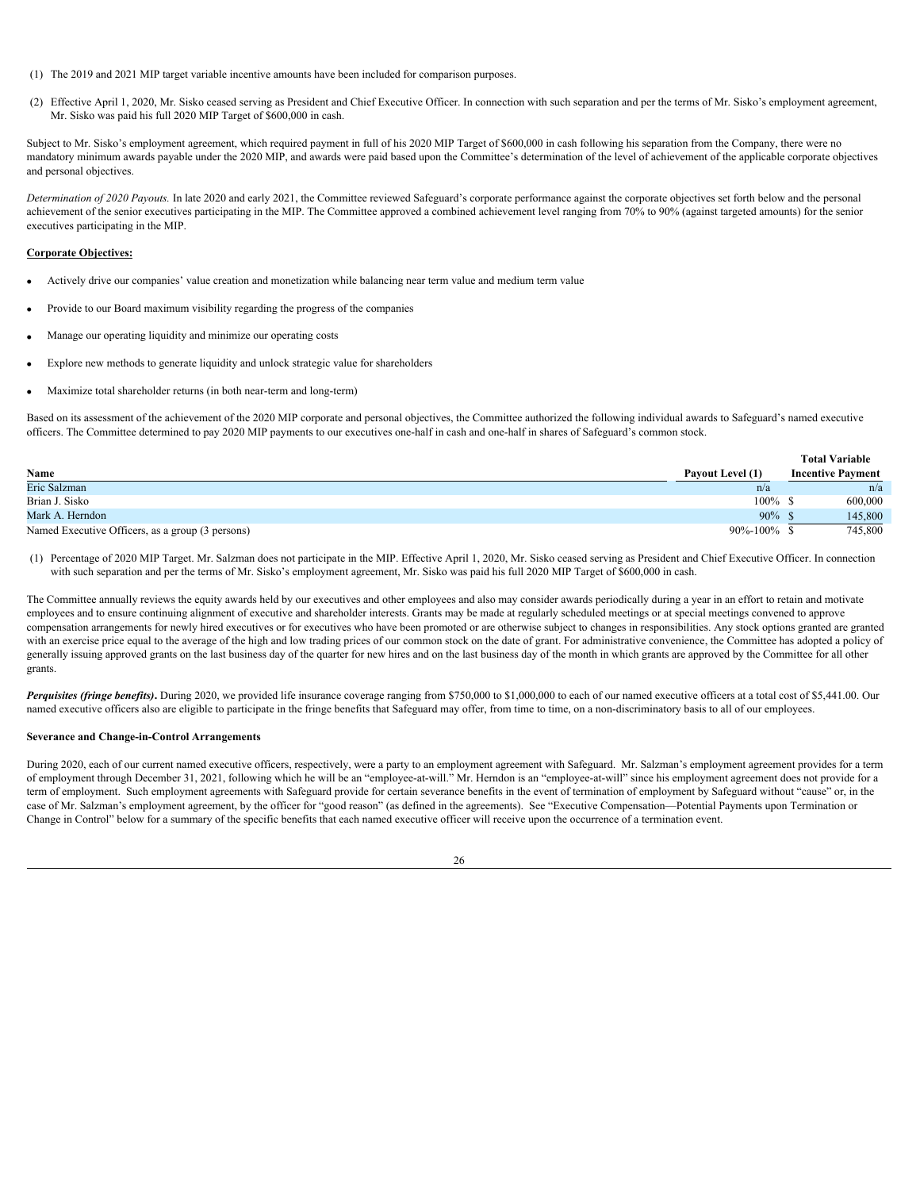- (1) The 2019 and 2021 MIP target variable incentive amounts have been included for comparison purposes.
- (2) Effective April 1, 2020, Mr. Sisko ceased serving as President and Chief Executive Officer. In connection with such separation and per the terms of Mr. Sisko's employment agreement, Mr. Sisko was paid his full 2020 MIP Target of \$600,000 in cash.

Subject to Mr. Sisko's employment agreement, which required payment in full of his 2020 MIP Target of \$600,000 in cash following his separation from the Company, there were no mandatory minimum awards payable under the 2020 MIP, and awards were paid based upon the Committee's determination of the level of achievement of the applicable corporate objectives and personal objectives.

*Determination of 2020 Payouts.* In late 2020 and early 2021, the Committee reviewed Safeguard's corporate performance against the corporate objectives set forth below and the personal achievement of the senior executives participating in the MIP. The Committee approved a combined achievement level ranging from 70% to 90% (against targeted amounts) for the senior executives participating in the MIP.

# **Corporate Objectives:**

- Actively drive our companies' value creation and monetization while balancing near term value and medium term value
- Provide to our Board maximum visibility regarding the progress of the companies
- · Manage our operating liquidity and minimize our operating costs
- Explore new methods to generate liquidity and unlock strategic value for shareholders
- Maximize total shareholder returns (in both near-term and long-term)

Based on its assessment of the achievement of the 2020 MIP corporate and personal objectives, the Committee authorized the following individual awards to Safeguard's named executive officers. The Committee determined to pay 2020 MIP payments to our executives one-half in cash and one-half in shares of Safeguard's common stock.

|                                                  |                  | <b>Total Variable</b>    |     |
|--------------------------------------------------|------------------|--------------------------|-----|
| Name                                             | Payout Level (1) | <b>Incentive Payment</b> |     |
| Eric Salzman                                     | n/a              |                          | n/a |
| Brian J. Sisko                                   | 100%             | 600,000                  |     |
| Mark A. Herndon                                  | $90\%$           | 145,800                  |     |
| Named Executive Officers, as a group (3 persons) | 90%-100%         | 745,800                  |     |

(1) Percentage of 2020 MIP Target. Mr. Salzman does not participate in the MIP. Effective April 1, 2020, Mr. Sisko ceased serving as President and Chief Executive Officer. In connection with such separation and per the terms of Mr. Sisko's employment agreement, Mr. Sisko was paid his full 2020 MIP Target of \$600,000 in cash.

The Committee annually reviews the equity awards held by our executives and other employees and also may consider awards periodically during a year in an effort to retain and motivate employees and to ensure continuing alignment of executive and shareholder interests. Grants may be made at regularly scheduled meetings or at special meetings convened to approve compensation arrangements for newly hired executives or for executives who have been promoted or are otherwise subject to changes in responsibilities. Any stock options granted are granted with an exercise price equal to the average of the high and low trading prices of our common stock on the date of grant. For administrative convenience, the Committee has adopted a policy of generally issuing approved grants on the last business day of the quarter for new hires and on the last business day of the month in which grants are approved by the Committee for all other grants.

Perquisites (fringe benefits). During 2020, we provided life insurance coverage ranging from \$750,000 to \$1,000,000 to each of our named executive officers at a total cost of \$5,441.00. Our named executive officers also are eligible to participate in the fringe benefits that Safeguard may offer, from time to time, on a non-discriminatory basis to all of our employees.

#### <span id="page-29-0"></span>**Severance and Change-in-Control Arrangements**

During 2020, each of our current named executive officers, respectively, were a party to an employment agreement with Safeguard. Mr. Salzman's employment agreement provides for a term of employment through December 31, 2021, following which he will be an "employee-at-will." Mr. Herndon is an "employee-at-will" since his employment agreement does not provide for a term of employment. Such employment agreements with Safeguard provide for certain severance benefits in the event of termination of employment by Safeguard without "cause" or, in the case of Mr. Salzman's employment agreement, by the officer for "good reason" (as defined in the agreements). See "Executive Compensation—Potential Payments upon Termination or Change in Control" below for a summary of the specific benefits that each named executive officer will receive upon the occurrence of a termination event.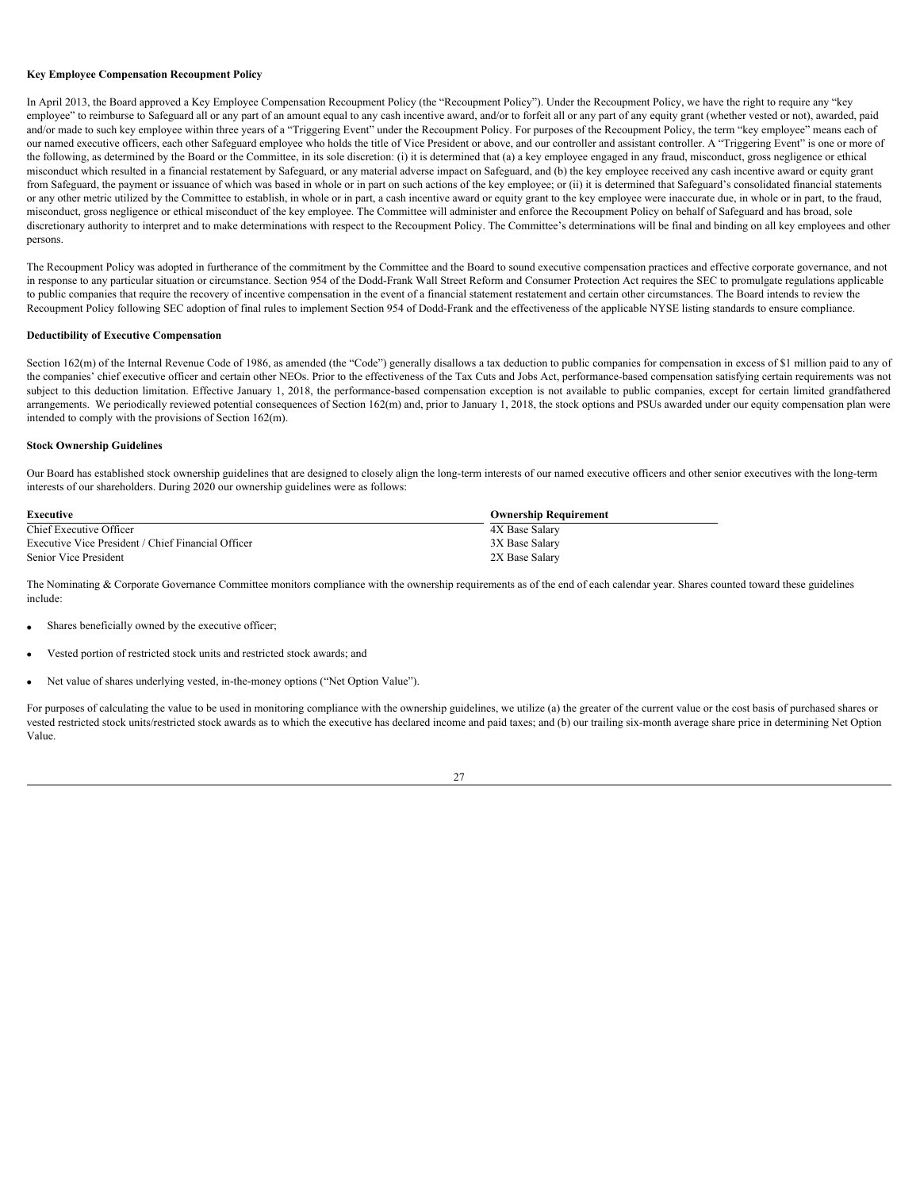# <span id="page-30-0"></span>**Key Employee Compensation Recoupment Policy**

In April 2013, the Board approved a Key Employee Compensation Recoupment Policy (the "Recoupment Policy"). Under the Recoupment Policy, we have the right to require any "key employee" to reimburse to Safeguard all or any part of an amount equal to any cash incentive award, and/or to forfeit all or any part of any equity grant (whether vested or not), awarded, paid and/or made to such key employee within three years of a "Triggering Event" under the Recoupment Policy. For purposes of the Recoupment Policy, the term "key employee" means each of our named executive officers, each other Safeguard employee who holds the title of Vice President or above, and our controller and assistant controller. A "Triggering Event" is one or more of the following, as determined by the Board or the Committee, in its sole discretion: (i) it is determined that (a) a key employee engaged in any fraud, misconduct, gross negligence or ethical misconduct which resulted in a financial restatement by Safeguard, or any material adverse impact on Safeguard, and (b) the key employee received any cash incentive award or equity grant from Safeguard, the payment or issuance of which was based in whole or in part on such actions of the key employee; or (ii) it is determined that Safeguard's consolidated financial statements or any other metric utilized by the Committee to establish, in whole or in part, a cash incentive award or equity grant to the key employee were inaccurate due, in whole or in part, to the fraud, misconduct, gross negligence or ethical misconduct of the key employee. The Committee will administer and enforce the Recoupment Policy on behalf of Safeguard and has broad, sole discretionary authority to interpret and to make determinations with respect to the Recoupment Policy. The Committee's determinations will be final and binding on all key employees and other persons.

The Recoupment Policy was adopted in furtherance of the commitment by the Committee and the Board to sound executive compensation practices and effective corporate governance, and not in response to any particular situation or circumstance. Section 954 of the Dodd-Frank Wall Street Reform and Consumer Protection Act requires the SEC to promulgate regulations applicable to public companies that require the recovery of incentive compensation in the event of a financial statement restatement and certain other circumstances. The Board intends to review the Recoupment Policy following SEC adoption of final rules to implement Section 954 of Dodd-Frank and the effectiveness of the applicable NYSE listing standards to ensure compliance.

# <span id="page-30-1"></span>**Deductibility of Executive Compensation**

Section 162(m) of the Internal Revenue Code of 1986, as amended (the "Code") generally disallows a tax deduction to public companies for compensation in excess of \$1 million paid to any of the companies' chief executive officer and certain other NEOs. Prior to the effectiveness of the Tax Cuts and Jobs Act, performance-based compensation satisfying certain requirements was not subject to this deduction limitation. Effective January 1, 2018, the performance-based compensation exception is not available to public companies, except for certain limited grandfathered arrangements. We periodically reviewed potential consequences of Section 162(m) and, prior to January 1, 2018, the stock options and PSUs awarded under our equity compensation plan were intended to comply with the provisions of Section 162(m).

#### <span id="page-30-2"></span>**Stock Ownership Guidelines**

Our Board has established stock ownership guidelines that are designed to closely align the long-term interests of our named executive officers and other senior executives with the long-term interests of our shareholders. During 2020 our ownership guidelines were as follows:

| Executive                                          | <b>Ownership Requirement</b> |
|----------------------------------------------------|------------------------------|
| Chief Executive Officer                            | 4X Base Salary               |
| Executive Vice President / Chief Financial Officer | 3X Base Salary               |
| Senior Vice President                              | 2X Base Salary               |

The Nominating & Corporate Governance Committee monitors compliance with the ownership requirements as of the end of each calendar year. Shares counted toward these guidelines include:

- Shares beneficially owned by the executive officer;
- Vested portion of restricted stock units and restricted stock awards; and
- Net value of shares underlying vested, in-the-money options ("Net Option Value").

For purposes of calculating the value to be used in monitoring compliance with the ownership guidelines, we utilize (a) the greater of the current value or the cost basis of purchased shares or vested restricted stock units/restricted stock awards as to which the executive has declared income and paid taxes; and (b) our trailing six-month average share price in determining Net Option Value.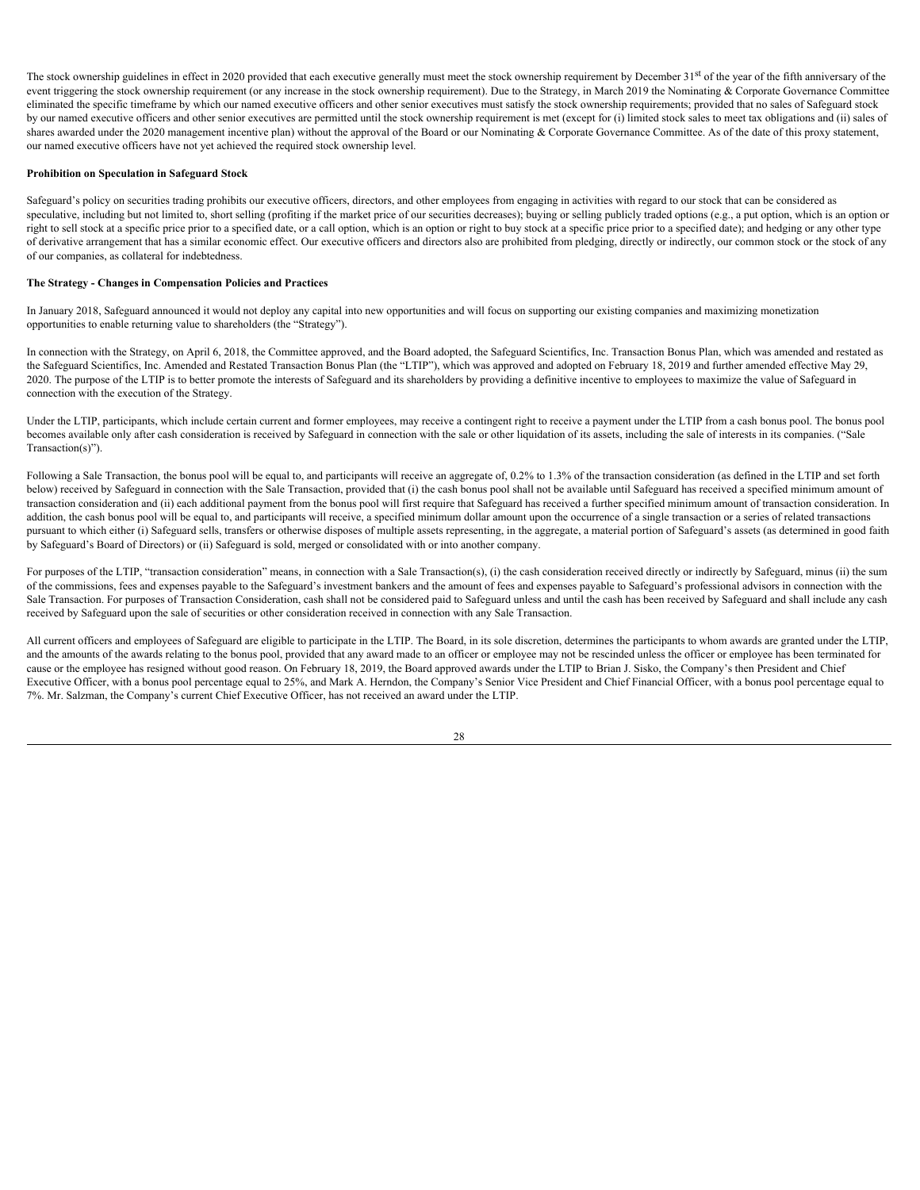The stock ownership guidelines in effect in 2020 provided that each executive generally must meet the stock ownership requirement by December 31<sup>st</sup> of the year of the fifth anniversary of the event triggering the stock ownership requirement (or any increase in the stock ownership requirement). Due to the Strategy, in March 2019 the Nominating & Corporate Governance Committee eliminated the specific timeframe by which our named executive officers and other senior executives must satisfy the stock ownership requirements; provided that no sales of Safeguard stock by our named executive officers and other senior executives are permitted until the stock ownership requirement is met (except for (i) limited stock sales to meet tax obligations and (ii) sales of shares awarded under the 2020 management incentive plan) without the approval of the Board or our Nominating & Corporate Governance Committee. As of the date of this proxy statement, our named executive officers have not yet achieved the required stock ownership level.

#### <span id="page-31-0"></span>**Prohibition on Speculation in Safeguard Stock**

Safeguard's policy on securities trading prohibits our executive officers, directors, and other employees from engaging in activities with regard to our stock that can be considered as speculative, including but not limited to, short selling (profiting if the market price of our securities decreases); buying or selling publicly traded options (e.g., a put option, which is an option or right to sell stock at a specific price prior to a specified date, or a call option, which is an option or right to buy stock at a specific price prior to a specified date); and hedging or any other type of derivative arrangement that has a similar economic effect. Our executive officers and directors also are prohibited from pledging, directly or indirectly, our common stock or the stock of any of our companies, as collateral for indebtedness.

#### <span id="page-31-1"></span>**The Strategy - Changes in Compensation Policies and Practices**

In January 2018, Safeguard announced it would not deploy any capital into new opportunities and will focus on supporting our existing companies and maximizing monetization opportunities to enable returning value to shareholders (the "Strategy").

In connection with the Strategy, on April 6, 2018, the Committee approved, and the Board adopted, the Safeguard Scientifics, Inc. Transaction Bonus Plan, which was amended and restated as the Safeguard Scientifics, Inc. Amended and Restated Transaction Bonus Plan (the "LTIP"), which was approved and adopted on February 18, 2019 and further amended effective May 29, 2020. The purpose of the LTIP is to better promote the interests of Safeguard and its shareholders by providing a definitive incentive to employees to maximize the value of Safeguard in connection with the execution of the Strategy.

Under the LTIP, participants, which include certain current and former employees, may receive a contingent right to receive a payment under the LTIP from a cash bonus pool. The bonus pool becomes available only after cash consideration is received by Safeguard in connection with the sale or other liquidation of its assets, including the sale of interests in its companies. ("Sale Transaction(s)").

Following a Sale Transaction, the bonus pool will be equal to, and participants will receive an aggregate of, 0.2% to 1.3% of the transaction consideration (as defined in the LTIP and set forth below) received by Safeguard in connection with the Sale Transaction, provided that (i) the cash bonus pool shall not be available until Safeguard has received a specified minimum amount of transaction consideration and (ii) each additional payment from the bonus pool will first require that Safeguard has received a further specified minimum amount of transaction consideration. In addition, the cash bonus pool will be equal to, and participants will receive, a specified minimum dollar amount upon the occurrence of a single transaction or a series of related transactions pursuant to which either (i) Safeguard sells, transfers or otherwise disposes of multiple assets representing, in the aggregate, a material portion of Safeguard's assets (as determined in good faith by Safeguard's Board of Directors) or (ii) Safeguard is sold, merged or consolidated with or into another company.

For purposes of the LTIP, "transaction consideration" means, in connection with a Sale Transaction(s), (i) the cash consideration received directly or indirectly by Safeguard, minus (ii) the sum of the commissions, fees and expenses payable to the Safeguard's investment bankers and the amount of fees and expenses payable to Safeguard's professional advisors in connection with the Sale Transaction. For purposes of Transaction Consideration, cash shall not be considered paid to Safeguard unless and until the cash has been received by Safeguard and shall include any cash received by Safeguard upon the sale of securities or other consideration received in connection with any Sale Transaction.

All current officers and employees of Safeguard are eligible to participate in the LTIP. The Board, in its sole discretion, determines the participants to whom awards are granted under the LTIP, and the amounts of the awards relating to the bonus pool, provided that any award made to an officer or employee may not be rescinded unless the officer or employee has been terminated for cause or the employee has resigned without good reason. On February 18, 2019, the Board approved awards under the LTIP to Brian J. Sisko, the Company's then President and Chief Executive Officer, with a bonus pool percentage equal to 25%, and Mark A. Herndon, the Company's Senior Vice President and Chief Financial Officer, with a bonus pool percentage equal to 7%. Mr. Salzman, the Company's current Chief Executive Officer, has not received an award under the LTIP.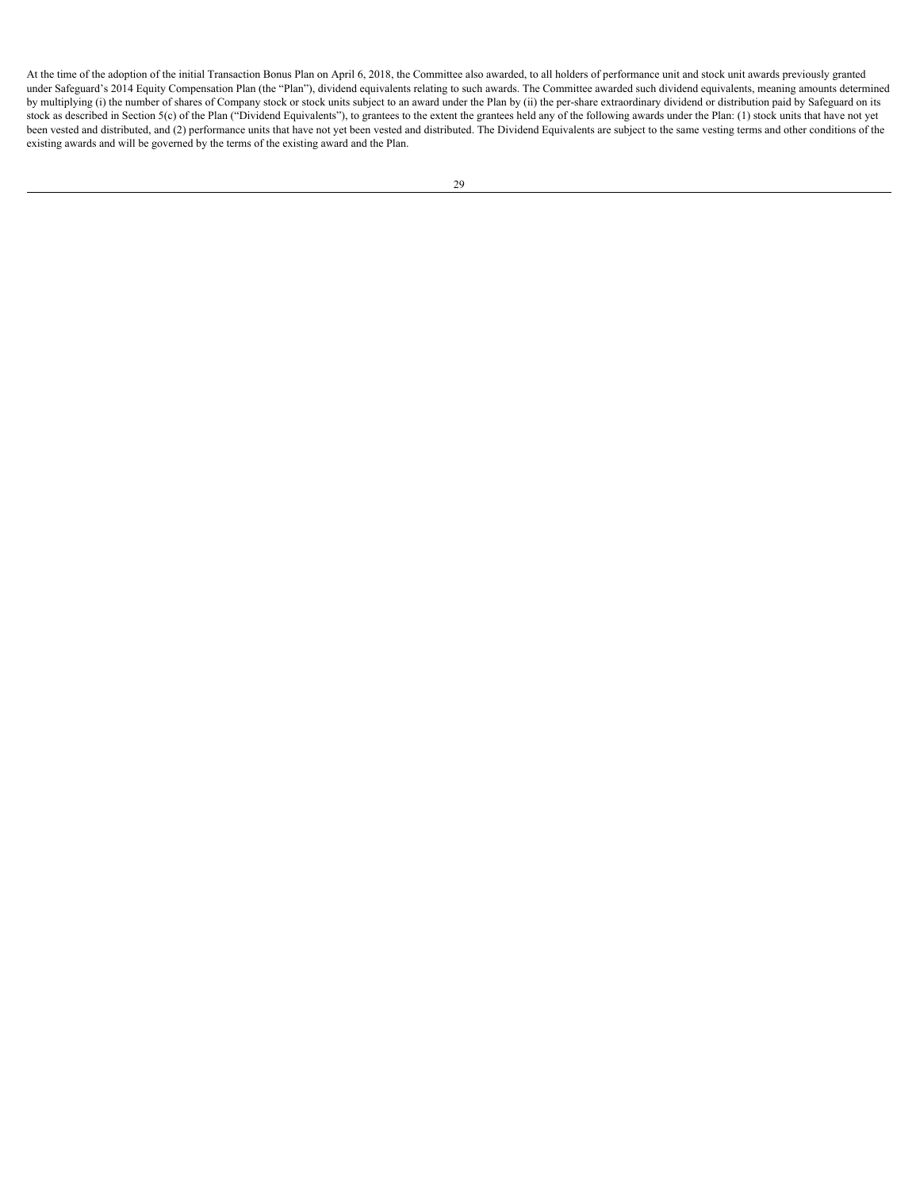At the time of the adoption of the initial Transaction Bonus Plan on April 6, 2018, the Committee also awarded, to all holders of performance unit and stock unit awards previously granted under Safeguard's 2014 Equity Compensation Plan (the "Plan"), dividend equivalents relating to such awards. The Committee awarded such dividend equivalents, meaning amounts determined by multiplying (i) the number of shares of Company stock or stock units subject to an award under the Plan by (ii) the per-share extraordinary dividend or distribution paid by Safeguard on its stock as described in Section 5(c) of the Plan ("Dividend Equivalents"), to grantees to the extent the grantees held any of the following awards under the Plan: (1) stock units that have not yet been vested and distributed, and (2) performance units that have not yet been vested and distributed. The Dividend Equivalents are subject to the same vesting terms and other conditions of the existing awards and will be governed by the terms of the existing award and the Plan.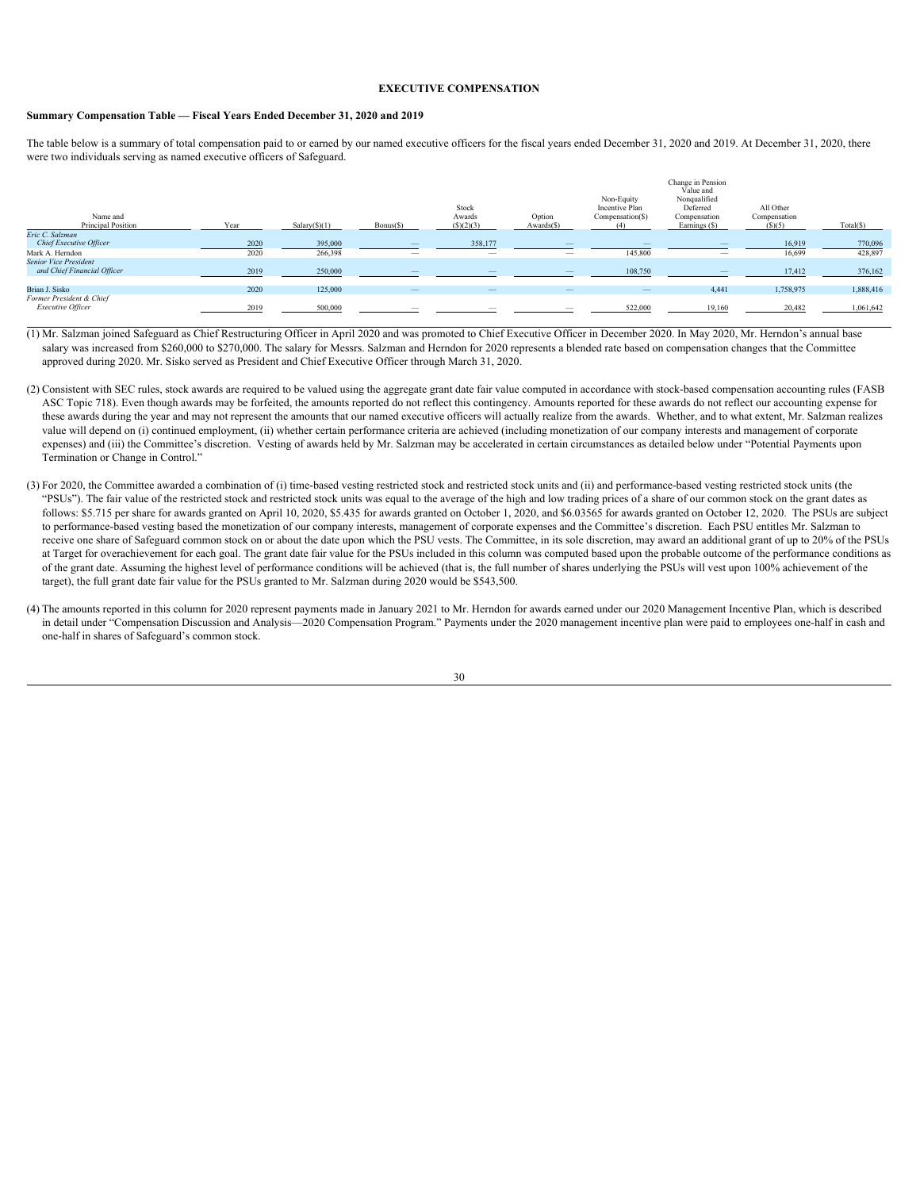# <span id="page-33-0"></span>**EXECUTIVE COMPENSATION**

#### <span id="page-33-1"></span>**Summary Compensation Table — Fiscal Years Ended December 31, 2020 and 2019**

The table below is a summary of total compensation paid to or earned by our named executive officers for the fiscal years ended December 31, 2020 and 2019. At December 31, 2020, there were two individuals serving as named executive officers of Safeguard.

| Name and<br>Principal Position                              | Vear | $Salary(\text{S})(1)$ | $Bonus(\S)$              | Stock<br>Awards<br>(S)(2)(3) | Option<br>$Awards(\S)$   | Non-Equity<br>Incentive Plan<br>Compensation(\$) | Change in Pension<br>Value and<br>Nonqualified<br>Deferred<br>Compensation<br>Earnings (\$) | All Other<br>Compensation<br>(S)(5) | Total(S)  |
|-------------------------------------------------------------|------|-----------------------|--------------------------|------------------------------|--------------------------|--------------------------------------------------|---------------------------------------------------------------------------------------------|-------------------------------------|-----------|
| Eric C. Salzman                                             |      |                       |                          |                              |                          |                                                  |                                                                                             |                                     |           |
| Chief Executive Officer                                     | 2020 | 395,000               |                          | 358,177                      |                          |                                                  | $\overline{\phantom{a}}$                                                                    | 16.919                              | 770,096   |
| Mark A. Herndon                                             | 2020 | 266,398               |                          | $\overline{\phantom{a}}$     |                          | 145,800                                          | $\overline{\phantom{a}}$                                                                    | 16,699                              | 428,897   |
| <b>Senior Vice President</b><br>and Chief Financial Officer | 2019 | 250,000               |                          |                              |                          | 108.750                                          |                                                                                             | 17.412                              | 376,162   |
|                                                             |      |                       |                          |                              |                          |                                                  |                                                                                             |                                     |           |
| Brian J. Sisko                                              | 2020 | 125,000               | $\overline{\phantom{0}}$ | $\overline{\phantom{0}}$     | $\overline{\phantom{0}}$ | $\overline{\phantom{a}}$                         | 4,441                                                                                       | 1,758,975                           | 1,888,416 |
| Former President & Chief<br>Executive Officer               | 2019 | 500,000               |                          |                              |                          | 522,000                                          | 19.160                                                                                      | 20.482                              | 1,061,642 |

 (1) Mr. Salzman joined Safeguard as Chief Restructuring Officer in April 2020 and was promoted to Chief Executive Officer in December 2020. In May 2020, Mr. Herndon's annual base salary was increased from \$260,000 to \$270,000. The salary for Messrs. Salzman and Herndon for 2020 represents a blended rate based on compensation changes that the Committee approved during 2020. Mr. Sisko served as President and Chief Executive Officer through March 31, 2020.

- (2) Consistent with SEC rules, stock awards are required to be valued using the aggregate grant date fair value computed in accordance with stock-based compensation accounting rules (FASB ASC Topic 718). Even though awards may be forfeited, the amounts reported do not reflect this contingency. Amounts reported for these awards do not reflect our accounting expense for these awards during the year and may not represent the amounts that our named executive officers will actually realize from the awards. Whether, and to what extent, Mr. Salzman realizes value will depend on (i) continued employment, (ii) whether certain performance criteria are achieved (including monetization of our company interests and management of corporate expenses) and (iii) the Committee's discretion. Vesting of awards held by Mr. Salzman may be accelerated in certain circumstances as detailed below under "Potential Payments upon Termination or Change in Control."
- (3) For 2020, the Committee awarded a combination of (i) time-based vesting restricted stock and restricted stock units and (ii) and performance-based vesting restricted stock units (the "PSUs"). The fair value of the restricted stock and restricted stock units was equal to the average of the high and low trading prices of a share of our common stock on the grant dates as follows: \$5.715 per share for awards granted on April 10, 2020, \$5.435 for awards granted on October 1, 2020, and \$6.03565 for awards granted on October 12, 2020. The PSUs are subject to performance-based vesting based the monetization of our company interests, management of corporate expenses and the Committee's discretion. Each PSU entitles Mr. Salzman to receive one share of Safeguard common stock on or about the date upon which the PSU vests. The Committee, in its sole discretion, may award an additional grant of up to 20% of the PSUs at Target for overachievement for each goal. The grant date fair value for the PSUs included in this column was computed based upon the probable outcome of the performance conditions as of the grant date. Assuming the highest level of performance conditions will be achieved (that is, the full number of shares underlying the PSUs will vest upon 100% achievement of the target), the full grant date fair value for the PSUs granted to Mr. Salzman during 2020 would be \$543,500.
- (4) The amounts reported in this column for 2020 represent payments made in January 2021 to Mr. Herndon for awards earned under our 2020 Management Incentive Plan, which is described in detail under "Compensation Discussion and Analysis—2020 Compensation Program." Payments under the 2020 management incentive plan were paid to employees one-half in cash and one-half in shares of Safeguard's common stock.

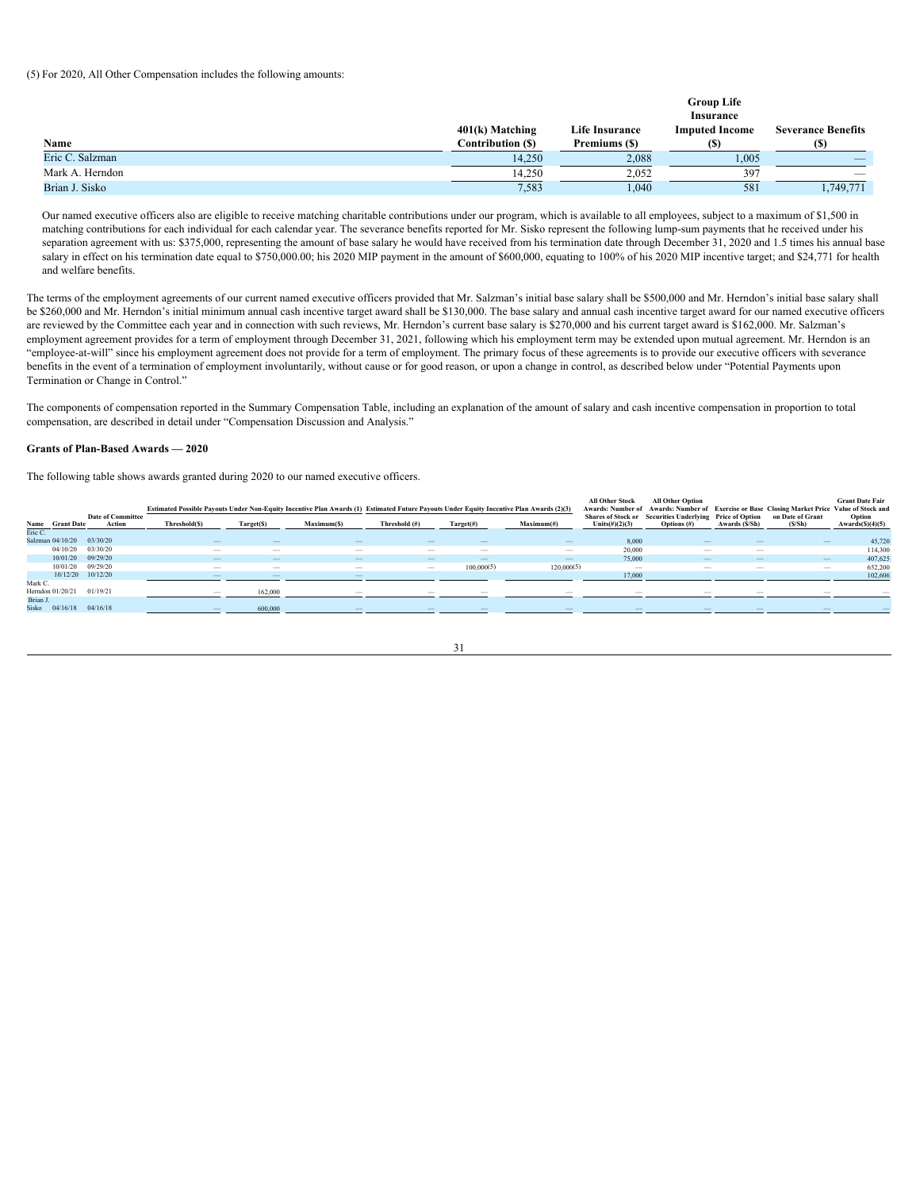# (5) For 2020, All Other Compensation includes the following amounts:

|                   |                       | <b>Group Life</b>     |                                            |
|-------------------|-----------------------|-----------------------|--------------------------------------------|
|                   |                       | Insurance             |                                            |
| 401(k) Matching   | <b>Life Insurance</b> | <b>Imputed Income</b> | <b>Severance Benefits</b>                  |
| Contribution (\$) | Premiums (\$)         |                       |                                            |
| 14,250            | 2.088                 | 1,005                 | $\qquad \qquad \overline{\qquad \qquad }%$ |
| 14,250            | 2.052                 |                       |                                            |
| 7,583             | 1,040                 | 581                   | ,749,771                                   |
|                   |                       |                       |                                            |

Our named executive officers also are eligible to receive matching charitable contributions under our program, which is available to all employees, subject to a maximum of \$1,500 in matching contributions for each individual for each calendar year. The severance benefits reported for Mr. Sisko represent the following lump-sum payments that he received under his separation agreement with us: \$375,000, representing the amount of base salary he would have received from his termination date through December 31, 2020 and 1.5 times his annual base salary in effect on his termination date equal to \$750,000.00; his 2020 MIP payment in the amount of \$600,000, equating to 100% of his 2020 MIP incentive target; and \$24,771 for health and welfare benefits.

The terms of the employment agreements of our current named executive officers provided that Mr. Salzman's initial base salary shall be \$500,000 and Mr. Herndon's initial base salary shall be \$260,000 and Mr. Herndon's initial minimum annual cash incentive target award shall be \$130,000. The base salary and annual cash incentive target award for our named executive officers are reviewed by the Committee each year and in connection with such reviews, Mr. Herndon's current base salary is \$270,000 and his current target award is \$162,000. Mr. Salzman's employment agreement provides for a term of employment through December 31, 2021, following which his employment term may be extended upon mutual agreement. Mr. Herndon is an "employee-at-will" since his employment agreement does not provide for a term of employment. The primary focus of these agreements is to provide our executive officers with severance benefits in the event of a termination of employment involuntarily, without cause or for good reason, or upon a change in control, as described below under "Potential Payments upon Termination or Change in Control."

The components of compensation reported in the Summary Compensation Table, including an explanation of the amount of salary and cash incentive compensation in proportion to total compensation, are described in detail under "Compensation Discussion and Analysis."

#### <span id="page-34-0"></span>**Grants of Plan-Based Awards — 2020**

The following table shows awards granted during 2020 to our named executive officers.

|                           |                          |              |            | Estimated Possible Payouts Under Non-Equity Incentive Plan Awards (1) Estimated Future Payouts Under Equity Incentive Plan Awards (2)(3) |                                 |              |            | <b>All Other Stock</b><br><b>Awards: Number of</b>       | <b>All Other Option</b> |                |                  | <b>Grant Date Fair</b><br>Awards: Number of Exercise or Base Closing Market Price Value of Stock and |
|---------------------------|--------------------------|--------------|------------|------------------------------------------------------------------------------------------------------------------------------------------|---------------------------------|--------------|------------|----------------------------------------------------------|-------------------------|----------------|------------------|------------------------------------------------------------------------------------------------------|
|                           | <b>Date of Committee</b> |              |            |                                                                                                                                          |                                 |              |            | Shares of Stock or Securities Underlying Price of Option |                         |                | on Date of Grant | Option                                                                                               |
| Name Grant Date           | Action                   | Threshold(S) | Target(\$) | Maximum(S)                                                                                                                               | Threshold (#)                   | $Target(\#)$ | Maximum(f) | Units $(\#)(2)(3)$                                       | Options $(f)$           | Awards (\$/Sh) | (S/Sh)           | Awards $(S)(4)(5)$                                                                                   |
| Eric C                    |                          |              |            |                                                                                                                                          |                                 |              |            |                                                          |                         |                |                  |                                                                                                      |
| Salzman 04/10/20 03/30/20 |                          | $-$          |            |                                                                                                                                          | $\overline{\phantom{a}}$        |              | $\sim$     | 8,000                                                    |                         |                |                  | 45,720                                                                                               |
| 04/10/20 03/30/20         |                          | $\sim$       |            |                                                                                                                                          | $\sim$                          |              | $\sim$     | 20,000                                                   |                         | <b>Service</b> |                  | 114,300                                                                                              |
| 10/01/20 09/29/20         |                          | $\sim$       |            |                                                                                                                                          | $\sim$                          |              |            | 75,000                                                   |                         |                |                  | 407,625                                                                                              |
| 10/01/20 09/29/20         |                          | $\sim$       |            | $\sim$                                                                                                                                   | $\hspace{0.1mm}-\hspace{0.1mm}$ | 100,000(5)   | 120,000(5) | <b>Service</b>                                           |                         | $\sim$         | $\sim$           | 652,200                                                                                              |
| 10/12/20 10/12/20         |                          |              |            |                                                                                                                                          |                                 |              |            | 17.000                                                   |                         |                |                  | 102.606                                                                                              |
| Mark C.                   |                          |              |            |                                                                                                                                          |                                 |              |            |                                                          |                         |                |                  |                                                                                                      |
| Herndon 01/20/21 01/19/21 |                          |              | 162.000    |                                                                                                                                          |                                 |              |            |                                                          |                         |                |                  |                                                                                                      |
| Brian J.                  |                          |              |            |                                                                                                                                          |                                 |              |            |                                                          |                         |                |                  |                                                                                                      |
| Sisko 04/16/18 04/16/18   |                          |              | 600,000    |                                                                                                                                          |                                 |              |            |                                                          |                         |                |                  |                                                                                                      |
|                           |                          |              |            |                                                                                                                                          |                                 |              |            |                                                          |                         |                |                  |                                                                                                      |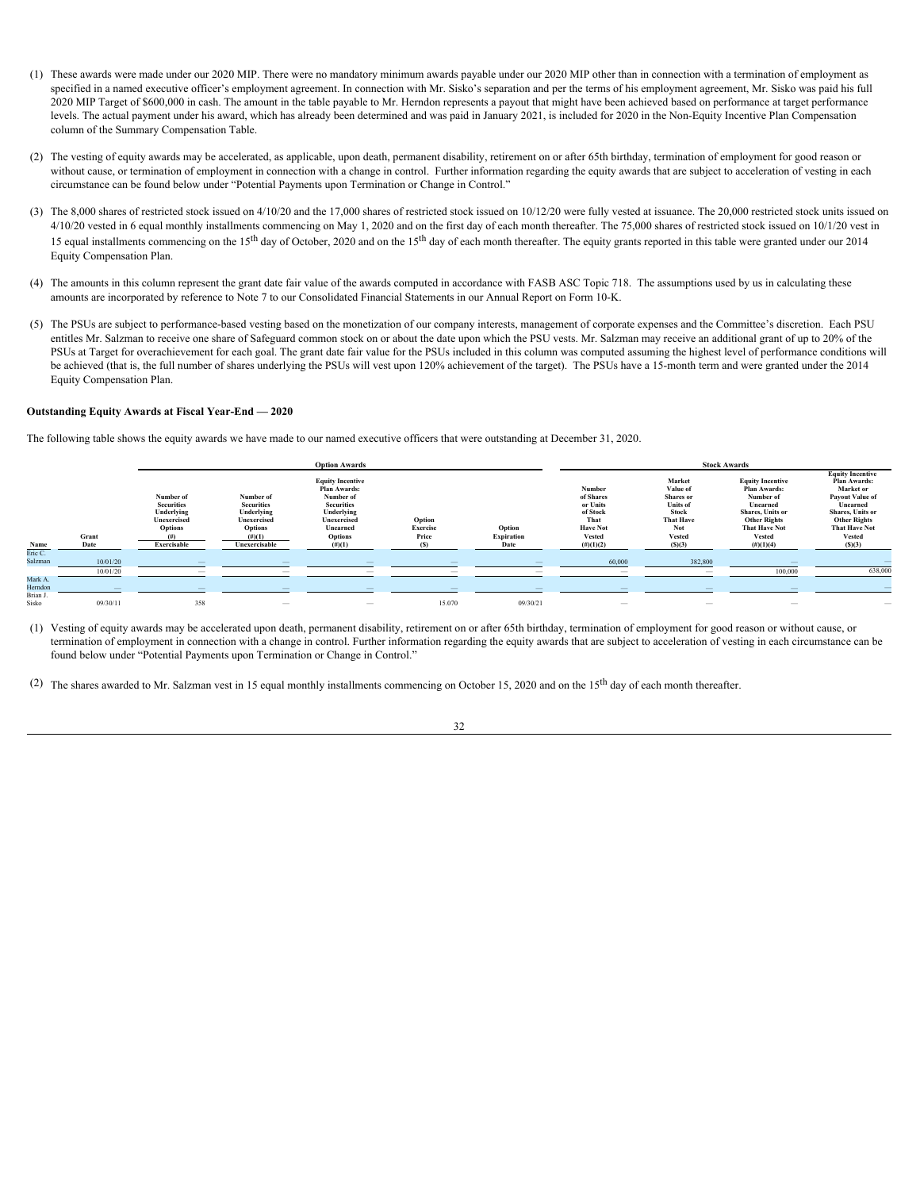- (1) These awards were made under our 2020 MIP. There were no mandatory minimum awards payable under our 2020 MIP other than in connection with a termination of employment as specified in a named executive officer's employment agreement. In connection with Mr. Sisko's separation and per the terms of his employment agreement, Mr. Sisko was paid his full 2020 MIP Target of \$600,000 in cash. The amount in the table payable to Mr. Herndon represents a payout that might have been achieved based on performance at target performance levels. The actual payment under his award, which has already been determined and was paid in January 2021, is included for 2020 in the Non-Equity Incentive Plan Compensation column of the Summary Compensation Table.
- (2) The vesting of equity awards may be accelerated, as applicable, upon death, permanent disability, retirement on or after 65th birthday, termination of employment for good reason or without cause, or termination of employment in connection with a change in control. Further information regarding the equity awards that are subject to acceleration of vesting in each circumstance can be found below under "Potential Payments upon Termination or Change in Control."
- (3) The 8,000 shares of restricted stock issued on 4/10/20 and the 17,000 shares of restricted stock issued on 10/12/20 were fully vested at issuance. The 20,000 restricted stock units issued on 4/10/20 vested in 6 equal monthly installments commencing on May 1, 2020 and on the first day of each month thereafter. The 75,000 shares of restricted stock issued on 10/1/20 vest in 15 equal installments commencing on the 15<sup>th</sup> day of October, 2020 and on the 15<sup>th</sup> day of each month thereafter. The equity grants reported in this table were granted under our 2014 Equity Compensation Plan.
- (4) The amounts in this column represent the grant date fair value of the awards computed in accordance with FASB ASC Topic 718. The assumptions used by us in calculating these amounts are incorporated by reference to Note 7 to our Consolidated Financial Statements in our Annual Report on Form 10-K.
- (5) The PSUs are subject to performance-based vesting based on the monetization of our company interests, management of corporate expenses and the Committee's discretion. Each PSU entitles Mr. Salzman to receive one share of Safeguard common stock on or about the date upon which the PSU vests. Mr. Salzman may receive an additional grant of up to 20% of the PSUs at Target for overachievement for each goal. The grant date fair value for the PSUs included in this column was computed assuming the highest level of performance conditions will be achieved (that is, the full number of shares underlying the PSUs will vest upon 120% achievement of the target). The PSUs have a 15-month term and were granted under the 2014 Equity Compensation Plan.

# <span id="page-35-0"></span>**Outstanding Equity Awards at Fiscal Year-End — 2020**

The following table shows the equity awards we have made to our named executive officers that were outstanding at December 31, 2020.

|                              |          |                                                                        |                                                                        | <b>Option Awards</b>                                                                                                                 |                             |                      |                                                                                  |                                                                                                                | <b>Stock Awards</b>                                                                                                                                  |                                                                                                                                                                                |
|------------------------------|----------|------------------------------------------------------------------------|------------------------------------------------------------------------|--------------------------------------------------------------------------------------------------------------------------------------|-----------------------------|----------------------|----------------------------------------------------------------------------------|----------------------------------------------------------------------------------------------------------------|------------------------------------------------------------------------------------------------------------------------------------------------------|--------------------------------------------------------------------------------------------------------------------------------------------------------------------------------|
|                              | Grant    | Number of<br><b>Securities</b><br>Underlying<br>Unexercised<br>Options | Number of<br><b>Securities</b><br>Underlying<br>Unexercised<br>Options | <b>Equity Incentive</b><br>Plan Awards:<br>Number of<br><b>Securities</b><br>Underlying<br>Unexercised<br>Unearned<br><b>Options</b> | Option<br>Exercise<br>Price | Option<br>Expiration | Number<br>of Shares<br>or Units<br>of Stock<br>That<br><b>Have Not</b><br>Vested | Market<br>Value of<br><b>Shares</b> or<br><b>Units</b> of<br><b>Stock</b><br><b>That Have</b><br>Not<br>Vested | <b>Equity Incentive</b><br>Plan Awards:<br>Number of<br>Unearned<br>Shares, Units or<br><b>Other Rights</b><br><b>That Have Not</b><br><b>Vested</b> | <b>Equity Incentive</b><br>Plan Awards:<br><b>Market or</b><br><b>Payout Value of</b><br>Unearned<br>Shares, Units or<br><b>Other Rights</b><br><b>That Have Not</b><br>Vested |
| Name<br>Eric C.              |          | Exercisable                                                            | Unexercisable                                                          | (#)(1)                                                                                                                               |                             |                      | $(\#)(1)(2)$                                                                     |                                                                                                                | $(\#)(1)(4)$                                                                                                                                         | (S)(3)                                                                                                                                                                         |
| Salzman                      | 10/01/20 |                                                                        |                                                                        |                                                                                                                                      |                             |                      | 60,000                                                                           | 382.800                                                                                                        |                                                                                                                                                      |                                                                                                                                                                                |
|                              | 10/01/20 |                                                                        |                                                                        |                                                                                                                                      |                             |                      |                                                                                  | <b>Service</b>                                                                                                 | 100,000                                                                                                                                              | 638,000                                                                                                                                                                        |
| Mark A.<br>Herndon<br>Brian. |          |                                                                        |                                                                        |                                                                                                                                      |                             |                      |                                                                                  |                                                                                                                |                                                                                                                                                      |                                                                                                                                                                                |
| Sisko                        | 09/30/11 | 358                                                                    | $\hspace{0.1mm}-\hspace{0.1mm}$                                        | $\hspace{0.1mm}$                                                                                                                     | 15.070                      | 09/30/21             | $\sim$                                                                           | $\sim$                                                                                                         | $\hspace{0.05cm}$                                                                                                                                    | -                                                                                                                                                                              |

(1) Vesting of equity awards may be accelerated upon death, permanent disability, retirement on or after 65th birthday, termination of employment for good reason or without cause, or termination of employment in connection with a change in control. Further information regarding the equity awards that are subject to acceleration of vesting in each circumstance can be found below under "Potential Payments upon Termination or Change in Control."

(2) The shares awarded to Mr. Salzman vest in 15 equal monthly installments commencing on October 15, 2020 and on the 15th day of each month thereafter.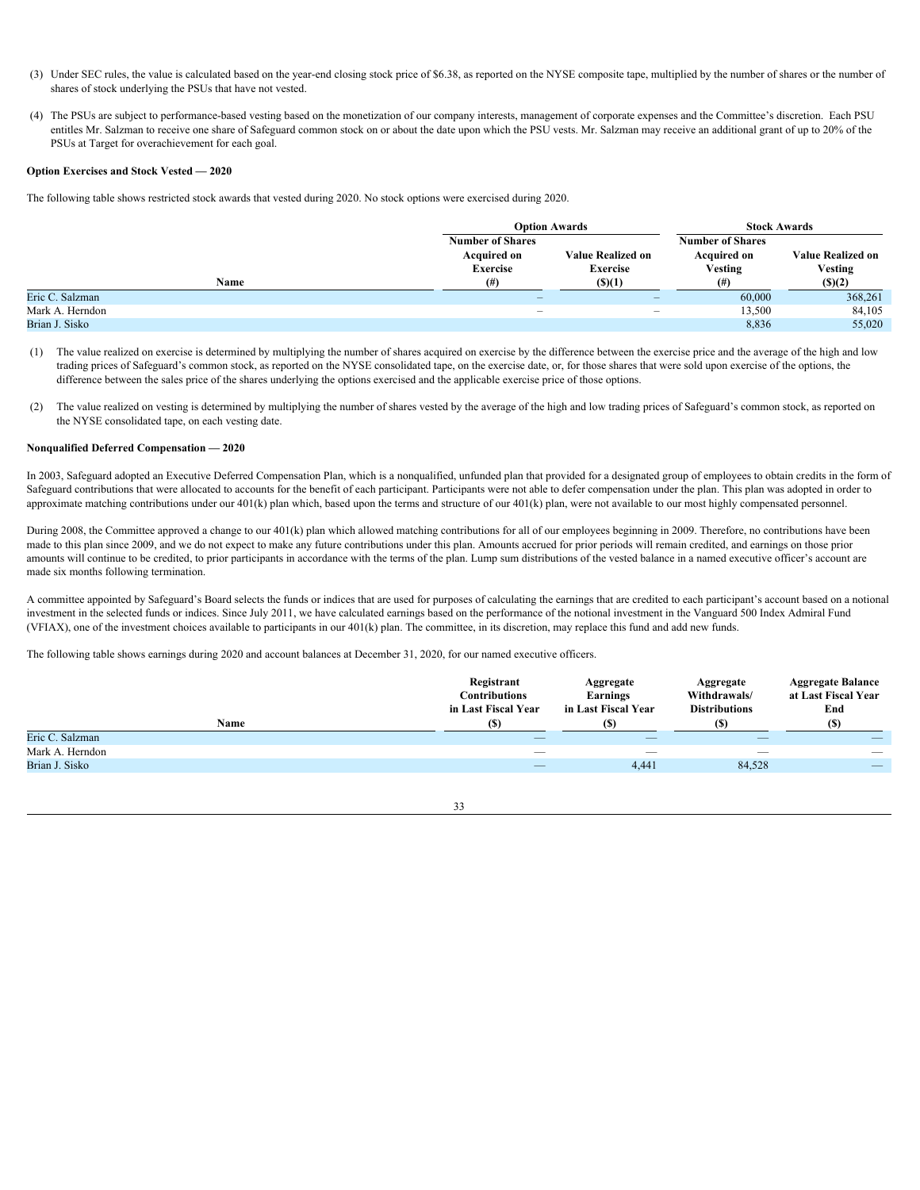- (3) Under SEC rules, the value is calculated based on the year-end closing stock price of \$6.38, as reported on the NYSE composite tape, multiplied by the number of shares or the number of shares of stock underlying the PSUs that have not vested.
- (4) The PSUs are subject to performance-based vesting based on the monetization of our company interests, management of corporate expenses and the Committee's discretion. Each PSU entitles Mr. Salzman to receive one share of Safeguard common stock on or about the date upon which the PSU vests. Mr. Salzman may receive an additional grant of up to 20% of the PSUs at Target for overachievement for each goal.

# <span id="page-36-0"></span>**Option Exercises and Stock Vested — 2020**

The following table shows restricted stock awards that vested during 2020. No stock options were exercised during 2020.

|                 |                                                                  | <b>Option Awards</b>                        | <b>Stock Awards</b>                                      |                                            |  |  |
|-----------------|------------------------------------------------------------------|---------------------------------------------|----------------------------------------------------------|--------------------------------------------|--|--|
|                 | <b>Number of Shares</b><br><b>Acquired on</b><br><b>Exercise</b> | <b>Value Realized on</b><br><b>Exercise</b> | <b>Number of Shares</b><br><b>Acquired on</b><br>Vesting | <b>Value Realized on</b><br><b>Vesting</b> |  |  |
| Name            | (#                                                               | $($ (\$)(1)                                 |                                                          | (S)(2)                                     |  |  |
| Eric C. Salzman | $\overline{\phantom{0}}$                                         |                                             | 60,000                                                   | 368,261                                    |  |  |
| Mark A. Herndon |                                                                  | $\overline{\phantom{a}}$                    | 13,500                                                   | 84,105                                     |  |  |
| Brian J. Sisko  |                                                                  |                                             | 8,836                                                    | 55,020                                     |  |  |

- (1) The value realized on exercise is determined by multiplying the number of shares acquired on exercise by the difference between the exercise price and the average of the high and low trading prices of Safeguard's common stock, as reported on the NYSE consolidated tape, on the exercise date, or, for those shares that were sold upon exercise of the options, the difference between the sales price of the shares underlying the options exercised and the applicable exercise price of those options.
- (2) The value realized on vesting is determined by multiplying the number of shares vested by the average of the high and low trading prices of Safeguard's common stock, as reported on the NYSE consolidated tape, on each vesting date.

#### <span id="page-36-1"></span>**Nonqualified Deferred Compensation — 2020**

In 2003, Safeguard adopted an Executive Deferred Compensation Plan, which is a nonqualified, unfunded plan that provided for a designated group of employees to obtain credits in the form of Safeguard contributions that were allocated to accounts for the benefit of each participant. Participants were not able to defer compensation under the plan. This plan was adopted in order to approximate matching contributions under our 401(k) plan which, based upon the terms and structure of our 401(k) plan, were not available to our most highly compensated personnel.

During 2008, the Committee approved a change to our 401(k) plan which allowed matching contributions for all of our employees beginning in 2009. Therefore, no contributions have been made to this plan since 2009, and we do not expect to make any future contributions under this plan. Amounts accrued for prior periods will remain credited, and earnings on those prior amounts will continue to be credited, to prior participants in accordance with the terms of the plan. Lump sum distributions of the vested balance in a named executive officer's account are made six months following termination.

A committee appointed by Safeguard's Board selects the funds or indices that are used for purposes of calculating the earnings that are credited to each participant's account based on a notional investment in the selected funds or indices. Since July 2011, we have calculated earnings based on the performance of the notional investment in the Vanguard 500 Index Admiral Fund (VFIAX), one of the investment choices available to participants in our 401(k) plan. The committee, in its discretion, may replace this fund and add new funds.

The following table shows earnings during 2020 and account balances at December 31, 2020, for our named executive officers.

|                 | Registrant<br>Contributions<br>in Last Fiscal Year | Aggregate<br>Earnings<br>in Last Fiscal Year | Aggregate<br>Withdrawals/<br><b>Distributions</b> | <b>Aggregate Balance</b><br>at Last Fiscal Year<br>End |
|-----------------|----------------------------------------------------|----------------------------------------------|---------------------------------------------------|--------------------------------------------------------|
| Name            | $($ s                                              |                                              | (S)                                               |                                                        |
| Eric C. Salzman |                                                    | $\overline{\phantom{a}}$                     | $\overline{\phantom{0}}$                          | __                                                     |
| Mark A. Herndon |                                                    |                                              |                                                   |                                                        |
| Brian J. Sisko  | $\hspace{0.1mm}-\hspace{0.1mm}$                    | 4,441                                        | 84,528                                            | $\overline{\phantom{a}}$                               |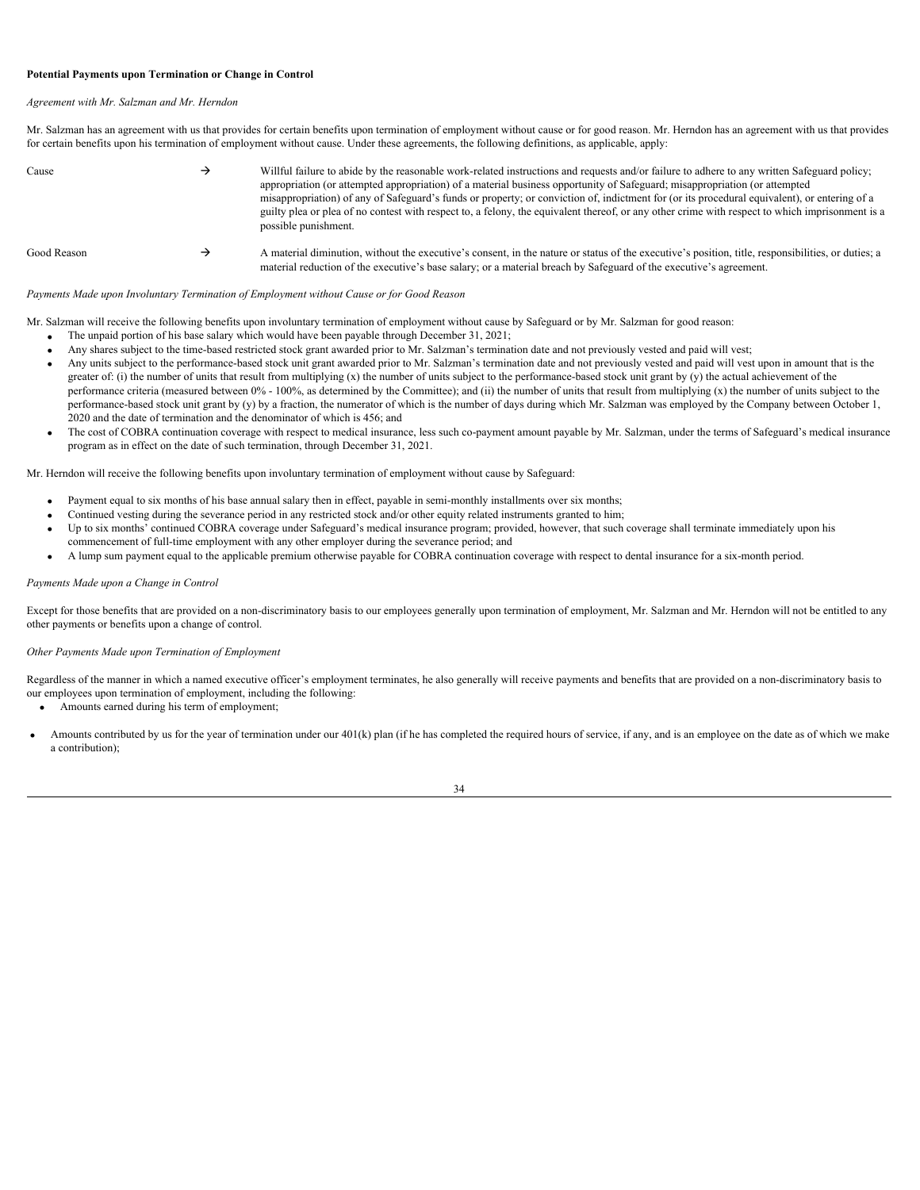# <span id="page-37-0"></span>**Potential Payments upon Termination or Change in Control**

#### *Agreement with Mr. Salzman and Mr. Herndon*

Mr. Salzman has an agreement with us that provides for certain benefits upon termination of employment without cause or for good reason. Mr. Herndon has an agreement with us that provides for certain benefits upon his termination of employment without cause. Under these agreements, the following definitions, as applicable, apply:

| Cause       | Willful failure to abide by the reasonable work-related instructions and requests and/or failure to adhere to any written Safeguard policy;<br>appropriation (or attempted appropriation) of a material business opportunity of Safeguard; misappropriation (or attempted<br>misappropriation) of any of Safeguard's funds or property; or conviction of, indictment for (or its procedural equivalent), or entering of a<br>guilty plea or plea of no contest with respect to, a felony, the equivalent thereof, or any other crime with respect to which imprisonment is a<br>possible punishment. |
|-------------|------------------------------------------------------------------------------------------------------------------------------------------------------------------------------------------------------------------------------------------------------------------------------------------------------------------------------------------------------------------------------------------------------------------------------------------------------------------------------------------------------------------------------------------------------------------------------------------------------|
| Good Reason | A material diminution, without the executive's consent, in the nature or status of the executive's position, title, responsibilities, or duties; a<br>material reduction of the executive's base salary; or a material breach by Safeguard of the executive's agreement.                                                                                                                                                                                                                                                                                                                             |

# *Payments Made upon Involuntary Termination of Employment without Cause or for Good Reason*

- Mr. Salzman will receive the following benefits upon involuntary termination of employment without cause by Safeguard or by Mr. Salzman for good reason:
	- · The unpaid portion of his base salary which would have been payable through December 31, 2021;
	- Any shares subject to the time-based restricted stock grant awarded prior to Mr. Salzman's termination date and not previously vested and paid will vest;
	- Any units subject to the performance-based stock unit grant awarded prior to Mr. Salzman's termination date and not previously vested and paid will vest upon in amount that is the greater of: (i) the number of units that result from multiplying (x) the number of units subject to the performance-based stock unit grant by (y) the actual achievement of the performance criteria (measured between 0% - 100%, as determined by the Committee); and (ii) the number of units that result from multiplying (x) the number of units subject to the performance-based stock unit grant by (y) by a fraction, the numerator of which is the number of days during which Mr. Salzman was employed by the Company between October 1, 2020 and the date of termination and the denominator of which is 456; and
	- The cost of COBRA continuation coverage with respect to medical insurance, less such co-payment amount payable by Mr. Salzman, under the terms of Safeguard's medical insurance program as in effect on the date of such termination, through December 31, 2021.

Mr. Herndon will receive the following benefits upon involuntary termination of employment without cause by Safeguard:

- Payment equal to six months of his base annual salary then in effect, payable in semi-monthly installments over six months;
- · Continued vesting during the severance period in any restricted stock and/or other equity related instruments granted to him;
- Up to six months' continued COBRA coverage under Safeguard's medical insurance program; provided, however, that such coverage shall terminate immediately upon his commencement of full-time employment with any other employer during the severance period; and
- · A lump sum payment equal to the applicable premium otherwise payable for COBRA continuation coverage with respect to dental insurance for a six-month period.

#### *Payments Made upon a Change in Control*

Except for those benefits that are provided on a non-discriminatory basis to our employees generally upon termination of employment, Mr. Salzman and Mr. Herndon will not be entitled to any other payments or benefits upon a change of control.

# *Other Payments Made upon Termination of Employment*

Regardless of the manner in which a named executive officer's employment terminates, he also generally will receive payments and benefits that are provided on a non-discriminatory basis to our employees upon termination of employment, including the following:

- · Amounts earned during his term of employment;
- Amounts contributed by us for the year of termination under our 401(k) plan (if he has completed the required hours of service, if any, and is an employee on the date as of which we make a contribution);

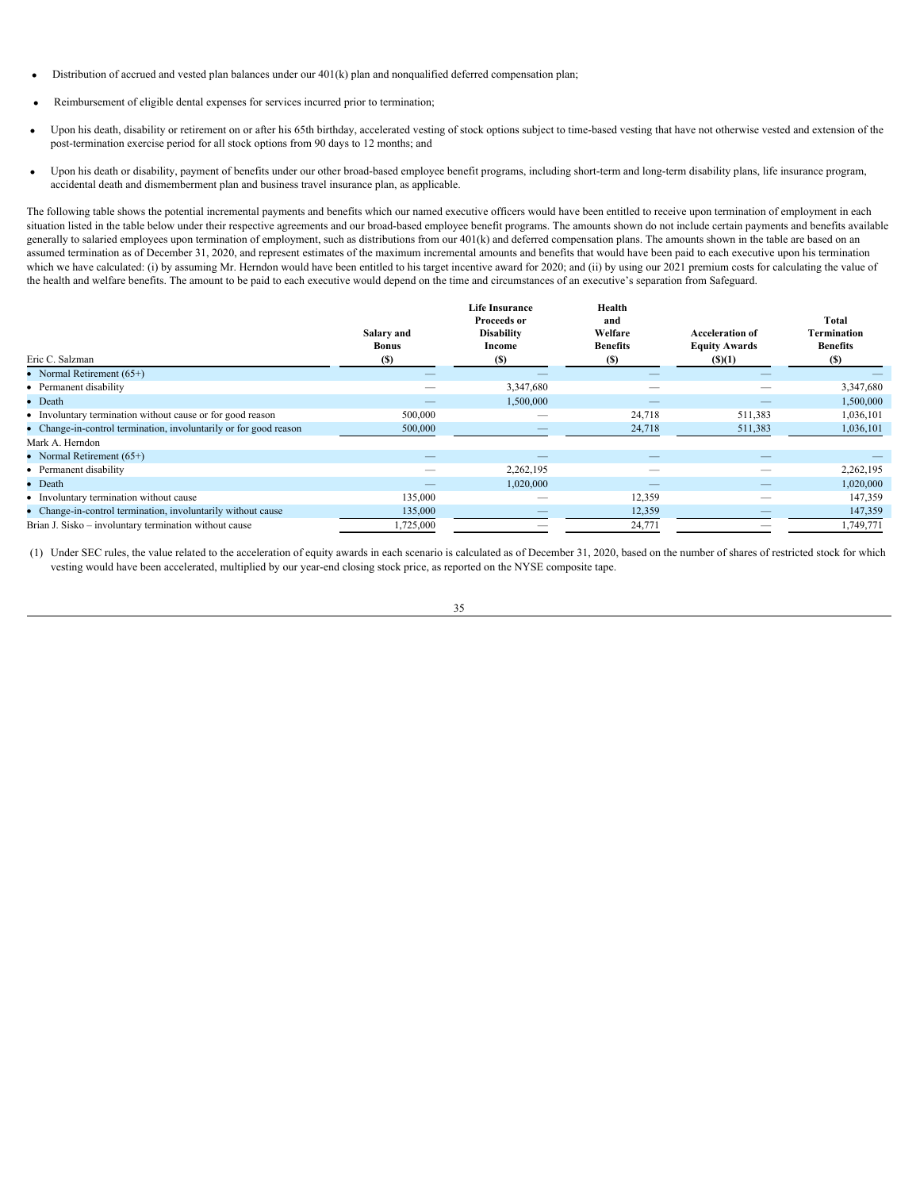- Distribution of accrued and vested plan balances under our 401(k) plan and nonqualified deferred compensation plan;
- Reimbursement of eligible dental expenses for services incurred prior to termination;
- Upon his death, disability or retirement on or after his 65th birthday, accelerated vesting of stock options subject to time-based vesting that have not otherwise vested and extension of the post-termination exercise period for all stock options from 90 days to 12 months; and
- Upon his death or disability, payment of benefits under our other broad-based employee benefit programs, including short-term and long-term disability plans, life insurance program, accidental death and dismemberment plan and business travel insurance plan, as applicable.

The following table shows the potential incremental payments and benefits which our named executive officers would have been entitled to receive upon termination of employment in each situation listed in the table below under their respective agreements and our broad-based employee benefit programs. The amounts shown do not include certain payments and benefits available generally to salaried employees upon termination of employment, such as distributions from our 401(k) and deferred compensation plans. The amounts shown in the table are based on an assumed termination as of December 31, 2020, and represent estimates of the maximum incremental amounts and benefits that would have been paid to each executive upon his termination which we have calculated: (i) by assuming Mr. Herndon would have been entitled to his target incentive award for 2020; and (ii) by using our 2021 premium costs for calculating the value of the health and welfare benefits. The amount to be paid to each executive would depend on the time and circumstances of an executive's separation from Safeguard.

| Salary and<br><b>Bonus</b> | <b>Life Insurance</b><br>Proceeds or<br><b>Disability</b><br>Income | Health<br>and<br>Welfare<br><b>Benefits</b> | <b>Acceleration of</b><br><b>Equity Awards</b> | Total<br>Termination<br><b>Benefits</b><br>(S) |
|----------------------------|---------------------------------------------------------------------|---------------------------------------------|------------------------------------------------|------------------------------------------------|
| $\sim$                     | $\overline{\phantom{a}}$                                            |                                             | $\overline{\phantom{a}}$                       |                                                |
| $\overline{\phantom{m}}$   | 3,347,680                                                           | $\hspace{0.1mm}-\hspace{0.1mm}$             |                                                | 3,347,680                                      |
| $\sim$                     | 1,500,000                                                           | $\frac{1}{2}$                               | $\overline{\phantom{a}}$                       | 1,500,000                                      |
| 500,000                    | $\overbrace{\qquad \qquad }^{}$                                     | 24,718                                      | 511,383                                        | 1,036,101                                      |
| 500,000                    |                                                                     | 24,718                                      | 511,383                                        | 1,036,101                                      |
|                            |                                                                     |                                             |                                                |                                                |
| $\sim$                     |                                                                     |                                             | $\overline{\phantom{a}}$                       |                                                |
| $\overline{\phantom{a}}$   | 2,262,195                                                           |                                             | $\overline{\phantom{m}}$                       | 2,262,195                                      |
| $\overline{\phantom{0}}$   | 1,020,000                                                           | $\qquad \qquad = \qquad$                    | $\overline{\phantom{0}}$                       | 1,020,000                                      |
| 135,000                    | $\overline{\phantom{a}}$                                            | 12,359                                      | $\overline{\phantom{a}}$                       | 147,359                                        |
| 135,000                    |                                                                     | 12,359                                      |                                                | 147,359                                        |
| 1,725,000                  |                                                                     | 24,771                                      |                                                | 1,749,771                                      |
|                            | <b>(S)</b>                                                          | (S)                                         | (S)                                            | (S)(1)                                         |

(1) Under SEC rules, the value related to the acceleration of equity awards in each scenario is calculated as of December 31, 2020, based on the number of shares of restricted stock for which vesting would have been accelerated, multiplied by our year-end closing stock price, as reported on the NYSE composite tape.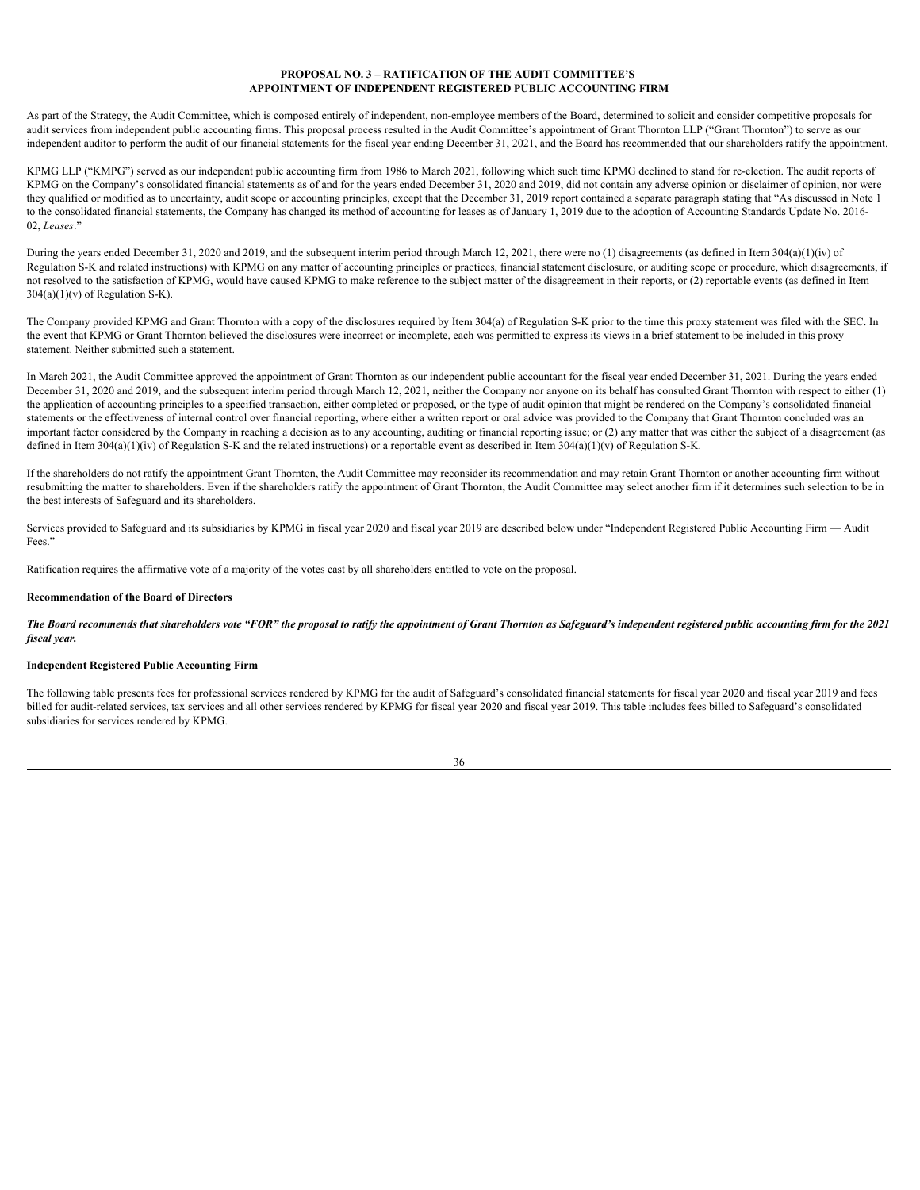# <span id="page-39-0"></span>**PROPOSAL NO. 3 – RATIFICATION OF THE AUDIT COMMITTEE'S APPOINTMENT OF INDEPENDENT REGISTERED PUBLIC ACCOUNTING FIRM**

As part of the Strategy, the Audit Committee, which is composed entirely of independent, non-employee members of the Board, determined to solicit and consider competitive proposals for audit services from independent public accounting firms. This proposal process resulted in the Audit Committee's appointment of Grant Thornton LLP ("Grant Thornton") to serve as our independent auditor to perform the audit of our financial statements for the fiscal year ending December 31, 2021, and the Board has recommended that our shareholders ratify the appointment.

KPMG LLP ("KMPG") served as our independent public accounting firm from 1986 to March 2021, following which such time KPMG declined to stand for re-election. The audit reports of KPMG on the Company's consolidated financial statements as of and for the years ended December 31, 2020 and 2019, did not contain any adverse opinion or disclaimer of opinion, nor were they qualified or modified as to uncertainty, audit scope or accounting principles, except that the December 31, 2019 report contained a separate paragraph stating that "As discussed in Note 1 to the consolidated financial statements, the Company has changed its method of accounting for leases as of January 1, 2019 due to the adoption of Accounting Standards Update No. 2016-02, *Leases*."

During the years ended December 31, 2020 and 2019, and the subsequent interim period through March 12, 2021, there were no (1) disagreements (as defined in Item 304(a)(1)(iv) of Regulation S-K and related instructions) with KPMG on any matter of accounting principles or practices, financial statement disclosure, or auditing scope or procedure, which disagreements, if not resolved to the satisfaction of KPMG, would have caused KPMG to make reference to the subject matter of the disagreement in their reports, or (2) reportable events (as defined in Item  $304(a)(1)(v)$  of Regulation S-K).

The Company provided KPMG and Grant Thornton with a copy of the disclosures required by Item 304(a) of Regulation S-K prior to the time this proxy statement was filed with the SEC. In the event that KPMG or Grant Thornton believed the disclosures were incorrect or incomplete, each was permitted to express its views in a brief statement to be included in this proxy statement. Neither submitted such a statement.

In March 2021, the Audit Committee approved the appointment of Grant Thornton as our independent public accountant for the fiscal year ended December 31, 2021. During the years ended December 31, 2020 and 2019, and the subsequent interim period through March 12, 2021, neither the Company nor anyone on its behalf has consulted Grant Thornton with respect to either (1) the application of accounting principles to a specified transaction, either completed or proposed, or the type of audit opinion that might be rendered on the Company's consolidated financial statements or the effectiveness of internal control over financial reporting, where either a written report or oral advice was provided to the Company that Grant Thornton concluded was an important factor considered by the Company in reaching a decision as to any accounting, auditing or financial reporting issue; or (2) any matter that was either the subject of a disagreement (as defined in Item 304(a)(1)(iv) of Regulation S-K and the related instructions) or a reportable event as described in Item 304(a)(1)(v) of Regulation S-K.

If the shareholders do not ratify the appointment Grant Thornton, the Audit Committee may reconsider its recommendation and may retain Grant Thornton or another accounting firm without resubmitting the matter to shareholders. Even if the shareholders ratify the appointment of Grant Thornton, the Audit Committee may select another firm if it determines such selection to be in the best interests of Safeguard and its shareholders.

Services provided to Safeguard and its subsidiaries by KPMG in fiscal year 2020 and fiscal year 2019 are described below under "Independent Registered Public Accounting Firm — Audit Fees."

Ratification requires the affirmative vote of a majority of the votes cast by all shareholders entitled to vote on the proposal.

# **Recommendation of the Board of Directors**

*The Board recommends that shareholders vote "FOR" the proposal to ratify the appointment of Grant Thornton as Safeguard's independent registered public accounting firm for the 2021 fiscal year.*

#### **Independent Registered Public Accounting Firm**

The following table presents fees for professional services rendered by KPMG for the audit of Safeguard's consolidated financial statements for fiscal year 2020 and fiscal year 2019 and fees billed for audit-related services, tax services and all other services rendered by KPMG for fiscal year 2020 and fiscal year 2019. This table includes fees billed to Safeguard's consolidated subsidiaries for services rendered by KPMG.

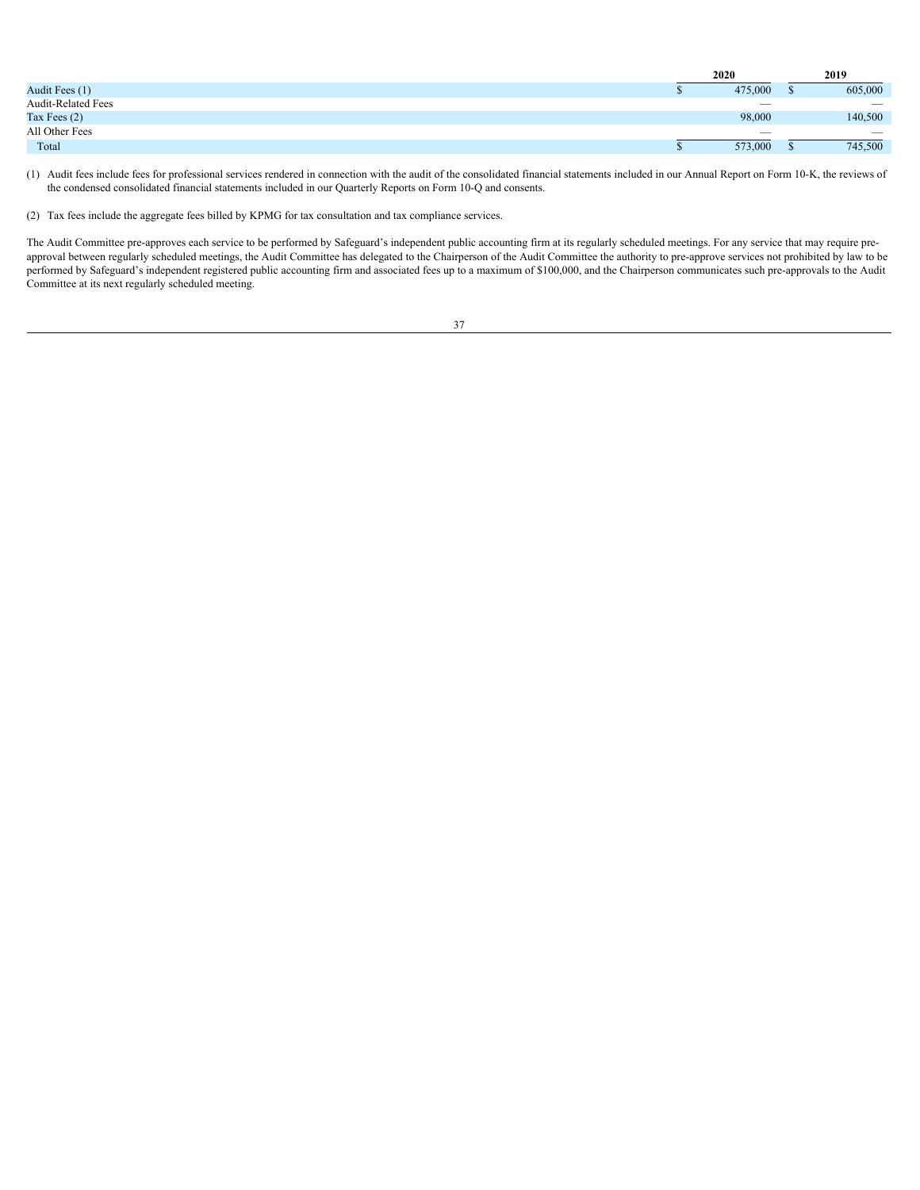| Audit Fees (1)<br>605,000<br>475,000                                                     |
|------------------------------------------------------------------------------------------|
| Audit-Related Fees<br>$\hspace{0.1mm}-\hspace{0.1mm}$<br>$\hspace{0.1mm}-\hspace{0.1mm}$ |
| 140,500<br>Tax Fees $(2)$<br>98,000                                                      |
| All Other Fees<br>$\overline{\phantom{m}}$                                               |
| 745,500<br>Total<br>573,000                                                              |

(1) Audit fees include fees for professional services rendered in connection with the audit of the consolidated financial statements included in our Annual Report on Form 10-K, the reviews of the condensed consolidated financial statements included in our Quarterly Reports on Form 10-Q and consents.

(2) Tax fees include the aggregate fees billed by KPMG for tax consultation and tax compliance services.

The Audit Committee pre-approves each service to be performed by Safeguard's independent public accounting firm at its regularly scheduled meetings. For any service that may require preapproval between regularly scheduled meetings, the Audit Committee has delegated to the Chairperson of the Audit Committee the authority to pre-approve services not prohibited by law to be performed by Safeguard's independent registered public accounting firm and associated fees up to a maximum of \$100,000, and the Chairperson communicates such pre-approvals to the Audit Committee at its next regularly scheduled meeting.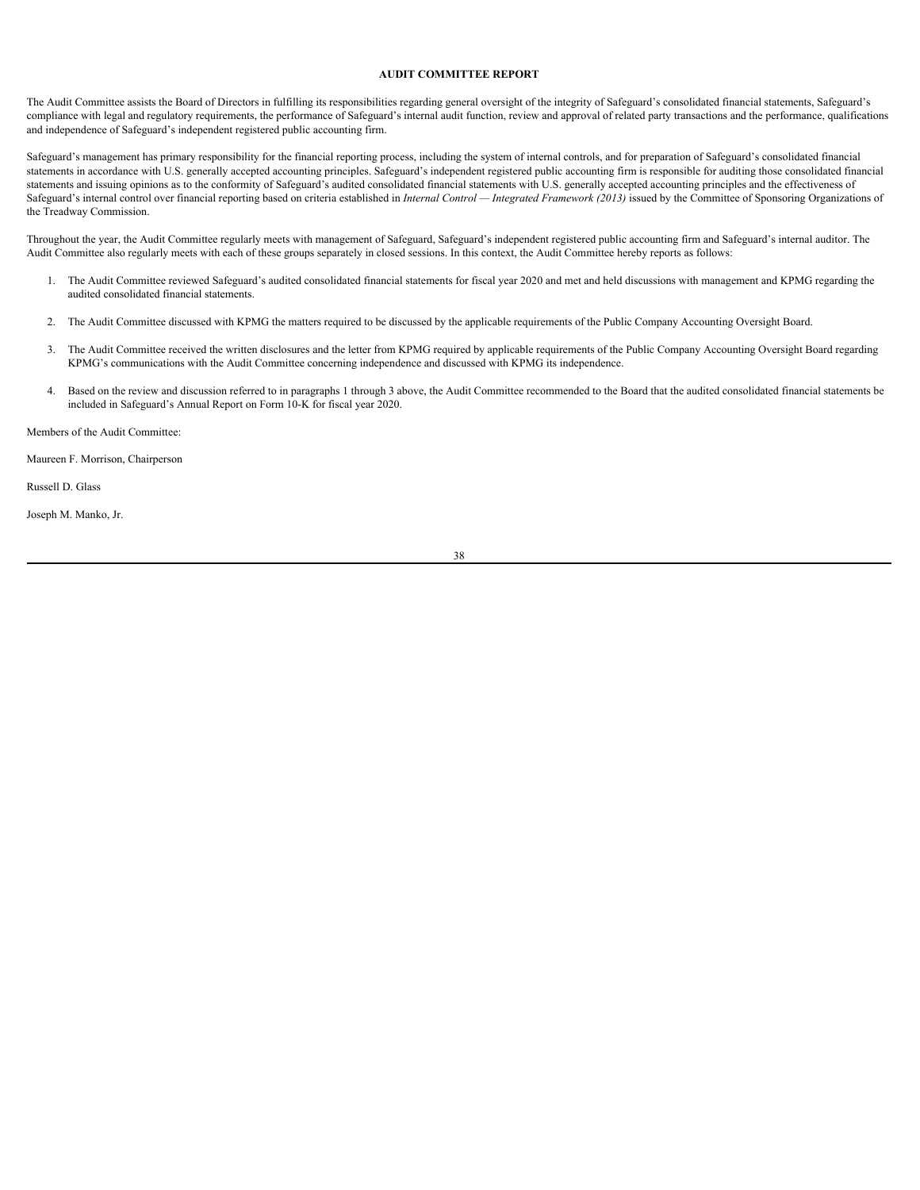# <span id="page-41-0"></span>**AUDIT COMMITTEE REPORT**

The Audit Committee assists the Board of Directors in fulfilling its responsibilities regarding general oversight of the integrity of Safeguard's consolidated financial statements, Safeguard's compliance with legal and regulatory requirements, the performance of Safeguard's internal audit function, review and approval of related party transactions and the performance, qualifications and independence of Safeguard's independent registered public accounting firm.

Safeguard's management has primary responsibility for the financial reporting process, including the system of internal controls, and for preparation of Safeguard's consolidated financial statements in accordance with U.S. generally accepted accounting principles. Safeguard's independent registered public accounting firm is responsible for auditing those consolidated financial statements and issuing opinions as to the conformity of Safeguard's audited consolidated financial statements with U.S. generally accepted accounting principles and the effectiveness of Safeguard's internal control over financial reporting based on criteria established in *Internal Control — Integrated Framework (2013)* issued by the Committee of Sponsoring Organizations of the Treadway Commission.

Throughout the year, the Audit Committee regularly meets with management of Safeguard, Safeguard's independent registered public accounting firm and Safeguard's internal auditor. The Audit Committee also regularly meets with each of these groups separately in closed sessions. In this context, the Audit Committee hereby reports as follows:

- 1. The Audit Committee reviewed Safeguard's audited consolidated financial statements for fiscal year 2020 and met and held discussions with management and KPMG regarding the audited consolidated financial statements.
- 2. The Audit Committee discussed with KPMG the matters required to be discussed by the applicable requirements of the Public Company Accounting Oversight Board.
- 3. The Audit Committee received the written disclosures and the letter from KPMG required by applicable requirements of the Public Company Accounting Oversight Board regarding KPMG's communications with the Audit Committee concerning independence and discussed with KPMG its independence.
- 4. Based on the review and discussion referred to in paragraphs 1 through 3 above, the Audit Committee recommended to the Board that the audited consolidated financial statements be included in Safeguard's Annual Report on Form 10-K for fiscal year 2020.

Members of the Audit Committee:

Maureen F. Morrison, Chairperson

Russell D. Glass

Joseph M. Manko, Jr.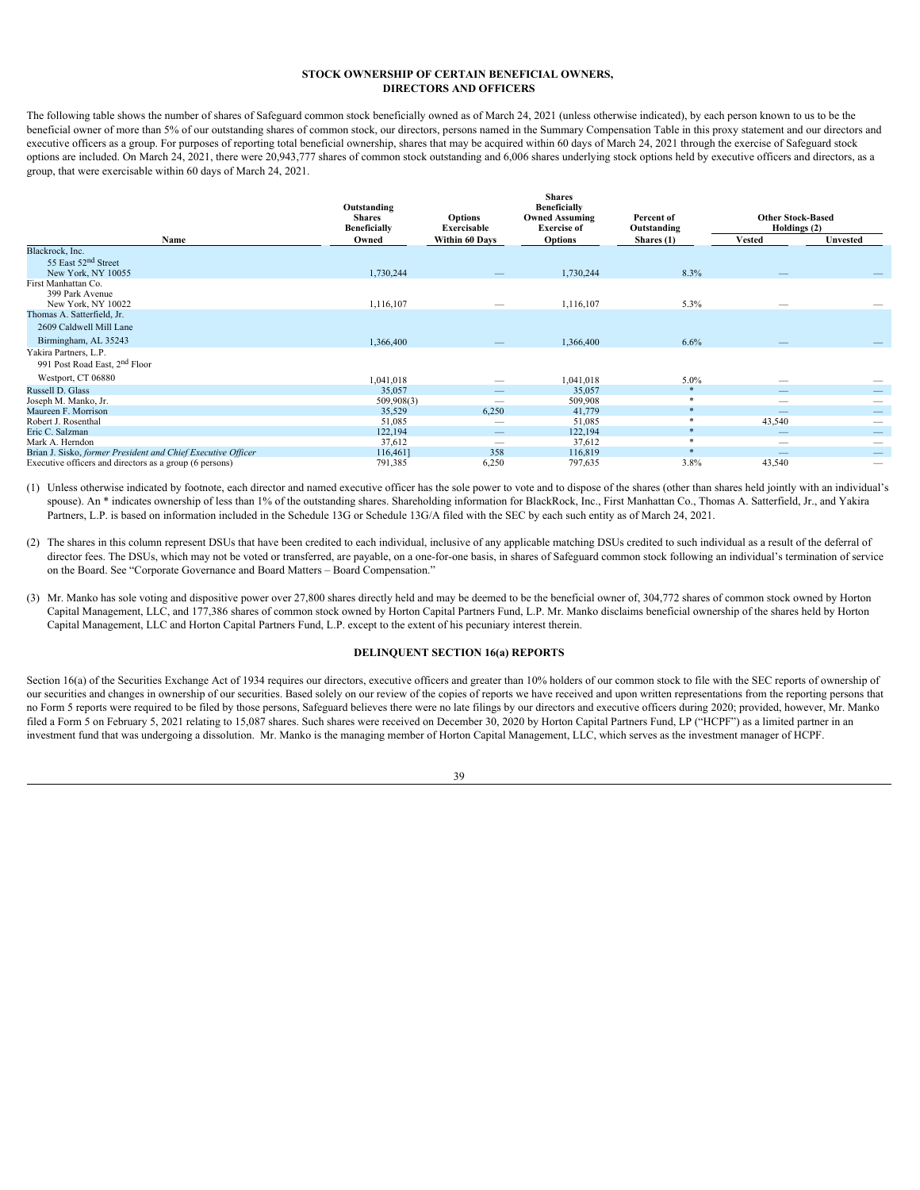## <span id="page-42-0"></span>**STOCK OWNERSHIP OF CERTAIN BENEFICIAL OWNERS, DIRECTORS AND OFFICERS**

The following table shows the number of shares of Safeguard common stock beneficially owned as of March 24, 2021 (unless otherwise indicated), by each person known to us to be the beneficial owner of more than 5% of our outstanding shares of common stock, our directors, persons named in the Summary Compensation Table in this proxy statement and our directors and executive officers as a group. For purposes of reporting total beneficial ownership, shares that may be acquired within 60 days of March 24, 2021 through the exercise of Safeguard stock options are included. On March 24, 2021, there were 20,943,777 shares of common stock outstanding and 6,006 shares underlying stock options held by executive officers and directors, as a group, that were exercisable within 60 days of March 24, 2021.

|                                                              | Outstanding<br><b>Shares</b><br><b>Beneficially</b> | <b>Options</b><br>Exercisable   | <b>Shares</b><br><b>Beneficially</b><br><b>Owned Assuming</b><br><b>Exercise of</b> | Percent of<br>Outstanding | <b>Other Stock-Based</b><br>Holdings (2) |                                 |
|--------------------------------------------------------------|-----------------------------------------------------|---------------------------------|-------------------------------------------------------------------------------------|---------------------------|------------------------------------------|---------------------------------|
| Name                                                         | Owned                                               | Within 60 Days                  | <b>Options</b>                                                                      | Shares (1)                | <b>Vested</b>                            | Unvested                        |
| Blackrock, Inc.                                              |                                                     |                                 |                                                                                     |                           |                                          |                                 |
| 55 East 52 <sup>nd</sup> Street                              |                                                     |                                 |                                                                                     |                           |                                          |                                 |
| New York, NY 10055                                           | 1,730,244                                           | $\overline{\phantom{a}}$        | 1,730,244                                                                           | 8.3%                      | $\hspace{1.0cm} \rule{1.5cm}{0.15cm}$    | $\qquad \qquad -$               |
| First Manhattan Co.                                          |                                                     |                                 |                                                                                     |                           |                                          |                                 |
| 399 Park Avenue                                              |                                                     |                                 |                                                                                     |                           |                                          |                                 |
| New York, NY 10022                                           | 1,116,107                                           | $\overline{\phantom{a}}$        | 1,116,107                                                                           | 5.3%                      | $\hspace{0.1mm}-\hspace{0.1mm}$          | -                               |
| Thomas A. Satterfield, Jr.                                   |                                                     |                                 |                                                                                     |                           |                                          |                                 |
| 2609 Caldwell Mill Lane                                      |                                                     |                                 |                                                                                     |                           |                                          |                                 |
| Birmingham, AL 35243                                         | 1,366,400                                           | $\overline{\phantom{0}}$        | 1,366,400                                                                           | 6.6%                      |                                          | $\overline{\phantom{m}}$        |
| Yakira Partners, L.P.                                        |                                                     |                                 |                                                                                     |                           |                                          |                                 |
| 991 Post Road East, 2 <sup>nd</sup> Floor                    |                                                     |                                 |                                                                                     |                           |                                          |                                 |
| Westport, CT 06880                                           | 1,041,018                                           | $\hspace{0.1mm}-\hspace{0.1mm}$ | 1,041,018                                                                           | 5.0%                      | $\hspace{0.05cm}$                        |                                 |
| Russell D. Glass                                             | 35,057                                              | $\overline{\phantom{a}}$        | 35,057                                                                              | $*$                       | $\overline{\phantom{a}}$                 | $\overline{\phantom{a}}$        |
| Joseph M. Manko, Jr.                                         | 509,908(3)                                          | $\hspace{0.1mm}-\hspace{0.1mm}$ | 509,908                                                                             | $\ast$                    | $\overline{\phantom{a}}$                 |                                 |
| Maureen F. Morrison                                          | 35,529                                              | 6,250                           | 41,779                                                                              | *                         |                                          |                                 |
| Robert J. Rosenthal                                          | 51,085                                              | $\hspace{0.1mm}-\hspace{0.1mm}$ | 51,085                                                                              | $\ast$                    | 43,540                                   | $\hspace{0.1mm}-\hspace{0.1mm}$ |
| Eric C. Salzman                                              | 122,194                                             | $\overline{\phantom{a}}$        | 122,194                                                                             | $*$                       | $\overline{\phantom{a}}$                 | $\overline{\phantom{a}}$        |
| Mark A. Herndon                                              | 37,612                                              | $\hspace{0.1mm}-\hspace{0.1mm}$ | 37,612                                                                              | $\ast$                    | $\overline{\phantom{a}}$                 | $\hspace{0.1mm}-\hspace{0.1mm}$ |
| Brian J. Sisko, former President and Chief Executive Officer | 116,461]                                            | 358                             | 116,819                                                                             | *                         | $\overline{\phantom{a}}$                 | $\overline{\phantom{a}}$        |
| Executive officers and directors as a group (6 persons)      | 791,385                                             | 6,250                           | 797,635                                                                             | 3.8%                      | 43,540                                   |                                 |

- (1) Unless otherwise indicated by footnote, each director and named executive officer has the sole power to vote and to dispose of the shares (other than shares held jointly with an individual's spouse). An \* indicates ownership of less than 1% of the outstanding shares. Shareholding information for BlackRock, Inc., First Manhattan Co., Thomas A. Satterfield, Jr., and Yakira Partners, L.P. is based on information included in the Schedule 13G or Schedule 13G/A filed with the SEC by each such entity as of March 24, 2021.
- (2) The shares in this column represent DSUs that have been credited to each individual, inclusive of any applicable matching DSUs credited to such individual as a result of the deferral of director fees. The DSUs, which may not be voted or transferred, are payable, on a one-for-one basis, in shares of Safeguard common stock following an individual's termination of service on the Board. See "Corporate Governance and Board Matters – Board Compensation."
- (3) Mr. Manko has sole voting and dispositive power over 27,800 shares directly held and may be deemed to be the beneficial owner of, 304,772 shares of common stock owned by Horton Capital Management, LLC, and 177,386 shares of common stock owned by Horton Capital Partners Fund, L.P. Mr. Manko disclaims beneficial ownership of the shares held by Horton Capital Management, LLC and Horton Capital Partners Fund, L.P. except to the extent of his pecuniary interest therein.

# <span id="page-42-1"></span>**DELINQUENT SECTION 16(a) REPORTS**

Section 16(a) of the Securities Exchange Act of 1934 requires our directors, executive officers and greater than 10% holders of our common stock to file with the SEC reports of ownership of our securities and changes in ownership of our securities. Based solely on our review of the copies of reports we have received and upon written representations from the reporting persons that no Form 5 reports were required to be filed by those persons, Safeguard believes there were no late filings by our directors and executive officers during 2020; provided, however, Mr. Manko filed a Form 5 on February 5, 2021 relating to 15,087 shares. Such shares were received on December 30, 2020 by Horton Capital Partners Fund, LP ("HCPF") as a limited partner in an investment fund that was undergoing a dissolution. Mr. Manko is the managing member of Horton Capital Management, LLC, which serves as the investment manager of HCPF.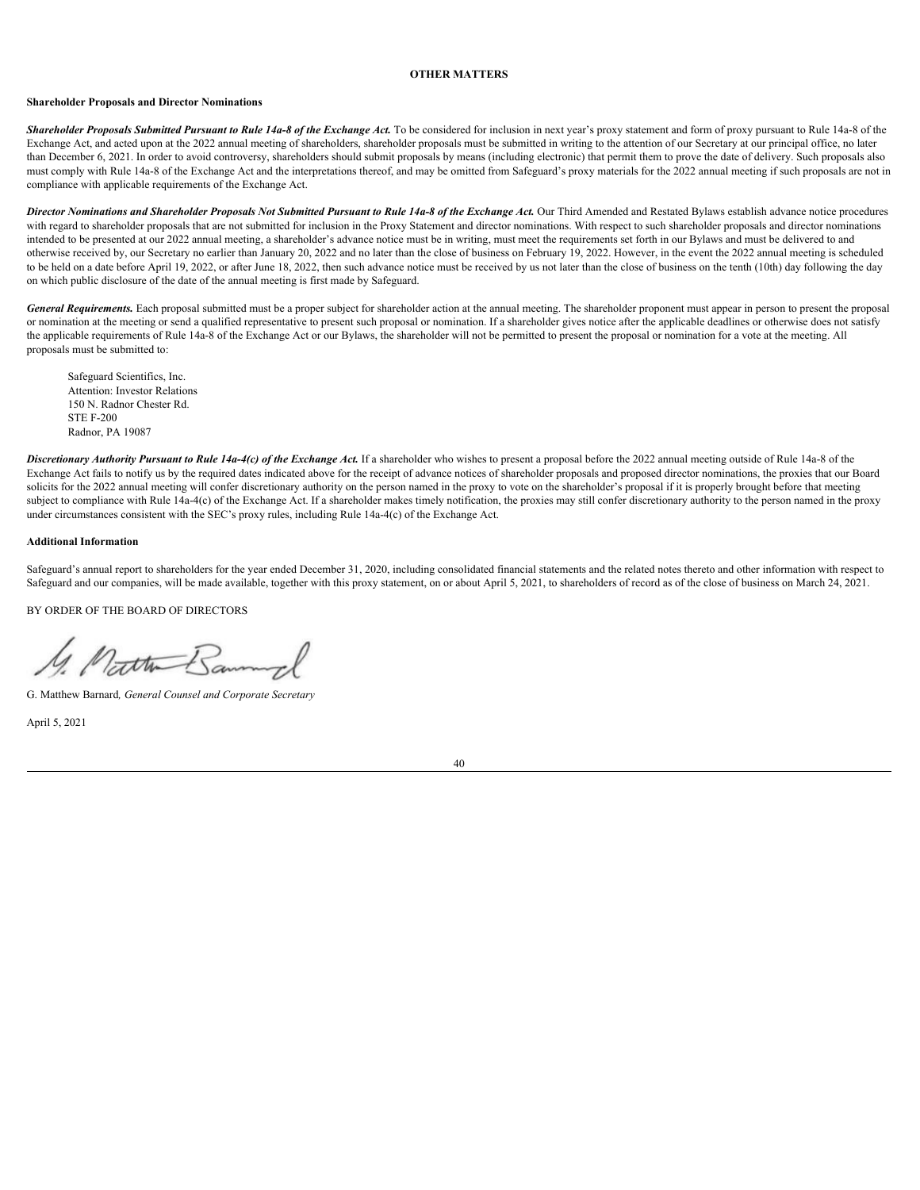#### <span id="page-43-0"></span>**OTHER MATTERS**

#### <span id="page-43-1"></span>**Shareholder Proposals and Director Nominations**

Shareholder Proposals Submitted Pursuant to Rule 14a-8 of the Exchange Act. To be considered for inclusion in next year's proxy statement and form of proxy pursuant to Rule 14a-8 of the Exchange Act, and acted upon at the 2022 annual meeting of shareholders, shareholder proposals must be submitted in writing to the attention of our Secretary at our principal office, no later than December 6, 2021. In order to avoid controversy, shareholders should submit proposals by means (including electronic) that permit them to prove the date of delivery. Such proposals also must comply with Rule 14a-8 of the Exchange Act and the interpretations thereof, and may be omitted from Safeguard's proxy materials for the 2022 annual meeting if such proposals are not in compliance with applicable requirements of the Exchange Act.

*Director Nominations and Shareholder Proposals Not Submitted Pursuant to Rule 14a-8 of the Exchange Act.* Our Third Amended and Restated Bylaws establish advance notice procedures with regard to shareholder proposals that are not submitted for inclusion in the Proxy Statement and director nominations. With respect to such shareholder proposals and director nominations intended to be presented at our 2022 annual meeting, a shareholder's advance notice must be in writing, must meet the requirements set forth in our Bylaws and must be delivered to and otherwise received by, our Secretary no earlier than January 20, 2022 and no later than the close of business on February 19, 2022. However, in the event the 2022 annual meeting is scheduled to be held on a date before April 19, 2022, or after June 18, 2022, then such advance notice must be received by us not later than the close of business on the tenth (10th) day following the day on which public disclosure of the date of the annual meeting is first made by Safeguard.

*General Requirements.* Each proposal submitted must be a proper subject for shareholder action at the annual meeting. The shareholder proponent must appear in person to present the proposal or nomination at the meeting or send a qualified representative to present such proposal or nomination. If a shareholder gives notice after the applicable deadlines or otherwise does not satisfy the applicable requirements of Rule 14a-8 of the Exchange Act or our Bylaws, the shareholder will not be permitted to present the proposal or nomination for a vote at the meeting. All proposals must be submitted to:

Safeguard Scientifics, Inc. Attention: Investor Relations 150 N. Radnor Chester Rd. STE F-200 Radnor, PA 19087

Discretionary Authority Pursuant to Rule 14a-4(c) of the Exchange Act. If a shareholder who wishes to present a proposal before the 2022 annual meeting outside of Rule 14a-8 of the Exchange Act fails to notify us by the required dates indicated above for the receipt of advance notices of shareholder proposals and proposed director nominations, the proxies that our Board solicits for the 2022 annual meeting will confer discretionary authority on the person named in the proxy to vote on the shareholder's proposal if it is properly brought before that meeting subject to compliance with Rule 14a-4(c) of the Exchange Act. If a shareholder makes timely notification, the proxies may still confer discretionary authority to the person named in the proxy under circumstances consistent with the SEC's proxy rules, including Rule 14a-4(c) of the Exchange Act.

#### <span id="page-43-2"></span>**Additional Information**

Safeguard's annual report to shareholders for the year ended December 31, 2020, including consolidated financial statements and the related notes thereto and other information with respect to Safeguard and our companies, will be made available, together with this proxy statement, on or about April 5, 2021, to shareholders of record as of the close of business on March 24, 2021.

BY ORDER OF THE BOARD OF DIRECTORS

Matthe Ban

G. Matthew Barnard*, General Counsel and Corporate Secretary*

April 5, 2021

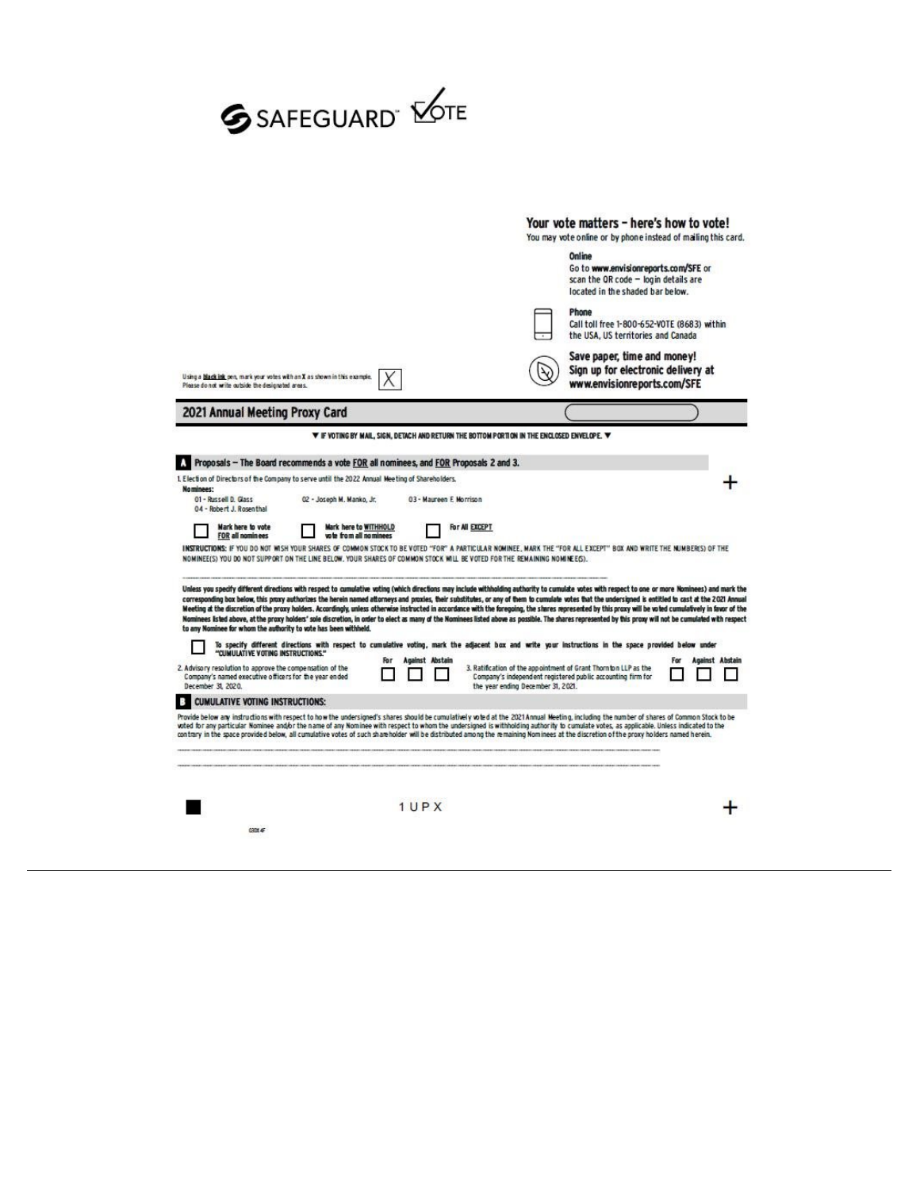# **SSAFEGUARD MOTE**

|                                                                                                                                                                                                                                                                                                                                                                                                                                                                                                                                                                                                                                                                                                                                                                                                                                                                                                                                                              |                          |                                                                                                                                 | Your vote matters - here's how to vote!<br>You may vote online or by phone instead of mailing this card.                   |                 |
|--------------------------------------------------------------------------------------------------------------------------------------------------------------------------------------------------------------------------------------------------------------------------------------------------------------------------------------------------------------------------------------------------------------------------------------------------------------------------------------------------------------------------------------------------------------------------------------------------------------------------------------------------------------------------------------------------------------------------------------------------------------------------------------------------------------------------------------------------------------------------------------------------------------------------------------------------------------|--------------------------|---------------------------------------------------------------------------------------------------------------------------------|----------------------------------------------------------------------------------------------------------------------------|-----------------|
|                                                                                                                                                                                                                                                                                                                                                                                                                                                                                                                                                                                                                                                                                                                                                                                                                                                                                                                                                              |                          |                                                                                                                                 | Online<br>Go to www.envisionreports.com/SFE or<br>scan the OR code - login details are<br>located in the shaded bar below. |                 |
|                                                                                                                                                                                                                                                                                                                                                                                                                                                                                                                                                                                                                                                                                                                                                                                                                                                                                                                                                              |                          |                                                                                                                                 | Phone<br>Call toll free 1-800-652-VOTE (8683) within<br>the USA, US territories and Canada                                 |                 |
| Using a black ink pen, mark your votes with an X as shown in this example.<br>Please do not write outside the designated areas.                                                                                                                                                                                                                                                                                                                                                                                                                                                                                                                                                                                                                                                                                                                                                                                                                              |                          |                                                                                                                                 | Save paper, time and money!<br>Sign up for electronic delivery at<br>www.envisionreports.com/SFE                           |                 |
| 2021 Annual Meeting Proxy Card                                                                                                                                                                                                                                                                                                                                                                                                                                                                                                                                                                                                                                                                                                                                                                                                                                                                                                                               |                          |                                                                                                                                 |                                                                                                                            |                 |
|                                                                                                                                                                                                                                                                                                                                                                                                                                                                                                                                                                                                                                                                                                                                                                                                                                                                                                                                                              |                          | <b>V</b> IF VOTING BY MAIL, SIGN, DETACH AND RETURN THE BOTTOM PORTION IN THE ENCLOSED ENVELOPE. V                              |                                                                                                                            |                 |
| Proposals - The Board recommends a vote FOR all nominees, and FOR Proposals 2 and 3.                                                                                                                                                                                                                                                                                                                                                                                                                                                                                                                                                                                                                                                                                                                                                                                                                                                                         |                          |                                                                                                                                 |                                                                                                                            |                 |
| 1. Election of Directors of the Company to serve until the 2022 Annual Meeting of Shareholders.<br>Nominees:<br>01 - Russell D. Glass<br>02 - Joseph M. Manko, Jr.<br>04 - Robert J. Rosenthal                                                                                                                                                                                                                                                                                                                                                                                                                                                                                                                                                                                                                                                                                                                                                               | 03 - Maureen E. Morrison |                                                                                                                                 |                                                                                                                            |                 |
| Mark here to WITHHOLD<br>Mark here to vote<br>vote from all nominees<br><b>FOR all nominees</b>                                                                                                                                                                                                                                                                                                                                                                                                                                                                                                                                                                                                                                                                                                                                                                                                                                                              |                          | For All EXCEPT                                                                                                                  |                                                                                                                            |                 |
| INSTRUCTIONS: IF YOU DO NOT WISH YOUR SHARES OF COMMON STOCK TO BE VOTED "FOR" A PARTICULAR NOMINEE. MARK THE "FOR ALL EXCEPT" BOX AND WRITE THE NUMBERS) OF THE<br>NOMINEE(S) YOU DO NOT SUPPORT ON THE LINE BELOW. YOUR SHARES OF COMMON STOCK WILL BE VOTED FOR THE REMAINING NOMINEE(S).                                                                                                                                                                                                                                                                                                                                                                                                                                                                                                                                                                                                                                                                 |                          |                                                                                                                                 |                                                                                                                            |                 |
| Unless you specify different directions with respect to cumulative voting (which directions may include withholding authority to cumulate votes with respect to one or more Nominees) and mark the                                                                                                                                                                                                                                                                                                                                                                                                                                                                                                                                                                                                                                                                                                                                                           |                          |                                                                                                                                 |                                                                                                                            |                 |
| corresponding box below, this proxy authorizes the herein named attorneys and proxies, their substitutes, or any of them to cumulate votes that the undersigned is entitled to cast at the 2021 Annual<br>Meeting at the discretion of the proxy holders. Accordingly, unless otherwise instructed in accordance with the foregoing, the shares represented by this proxy will be voted cumulatively in favor of the<br>Nominees isted above, at the proxy holders' sole discretion, in order to elect as many of the Nominees listed above as possible. The shares represented by this proxy will not be cumulated with respect<br>to any Nominee for whom the authority to vote has been withheld.<br>To specify different directions with respect to cumulative voting, mark the adjacent box and write your instructions in the space provided below under<br>"CUMULATIVE VOTING INSTRUCTIONS."<br>Company's named executive officers for the year ended | Against Abstain          | 3. Ratification of the appointment of Grant Thorn ton LLP as the<br>Company's independent registered public accounting firm for |                                                                                                                            | Against Abstain |
| 2. Advisory resolution to approve the compensation of the<br>December 31, 2020.<br>CUMULATIVE VOTING INSTRUCTIONS:<br>B                                                                                                                                                                                                                                                                                                                                                                                                                                                                                                                                                                                                                                                                                                                                                                                                                                      |                          | the year ending December 31, 2021.                                                                                              |                                                                                                                            |                 |
| Provide below any instructions with respect to how the undersigned's shares should be cumulatively voted at the 2021 Annual Meeting, including the number of shares of Common Stock to be<br>woted for any particular Nominee and/or the name of any Nominee with respect to whom the undersigned is withholding authority to cumulate votes, as applicable. Unless indicated to the<br>contrary in the space provided below, all cumulative votes of such shareholder will be distributed among the remaining Nominees at the discretion of the proxy holders named herein.                                                                                                                                                                                                                                                                                                                                                                                 |                          |                                                                                                                                 |                                                                                                                            |                 |
|                                                                                                                                                                                                                                                                                                                                                                                                                                                                                                                                                                                                                                                                                                                                                                                                                                                                                                                                                              | 1UPX                     |                                                                                                                                 |                                                                                                                            |                 |